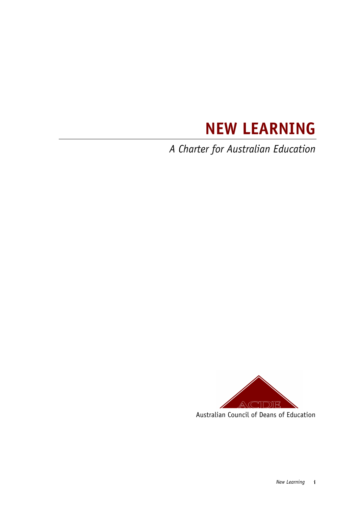# **NEW LEARNING**

*A Charter for Australian Education* 

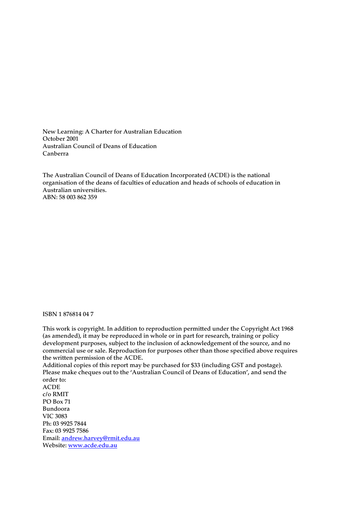**New Learning: A Charter for Australian Education October 2001 Australian Council of Deans of Education Canberra** 

**The Australian Council of Deans of Education Incorporated (ACDE) is the national organisation of the deans of faculties of education and heads of schools of education in Australian universities. ABN: 58 003 862 359** 

**ISBN 1 876814 04 7** 

**This work is copyright. In addition to reproduction permitted under the Copyright Act 1968 (as amended), it may be reproduced in whole or in part for research, training or policy development purposes, subject to the inclusion of acknowledgement of the source, and no commercial use or sale. Reproduction for purposes other than those specified above requires the written permission of the ACDE.** 

**Additional copies of this report may be purchased for \$33 (including GST and postage). Please make cheques out to the 'Australian Council of Deans of Education', and send the order to:** 

**ACDE c/o RMIT PO Box 71 Bundoora VIC 3083 Ph: 03 9925 7844 Fax: 03 9925 7586 Email: andrew.harvey@rmit.edu.au Website: www.acde.edu.au**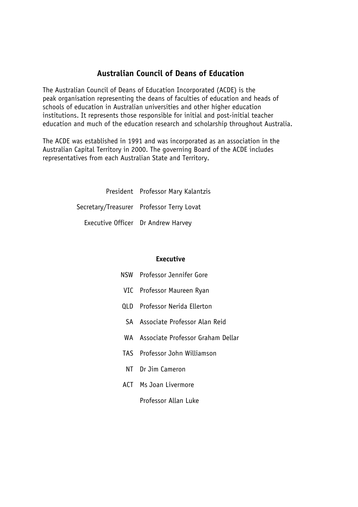# **Australian Council of Deans of Education**

The Australian Council of Deans of Education Incorporated (ACDE) is the peak organisation representing the deans of faculties of education and heads of schools of education in Australian universities and other higher education institutions. It represents those responsible for initial and post-initial teacher education and much of the education research and scholarship throughout Australia.

The ACDE was established in 1991 and was incorporated as an association in the Australian Capital Territory in 2000. The governing Board of the ACDE includes representatives from each Australian State and Territory.

> President Professor Mary Kalantzis Secretary/Treasurer Professor Terry Lovat Executive Officer Dr Andrew Harvey

#### **Executive**

| NSW Professor Jennifer Gore   |
|-------------------------------|
| VIC Professor Maureen Ryan    |
| QLD Professor Nerida Ellerton |

- SA Associate Professor Alan Reid
- WA Associate Professor Graham Dellar
- TAS Professor John Williamson
- NT Dr Jim Cameron
- ACT Ms Joan Livermore

Professor Allan Luke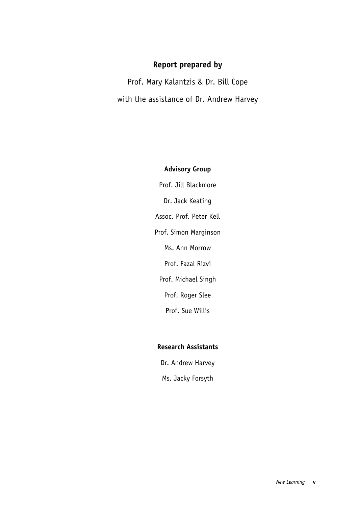# **Report prepared by**

Prof. Mary Kalantzis & Dr. Bill Cope with the assistance of Dr. Andrew Harvey

#### **Advisory Group**

Prof. Jill Blackmore Dr. Jack Keating Assoc. Prof. Peter Kell Prof. Simon Marginson Ms. Ann Morrow Prof. Fazal Rizvi Prof. Michael Singh Prof. Roger Slee Prof. Sue Willis

#### **Research Assistants**

Dr. Andrew Harvey

Ms. Jacky Forsyth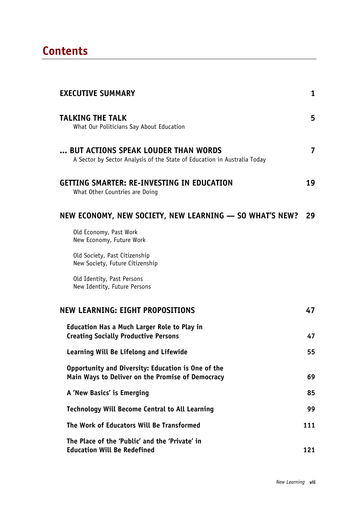# **Contents**

| <b>EXECUTIVE SUMMARY</b>                                                                                        |     |  |
|-----------------------------------------------------------------------------------------------------------------|-----|--|
| <b>TALKING THE TALK</b><br>What Our Politicians Say About Education                                             |     |  |
| BUT ACTIONS SPEAK LOUDER THAN WORDS<br>A Sector by Sector Analysis of the State of Education in Australia Today |     |  |
| <b>GETTING SMARTER: RE-INVESTING IN EDUCATION</b><br>What Other Countries are Doing                             | 19  |  |
| NEW ECONOMY, NEW SOCIETY, NEW LEARNING — SO WHAT'S NEW?                                                         | 29  |  |
| Old Economy, Past Work<br>New Economy, Future Work                                                              |     |  |
| Old Society, Past Citizenship<br>New Society, Future Citizenship                                                |     |  |
| Old Identity, Past Persons<br>New Identity, Future Persons                                                      |     |  |
| NEW LEARNING: EIGHT PROPOSITIONS                                                                                | 47  |  |
| <b>Education Has a Much Larger Role to Play in</b><br><b>Creating Socially Productive Persons</b>               | 47  |  |
| Learning Will Be Lifelong and Lifewide                                                                          | 55  |  |
| Opportunity and Diversity: Education is One of the<br>Main Ways to Deliver on the Promise of Democracy          | 69  |  |
| A 'New Basics' is Emerging                                                                                      | 85  |  |
| <b>Technology Will Become Central to All Learning</b>                                                           | 99  |  |
| The Work of Educators Will Be Transformed                                                                       | 111 |  |
| The Place of the 'Public' and the 'Private' in<br><b>Education Will Be Redefined</b>                            | 121 |  |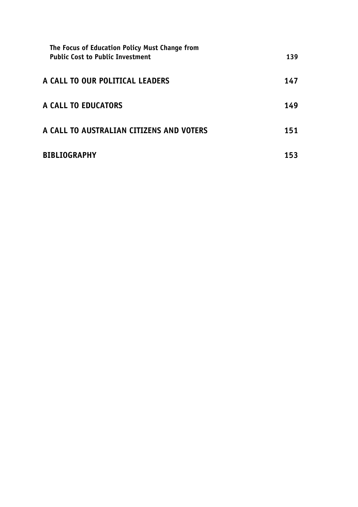| The Focus of Education Policy Must Change from<br><b>Public Cost to Public Investment</b> | 139 |
|-------------------------------------------------------------------------------------------|-----|
| A CALL TO OUR POLITICAL LEADERS                                                           | 147 |
| A CALL TO EDUCATORS                                                                       | 149 |
| A CALL TO AUSTRALIAN CITIZENS AND VOTERS                                                  | 151 |
| <b>BIBLIOGRAPHY</b>                                                                       | 153 |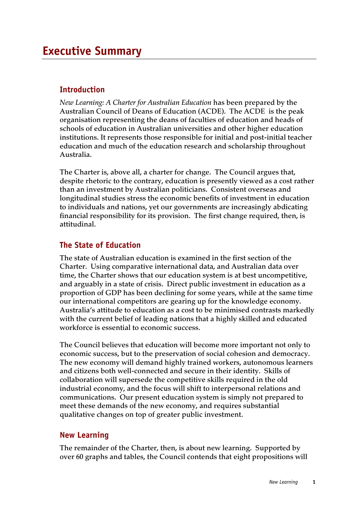# **Introduction**

*New Learning: A Charter for Australian Education* **has been prepared by the Australian Council of Deans of Education (ACDE). The ACDE is the peak organisation representing the deans of faculties of education and heads of schools of education in Australian universities and other higher education institutions. It represents those responsible for initial and post-initial teacher education and much of the education research and scholarship throughout Australia.** 

**The Charter is, above all, a charter for change. The Council argues that, despite rhetoric to the contrary, education is presently viewed as a cost rather than an investment by Australian politicians. Consistent overseas and longitudinal studies stress the economic benefits of investment in education to individuals and nations, yet our governments are increasingly abdicating financial responsibility for its provision. The first change required, then, is attitudinal.** 

# **The State of Education**

**The state of Australian education is examined in the first section of the Charter. Using comparative international data, and Australian data over time, the Charter shows that our education system is at best uncompetitive, and arguably in a state of crisis. Direct public investment in education as a proportion of GDP has been declining for some years, while at the same time our international competitors are gearing up for the knowledge economy. Australia's attitude to education as a cost to be minimised contrasts markedly with the current belief of leading nations that a highly skilled and educated workforce is essential to economic success.** 

**The Council believes that education will become more important not only to economic success, but to the preservation of social cohesion and democracy. The new economy will demand highly trained workers, autonomous learners and citizens both well-connected and secure in their identity. Skills of collaboration will supersede the competitive skills required in the old industrial economy, and the focus will shift to interpersonal relations and communications. Our present education system is simply not prepared to meet these demands of the new economy, and requires substantial qualitative changes on top of greater public investment.** 

# **New Learning**

**The remainder of the Charter, then, is about new learning. Supported by over 60 graphs and tables, the Council contends that eight propositions will**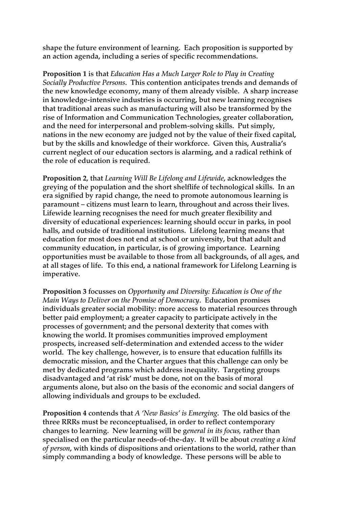**shape the future environment of learning. Each proposition is supported by an action agenda, including a series of specific recommendations.** 

**Proposition 1 is that** *Education Has a Much Larger Role to Play in Creating Socially Productive Persons***. This contention anticipates trends and demands of the new knowledge economy, many of them already visible. A sharp increase in knowledge-intensive industries is occurring, but new learning recognises that traditional areas such as manufacturing will also be transformed by the rise of Information and Communication Technologies, greater collaboration, and the need for interpersonal and problem-solving skills. Put simply, nations in the new economy are judged not by the value of their fixed capital, but by the skills and knowledge of their workforce. Given this, Australia's current neglect of our education sectors is alarming, and a radical rethink of the role of education is required.** 

**Proposition 2, that** *Learning Will Be Lifelong and Lifewide***, acknowledges the greying of the population and the short shelflife of technological skills. In an era signified by rapid change, the need to promote autonomous learning is paramount – citizens must learn to learn, throughout and across their lives. Lifewide learning recognises the need for much greater flexibility and diversity of educational experiences: learning should occur in parks, in pool halls, and outside of traditional institutions. Lifelong learning means that education for most does not end at school or university, but that adult and community education, in particular, is of growing importance. Learning opportunities must be available to those from all backgrounds, of all ages, and at all stages of life. To this end, a national framework for Lifelong Learning is imperative.** 

**Proposition 3 focusses on** *Opportunity and Diversity: Education is One of the Main Ways to Deliver on the Promise of Democracy***. Education promises individuals greater social mobility: more access to material resources through better paid employment; a greater capacity to participate actively in the processes of government; and the personal dexterity that comes with knowing the world. It promises communities improved employment prospects, increased self-determination and extended access to the wider world. The key challenge, however, is to ensure that education fulfills its democratic mission, and the Charter argues that this challenge can only be met by dedicated programs which address inequality. Targeting groups disadvantaged and 'at risk' must be done, not on the basis of moral arguments alone, but also on the basis of the economic and social dangers of allowing individuals and groups to be excluded.** 

**Proposition 4 contends that** *A 'New Basics' is Emerging***. The old basics of the three RRRs must be reconceptualised, in order to reflect contemporary changes to learning. New learning will be g***eneral in its focus,* **rather than specialised on the particular needs-of-the-day. It will be about** *creating a kind of person***, with kinds of dispositions and orientations to the world, rather than simply commanding a body of knowledge. These persons will be able to**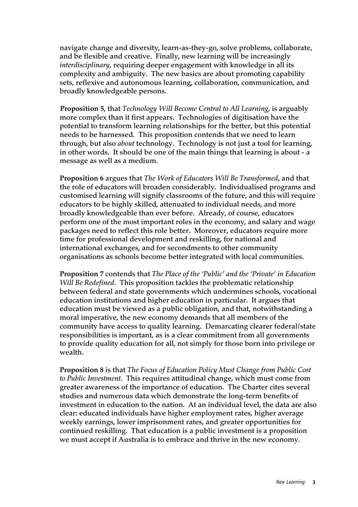**navigate change and diversity, learn-as-they-go, solve problems, collaborate, and be flexible and creative. Finally, new learning will be increasingly**  *interdisciplinary***, requiring deeper engagement with knowledge in all its complexity and ambiguity. The new basics are about promoting capability sets, reflexive and autonomous learning, collaboration, communication, and broadly knowledgeable persons.** 

**Proposition 5, that** *Technology Will Become Central to All Learning***, is arguably more complex than it first appears. Technologies of digitisation have the potential to transform learning relationships for the better, but this potential needs to be harnessed. This proposition contends that we need to learn through, but also** *about* **technology. Technology is not just a tool for learning, in other words. It should be one of the main things that learning is about - a message as well as a medium.** 

**Proposition 6 argues that** *The Work of Educators Will Be Transformed***, and that the role of educators will broaden considerably. Individualised programs and customised learning will signify classrooms of the future, and this will require educators to be highly skilled, attenuated to individual needs, and more broadly knowledgeable than ever before. Already, of course, educators perform one of the most important roles in the economy, and salary and wage packages need to reflect this role better. Moreover, educators require more time for professional development and reskilling, for national and international exchanges, and for secondments to other community organisations as schools become better integrated with local communities.** 

**Proposition 7 contends that** *The Place of the 'Public' and the 'Private' in Education Will Be Redefined***. This proposition tackles the problematic relationship between federal and state governments which undermines schools, vocational education institutions and higher education in particular. It argues that education must be viewed as a public obligation, and that, notwithstanding a moral imperative, the new economy demands that all members of the community have access to quality learning. Demarcating clearer federal/state responsibilities is important, as is a clear commitment from all governments to provide quality education for all, not simply for those born into privilege or wealth.** 

**Proposition 8 is that** *The Focus of Education Policy Must Change from Public Cost to Public Investment***. This requires attitudinal change, which must come from greater awareness of the importance of education. The Charter cites several studies and numerous data which demonstrate the long-term benefits of investment in education to the nation. At an individual level, the data are also clear: educated individuals have higher employment rates, higher average weekly earnings, lower imprisonment rates, and greater opportunities for continued reskilling. That education is a public investment is a proposition we must accept if Australia is to embrace and thrive in the new economy.**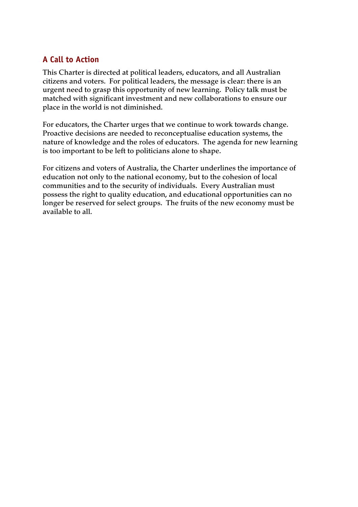# **A Call to Action**

**This Charter is directed at political leaders, educators, and all Australian citizens and voters. For political leaders, the message is clear: there is an urgent need to grasp this opportunity of new learning. Policy talk must be matched with significant investment and new collaborations to ensure our place in the world is not diminished.** 

**For educators, the Charter urges that we continue to work towards change. Proactive decisions are needed to reconceptualise education systems, the nature of knowledge and the roles of educators. The agenda for new learning is too important to be left to politicians alone to shape.** 

**For citizens and voters of Australia, the Charter underlines the importance of education not only to the national economy, but to the cohesion of local communities and to the security of individuals. Every Australian must possess the right to quality education, and educational opportunities can no longer be reserved for select groups. The fruits of the new economy must be available to all.**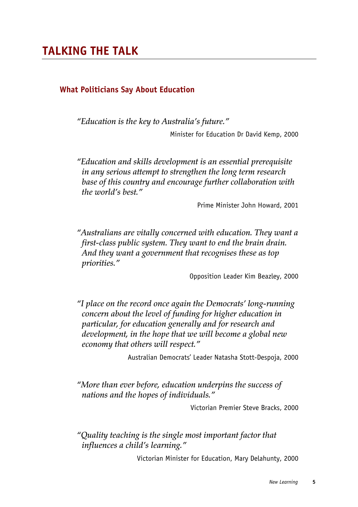# **TALKING THE TALK**

### **What Politicians Say About Education**

*"Education is the key to Australia's future."* 

Minister for Education Dr David Kemp, 2000

*"Education and skills development is an essential prerequisite in any serious attempt to strengthen the long term research base of this country and encourage further collaboration with the world's best."* 

Prime Minister John Howard, 2001

*"Australians are vitally concerned with education. They want a first-class public system. They want to end the brain drain. And they want a government that recognises these as top priorities."* 

Opposition Leader Kim Beazley, 2000

*"I place on the record once again the Democrats' long-running concern about the level of funding for higher education in particular, for education generally and for research and development, in the hope that we will become a global new economy that others will respect."* 

Australian Democrats' Leader Natasha Stott-Despoja, 2000

*"More than ever before, education underpins the success of nations and the hopes of individuals."* 

Victorian Premier Steve Bracks, 2000

*"Quality teaching is the single most important factor that influences a child's learning."* 

Victorian Minister for Education, Mary Delahunty, 2000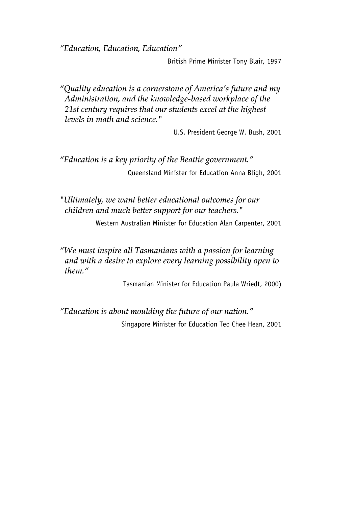*"Education, Education, Education"* 

British Prime Minister Tony Blair, 1997

*"Quality education is a cornerstone of America's future and my Administration, and the knowledge-based workplace of the 21st century requires that our students excel at the highest levels in math and science."* 

U.S. President George W. Bush, 2001

*"Education is a key priority of the Beattie government."*  Queensland Minister for Education Anna Bligh, 2001

*"Ultimately, we want better educational outcomes for our children and much better support for our teachers."* 

Western Australian Minister for Education Alan Carpenter, 2001

*"We must inspire all Tasmanians with a passion for learning and with a desire to explore every learning possibility open to them."* 

Tasmanian Minister for Education Paula Wriedt, 2000)

*"Education is about moulding the future of our nation."*  Singapore Minister for Education Teo Chee Hean, 2001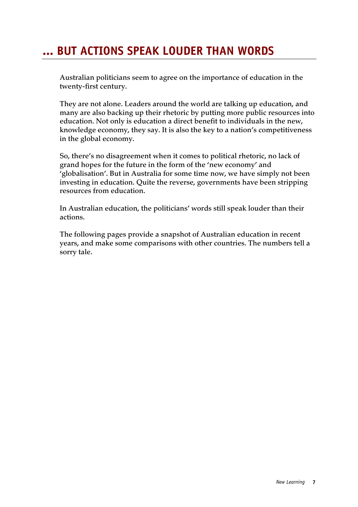# **... BUT ACTIONS SPEAK LOUDER THAN WORDS**

**Australian politicians seem to agree on the importance of education in the twenty-first century.** 

**They are not alone. Leaders around the world are talking up education, and many are also backing up their rhetoric by putting more public resources into education. Not only is education a direct benefit to individuals in the new, knowledge economy, they say. It is also the key to a nation's competitiveness in the global economy.** 

**So, there's no disagreement when it comes to political rhetoric, no lack of grand hopes for the future in the form of the 'new economy' and 'globalisation'. But in Australia for some time now, we have simply not been investing in education. Quite the reverse, governments have been stripping resources from education.** 

**In Australian education, the politicians' words still speak louder than their actions.** 

**The following pages provide a snapshot of Australian education in recent years, and make some comparisons with other countries. The numbers tell a sorry tale.**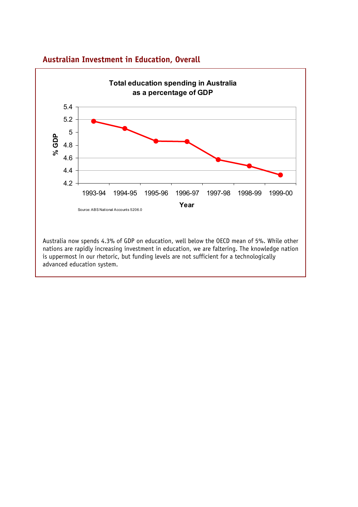

### **Australian Investment in Education, Overall**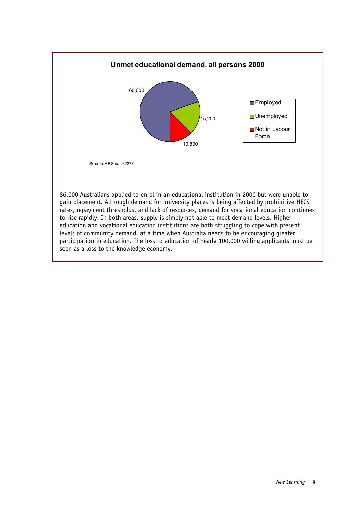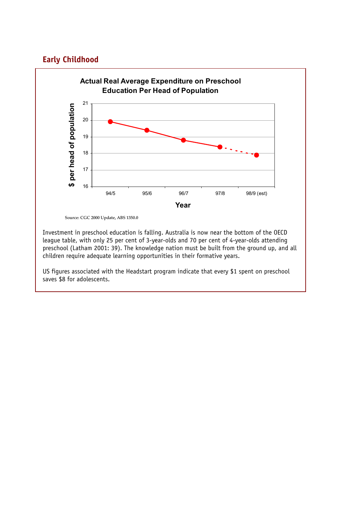# **Early Childhood**



**Source: CGC 2000 Update, ABS 1350.0** 

Investment in preschool education is falling. Australia is now near the bottom of the OECD league table, with only 25 per cent of 3-year-olds and 70 per cent of 4-year-olds attending preschool (Latham 2001: 39). The knowledge nation must be built from the ground up, and all children require adequate learning opportunities in their formative years.

US figures associated with the Headstart program indicate that every \$1 spent on preschool saves \$8 for adolescents.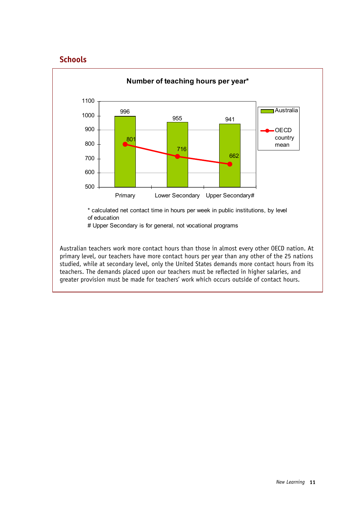# **Schools**

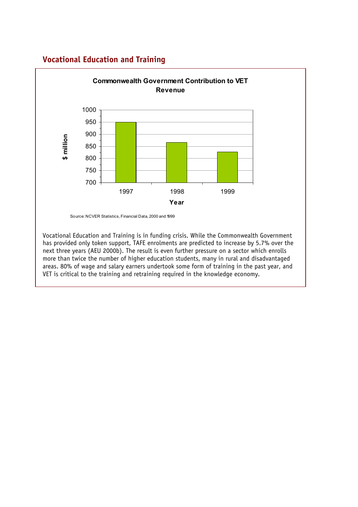# **Vocational Education and Training**



Source: NCVER Statistics, Financial Data, 2000 and 1999

Vocational Education and Training is in funding crisis. While the Commonwealth Government has provided only token support, TAFE enrolments are predicted to increase by 5.7% over the next three years (AEU 2000b). The result is even further pressure on a sector which enrolls more than twice the number of higher education students, many in rural and disadvantaged areas. 80% of wage and salary earners undertook some form of training in the past year, and VET is critical to the training and retraining required in the knowledge economy.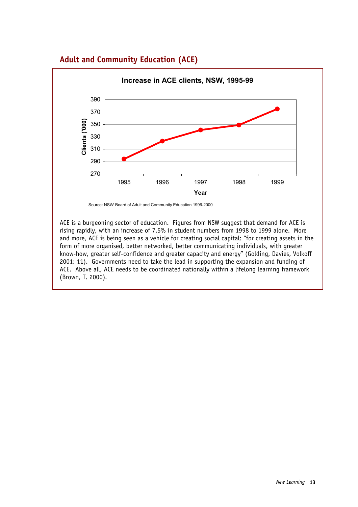

# **Adult and Community Education (ACE)**

ACE is a burgeoning sector of education. Figures from NSW suggest that demand for ACE is rising rapidly, with an increase of 7.5% in student numbers from 1998 to 1999 alone. More and more, ACE is being seen as a vehicle for creating social capital: "for creating assets in the form of more organised, better networked, better communicating individuals, with greater

know-how, greater self-confidence and greater capacity and energy" (Golding, Davies, Volkoff 2001: 11). Governments need to take the lead in supporting the expansion and funding of ACE. Above all, ACE needs to be coordinated nationally within a lifelong learning framework (Brown, T. 2000).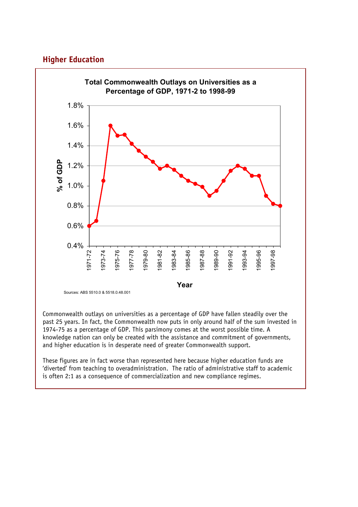### **Higher Education**



Commonwealth outlays on universities as a percentage of GDP have fallen steadily over the past 25 years. In fact, the Commonwealth now puts in only around half of the sum invested in 1974-75 as a percentage of GDP. This parsimony comes at the worst possible time. A knowledge nation can only be created with the assistance and commitment of governments, and higher education is in desperate need of greater Commonwealth support.

These figures are in fact worse than represented here because higher education funds are 'diverted' from teaching to overadministration. The ratio of administrative staff to academic is often 2:1 as a consequence of commercialization and new compliance regimes.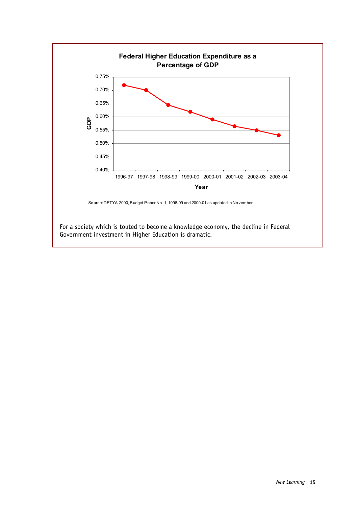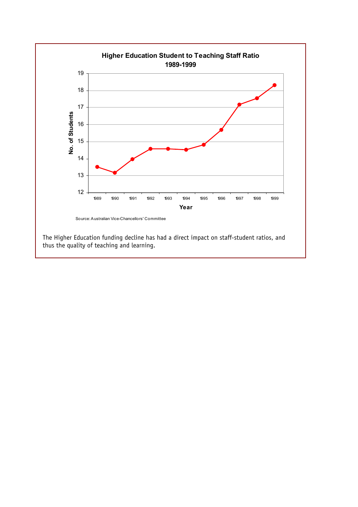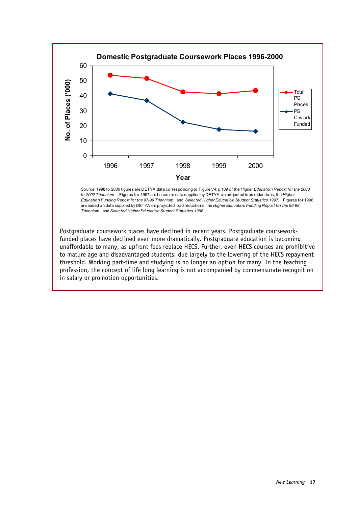

*to 2002 Triennium* . Figures for 1997 are based on data supplied by DETYA on projected load reductions, the *Higher Education Funding Report for the 97-99 Triennium* and *Selected Higher Education Student Statistics 1997.* Figures for 1996 are based on data supplied by DETYA on projected load reductions, the *Higher Education Funding Report for the 96-98 Triennium* and *Selected Higher Education Student Statistics 1996.*

Postgraduate coursework places have declined in recent years. Postgraduate courseworkfunded places have declined even more dramatically. Postgraduate education is becoming unaffordable to many, as upfront fees replace HECS. Further, even HECS courses are prohibitive to mature age and disadvantaged students, due largely to the lowering of the HECS repayment threshold. Working part-time and studying is no longer an option for many. In the teaching profession, the concept of life long learning is not accompanied by commensurate recognition in salary or promotion opportunities.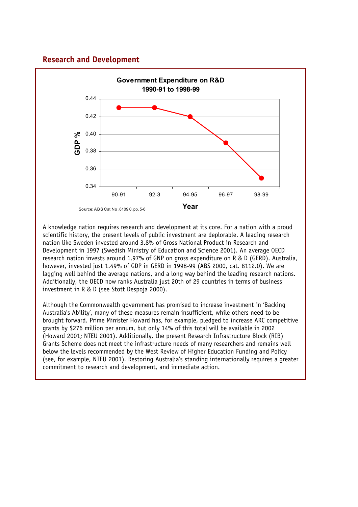#### **Research and Development**



A knowledge nation requires research and development at its core. For a nation with a proud scientific history, the present levels of public investment are deplorable. A leading research nation like Sweden invested around 3.8% of Gross National Product in Research and Development in 1997 (Swedish Ministry of Education and Science 2001). An average OECD research nation invests around 1.97% of GNP on gross expenditure on R & D (GERD). Australia, however, invested just 1.49% of GDP in GERD in 1998-99 (ABS 2000, cat. 8112.0). We are lagging well behind the average nations, and a long way behind the leading research nations. Additionally, the OECD now ranks Australia just 20th of 29 countries in terms of business investment in R & D (see Stott Despoja 2000).

Although the Commonwealth government has promised to increase investment in 'Backing Australia's Ability', many of these measures remain insufficient, while others need to be brought forward. Prime Minister Howard has, for example, pledged to increase ARC competitive grants by \$276 million per annum, but only 14% of this total will be available in 2002 (Howard 2001; NTEU 2001). Additionally, the present Research Infrastructure Block (RIB) Grants Scheme does not meet the infrastructure needs of many researchers and remains well below the levels recommended by the West Review of Higher Education Funding and Policy (see, for example, NTEU 2001). Restoring Australia's standing internationally requires a greater commitment to research and development, and immediate action.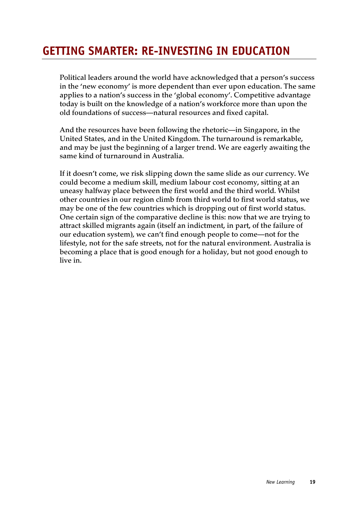# **GETTING SMARTER: RE-INVESTING IN EDUCATION**

**Political leaders around the world have acknowledged that a person's success in the 'new economy' is more dependent than ever upon education. The same applies to a nation's success in the 'global economy'. Competitive advantage today is built on the knowledge of a nation's workforce more than upon the old foundations of success—natural resources and fixed capital.** 

**And the resources have been following the rhetoric—in Singapore, in the United States, and in the United Kingdom. The turnaround is remarkable, and may be just the beginning of a larger trend. We are eagerly awaiting the same kind of turnaround in Australia.** 

**If it doesn't come, we risk slipping down the same slide as our currency. We could become a medium skill, medium labour cost economy, sitting at an uneasy halfway place between the first world and the third world. Whilst other countries in our region climb from third world to first world status, we may be one of the few countries which is dropping out of first world status. One certain sign of the comparative decline is this: now that we are trying to attract skilled migrants again (itself an indictment, in part, of the failure of our education system), we can't find enough people to come—not for the lifestyle, not for the safe streets, not for the natural environment. Australia is becoming a place that is good enough for a holiday, but not good enough to live in.**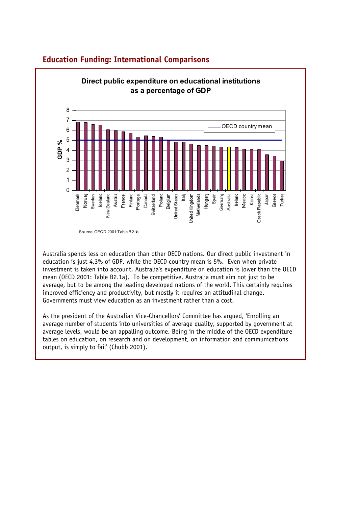

# **Education Funding: International Comparisons**

Australia spends less on education than other OECD nations. Our direct public investment in education is just 4.3% of GDP, while the OECD country mean is 5%. Even when private investment is taken into account, Australia's expenditure on education is lower than the OECD mean (OECD 2001: Table B2.1a). To be competitive, Australia must aim not just to be average, but to be among the leading developed nations of the world. This certainly requires improved efficiency and productivity, but mostly it requires an attitudinal change. Governments must view education as an investment rather than a cost.

As the president of the Australian Vice-Chancellors' Committee has argued, 'Enrolling an average number of students into universities of average quality, supported by government at average levels, would be an appalling outcome. Being in the middle of the OECD expenditure tables on education, on research and on development, on information and communications output, is simply to fail' (Chubb 2001).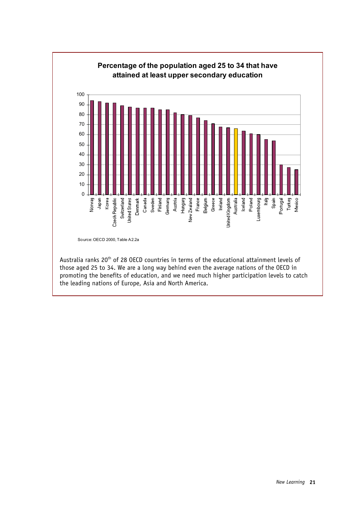

promoting the benefits of education, and we need much higher participation levels to catch the leading nations of Europe, Asia and North America.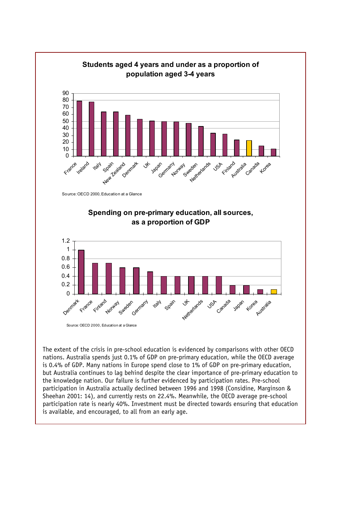

nations. Australia spends just 0.1% of GDP on pre-primary education, while the OECD average is 0.4% of GDP. Many nations in Europe spend close to 1% of GDP on pre-primary education, but Australia continues to lag behind despite the clear importance of pre-primary education to the knowledge nation. Our failure is further evidenced by participation rates. Pre-school participation in Australia actually declined between 1996 and 1998 (Considine, Marginson & Sheehan 2001: 14), and currently rests on 22.4%. Meanwhile, the OECD average pre-school participation rate is nearly 40%. Investment must be directed towards ensuring that education is available, and encouraged, to all from an early age.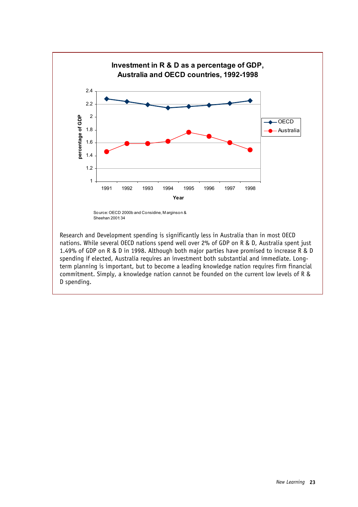

Research and Development spending is significantly less in Australia than in most OECD nations. While several OECD nations spend well over 2% of GDP on R & D, Australia spent just 1.49% of GDP on R & D in 1998. Although both major parties have promised to increase R & D spending if elected, Australia requires an investment both substantial and immediate. Longterm planning is important, but to become a leading knowledge nation requires firm financial commitment. Simply, a knowledge nation cannot be founded on the current low levels of R & D spending.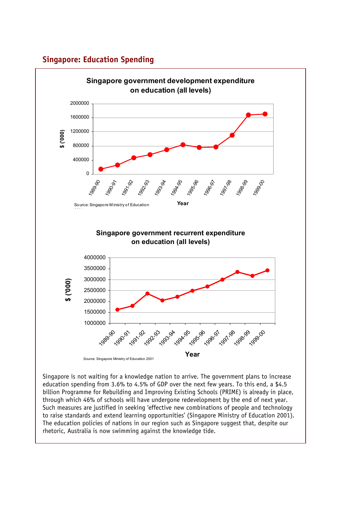



Singapore is not waiting for a knowledge nation to arrive. The government plans to increase education spending from 3.6% to 4.5% of GDP over the next few years. To this end, a \$4.5 billion Programme for Rebuilding and Improving Existing Schools (PRIME) is already in place, through which 46% of schools will have undergone redevelopment by the end of next year. Such measures are justified in seeking 'effective new combinations of people and technology to raise standards and extend learning opportunities' (Singapore Ministry of Education 2001). The education policies of nations in our region such as Singapore suggest that, despite our rhetoric, Australia is now swimming against the knowledge tide.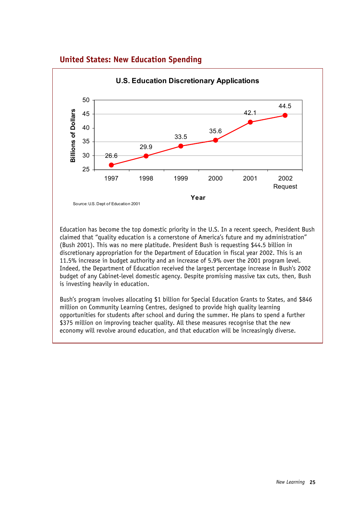

### **United States: New Education Spending**

Education has become the top domestic priority in the U.S. In a recent speech, President Bush claimed that "quality education is a cornerstone of America's future and my administration" (Bush 2001). This was no mere platitude. President Bush is requesting \$44.5 billion in discretionary appropriation for the Department of Education in fiscal year 2002. This is an 11.5% increase in budget authority and an increase of 5.9% over the 2001 program level. Indeed, the Department of Education received the largest percentage increase in Bush's 2002 budget of any Cabinet-level domestic agency. Despite promising massive tax cuts, then, Bush is investing heavily in education.

Bush's program involves allocating \$1 billion for Special Education Grants to States, and \$846 million on Community Learning Centres, designed to provide high quality learning opportunities for students after school and during the summer. He plans to spend a further \$375 million on improving teacher quality. All these measures recognise that the new economy will revolve around education, and that education will be increasingly diverse.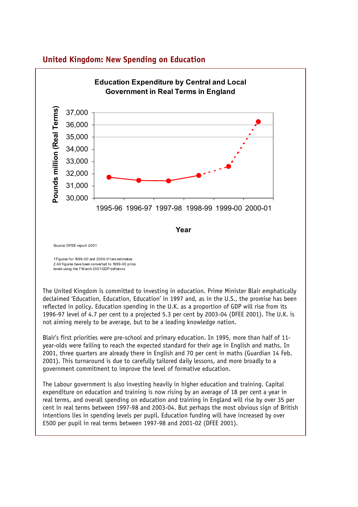

### **United Kingdom: New Spending on Education**

The United Kingdom is committed to investing in education. Prime Minister Blair emphatically declaimed 'Education, Education, Education' in 1997 and, as in the U.S., the promise has been reflected in policy. Education spending in the U.K. as a proportion of GDP will rise from its 1996-97 level of 4.7 per cent to a projected 5.3 per cent by 2003-04 (DFEE 2001). The U.K. is not aiming merely to be average, but to be a leading knowledge nation.

Blair's first priorities were pre-school and primary education. In 1995, more than half of 11 year-olds were failing to reach the expected standard for their age in English and maths. In 2001, three quarters are already there in English and 70 per cent in maths (Guardian 14 Feb. 2001). This turnaround is due to carefully tailored daily lessons, and more broadly to a government commitment to improve the level of formative education.

The Labour government is also investing heavily in higher education and training. Capital expenditure on education and training is now rising by an average of 18 per cent a year in real terms, and overall spending on education and training in England will rise by over 35 per cent in real terms between 1997-98 and 2003-04. But perhaps the most obvious sign of British intentions lies in spending levels per pupil. Education funding will have increased by over £500 per pupil in real terms between 1997-98 and 2001-02 (DFEE 2001).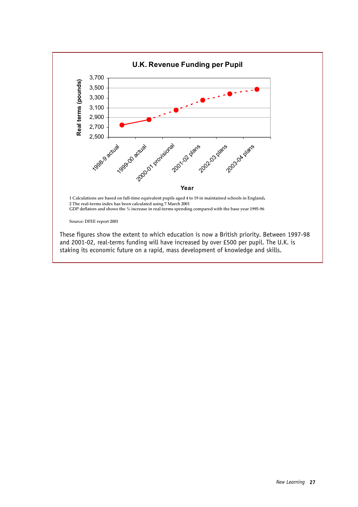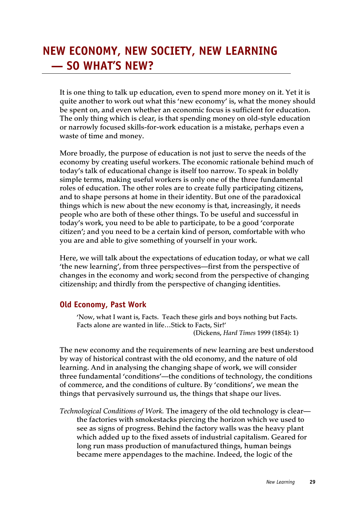# **NEW ECONOMY, NEW SOCIETY, NEW LEARNING — SO WHAT'S NEW?**

**It is one thing to talk up education, even to spend more money on it. Yet it is quite another to work out what this 'new economy' is, what the money should be spent on, and even whether an economic focus is sufficient for education. The only thing which is clear, is that spending money on old-style education or narrowly focused skills-for-work education is a mistake, perhaps even a waste of time and money.** 

**More broadly, the purpose of education is not just to serve the needs of the economy by creating useful workers. The economic rationale behind much of today's talk of educational change is itself too narrow. To speak in boldly simple terms, making useful workers is only one of the three fundamental roles of education. The other roles are to create fully participating citizens, and to shape persons at home in their identity. But one of the paradoxical things which is new about the new economy is that, increasingly, it needs people who are both of these other things. To be useful and successful in today's work, you need to be able to participate, to be a good 'corporate citizen'; and you need to be a certain kind of person, comfortable with who you are and able to give something of yourself in your work.** 

**Here, we will talk about the expectations of education today, or what we call 'the new learning', from three perspectives—first from the perspective of changes in the economy and work; second from the perspective of changing citizenship; and thirdly from the perspective of changing identities.** 

### **Old Economy, Past Work**

**'Now, what I want is, Facts. Teach these girls and boys nothing but Facts. Facts alone are wanted in life…Stick to Facts, Sir!' (Dickens,** *Hard Times* **1999 (1854): 1)** 

**The new economy and the requirements of new learning are best understood by way of historical contrast with the old economy, and the nature of old learning. And in analysing the changing shape of work, we will consider three fundamental 'conditions'—the conditions of technology, the conditions of commerce, and the conditions of culture. By 'conditions', we mean the things that pervasively surround us, the things that shape our lives.** 

*Technological Conditions of Work.* **The imagery of the old technology is clear the factories with smokestacks piercing the horizon which we used to see as signs of progress. Behind the factory walls was the heavy plant which added up to the fixed assets of industrial capitalism. Geared for long run mass production of manufactured things, human beings became mere appendages to the machine. Indeed, the logic of the**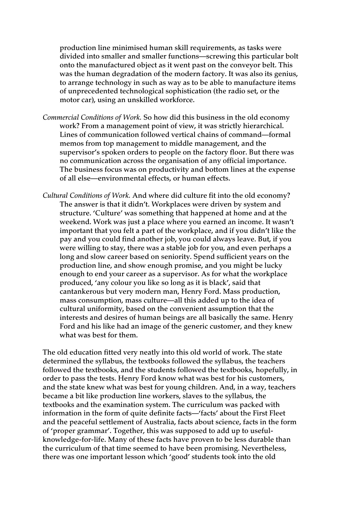**production line minimised human skill requirements, as tasks were divided into smaller and smaller functions—screwing this particular bolt onto the manufactured object as it went past on the conveyor belt. This was the human degradation of the modern factory. It was also its genius, to arrange technology in such as way as to be able to manufacture items of unprecedented technological sophistication (the radio set, or the motor car), using an unskilled workforce.** 

- *Commercial Conditions of Work.* **So how did this business in the old economy work? From a management point of view, it was strictly hierarchical. Lines of communication followed vertical chains of command—formal memos from top management to middle management, and the supervisor's spoken orders to people on the factory floor. But there was no communication across the organisation of any official importance. The business focus was on productivity and bottom lines at the expense of all else—environmental effects, or human effects.**
- *Cultural Conditions of Work.* **And where did culture fit into the old economy? The answer is that it didn't. Workplaces were driven by system and structure. 'Culture' was something that happened at home and at the weekend. Work was just a place where you earned an income. It wasn't important that you felt a part of the workplace, and if you didn't like the pay and you could find another job, you could always leave. But, if you were willing to stay, there was a stable job for you, and even perhaps a long and slow career based on seniority. Spend sufficient years on the production line, and show enough promise, and you might be lucky enough to end your career as a supervisor. As for what the workplace produced, 'any colour you like so long as it is black', said that cantankerous but very modern man, Henry Ford. Mass production, mass consumption, mass culture—all this added up to the idea of cultural uniformity, based on the convenient assumption that the interests and desires of human beings are all basically the same. Henry Ford and his like had an image of the generic customer, and they knew what was best for them.**

**The old education fitted very neatly into this old world of work. The state determined the syllabus, the textbooks followed the syllabus, the teachers followed the textbooks, and the students followed the textbooks, hopefully, in order to pass the tests. Henry Ford know what was best for his customers, and the state knew what was best for young children. And, in a way, teachers became a bit like production line workers, slaves to the syllabus, the textbooks and the examination system. The curriculum was packed with information in the form of quite definite facts—'facts' about the First Fleet and the peaceful settlement of Australia, facts about science, facts in the form of 'proper grammar'. Together, this was supposed to add up to usefulknowledge-for-life. Many of these facts have proven to be less durable than the curriculum of that time seemed to have been promising. Nevertheless, there was one important lesson which 'good' students took into the old**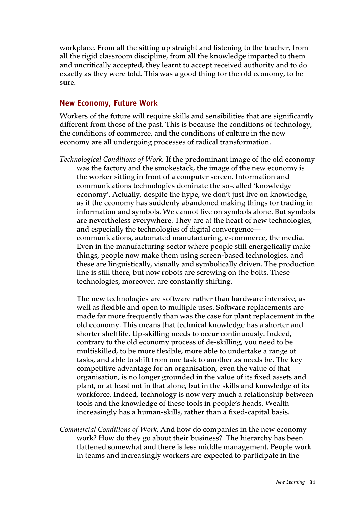**workplace. From all the sitting up straight and listening to the teacher, from all the rigid classroom discipline, from all the knowledge imparted to them and uncritically accepted, they learnt to accept received authority and to do exactly as they were told. This was a good thing for the old economy, to be sure.** 

## **New Economy, Future Work**

**Workers of the future will require skills and sensibilities that are significantly different from those of the past. This is because the conditions of technology, the conditions of commerce, and the conditions of culture in the new economy are all undergoing processes of radical transformation.** 

*Technological Conditions of Work.* **If the predominant image of the old economy was the factory and the smokestack, the image of the new economy is the worker sitting in front of a computer screen. Information and communications technologies dominate the so-called 'knowledge economy'. Actually, despite the hype, we don't just live on knowledge, as if the economy has suddenly abandoned making things for trading in information and symbols. We cannot live on symbols alone. But symbols are nevertheless everywhere. They are at the heart of new technologies, and especially the technologies of digital convergence communications, automated manufacturing, e-commerce, the media. Even in the manufacturing sector where people still energetically make things, people now make them using screen-based technologies, and these are linguistically, visually and symbolically driven. The production line is still there, but now robots are screwing on the bolts. These technologies, moreover, are constantly shifting.** 

**The new technologies are software rather than hardware intensive, as well as flexible and open to multiple uses. Software replacements are made far more frequently than was the case for plant replacement in the old economy. This means that technical knowledge has a shorter and shorter shelflife. Up-skilling needs to occur continuously. Indeed, contrary to the old economy process of de-skilling, you need to be multiskilled, to be more flexible, more able to undertake a range of tasks, and able to shift from one task to another as needs be. The key competitive advantage for an organisation, even the value of that organisation, is no longer grounded in the value of its fixed assets and plant, or at least not in that alone, but in the skills and knowledge of its workforce. Indeed, technology is now very much a relationship between tools and the knowledge of these tools in people's heads. Wealth increasingly has a human-skills, rather than a fixed-capital basis.** 

*Commercial Conditions of Work.* **And how do companies in the new economy work? How do they go about their business? The hierarchy has been flattened somewhat and there is less middle management. People work in teams and increasingly workers are expected to participate in the**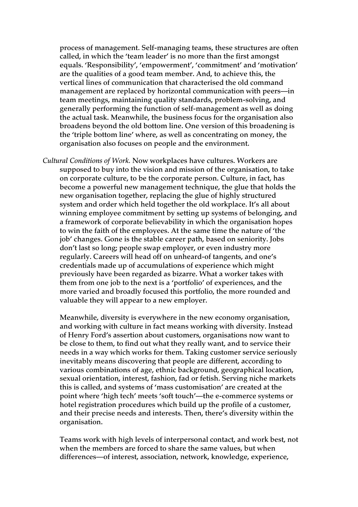**process of management. Self-managing teams, these structures are often called, in which the 'team leader' is no more than the first amongst equals. 'Responsibility', 'empowerment', 'commitment' and 'motivation' are the qualities of a good team member. And, to achieve this, the vertical lines of communication that characterised the old command management are replaced by horizontal communication with peers—in team meetings, maintaining quality standards, problem-solving, and generally performing the function of self-management as well as doing the actual task. Meanwhile, the business focus for the organisation also broadens beyond the old bottom line. One version of this broadening is the 'triple bottom line' where, as well as concentrating on money, the organisation also focuses on people and the environment.** 

*Cultural Conditions of Work.* **Now workplaces have cultures. Workers are supposed to buy into the vision and mission of the organisation, to take on corporate culture, to be the corporate person. Culture, in fact, has become a powerful new management technique, the glue that holds the new organisation together, replacing the glue of highly structured system and order which held together the old workplace. It's all about winning employee commitment by setting up systems of belonging, and a framework of corporate believability in which the organisation hopes to win the faith of the employees. At the same time the nature of 'the job' changes. Gone is the stable career path, based on seniority. Jobs don't last so long; people swap employer, or even industry more regularly. Careers will head off on unheard-of tangents, and one's credentials made up of accumulations of experience which might previously have been regarded as bizarre. What a worker takes with them from one job to the next is a 'portfolio' of experiences, and the more varied and broadly focused this portfolio, the more rounded and valuable they will appear to a new employer.** 

**Meanwhile, diversity is everywhere in the new economy organisation, and working with culture in fact means working with diversity. Instead of Henry Ford's assertion about customers, organisations now want to be close to them, to find out what they really want, and to service their needs in a way which works for them. Taking customer service seriously inevitably means discovering that people are different, according to various combinations of age, ethnic background, geographical location, sexual orientation, interest, fashion, fad or fetish. Serving niche markets this is called, and systems of 'mass customisation' are created at the point where 'high tech' meets 'soft touch'—the e-commerce systems or hotel registration procedures which build up the profile of a customer, and their precise needs and interests. Then, there's diversity within the organisation.** 

**Teams work with high levels of interpersonal contact, and work best, not when the members are forced to share the same values, but when differences—of interest, association, network, knowledge, experience,**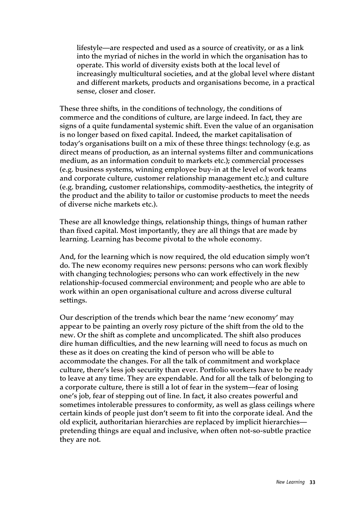**lifestyle—are respected and used as a source of creativity, or as a link into the myriad of niches in the world in which the organisation has to operate. This world of diversity exists both at the local level of increasingly multicultural societies, and at the global level where distant and different markets, products and organisations become, in a practical sense, closer and closer.** 

**These three shifts, in the conditions of technology, the conditions of commerce and the conditions of culture, are large indeed. In fact, they are signs of a quite fundamental systemic shift. Even the value of an organisation is no longer based on fixed capital. Indeed, the market capitalisation of today's organisations built on a mix of these three things: technology (e.g. as direct means of production, as an internal systems filter and communications medium, as an information conduit to markets etc.); commercial processes (e.g. business systems, winning employee buy-in at the level of work teams and corporate culture, customer relationship management etc.); and culture (e.g. branding, customer relationships, commodity-aesthetics, the integrity of the product and the ability to tailor or customise products to meet the needs of diverse niche markets etc.).** 

**These are all knowledge things, relationship things, things of human rather than fixed capital. Most importantly, they are all things that are made by learning. Learning has become pivotal to the whole economy.** 

**And, for the learning which is now required, the old education simply won't do. The new economy requires new persons: persons who can work flexibly with changing technologies; persons who can work effectively in the new relationship-focused commercial environment; and people who are able to work within an open organisational culture and across diverse cultural settings.** 

**Our description of the trends which bear the name 'new economy' may appear to be painting an overly rosy picture of the shift from the old to the new. Or the shift as complete and uncomplicated. The shift also produces dire human difficulties, and the new learning will need to focus as much on these as it does on creating the kind of person who will be able to accommodate the changes. For all the talk of commitment and workplace culture, there's less job security than ever. Portfolio workers have to be ready to leave at any time. They are expendable. And for all the talk of belonging to a corporate culture, there is still a lot of fear in the system—fear of losing one's job, fear of stepping out of line. In fact, it also creates powerful and sometimes intolerable pressures to conformity, as well as glass ceilings where certain kinds of people just don't seem to fit into the corporate ideal. And the old explicit, authoritarian hierarchies are replaced by implicit hierarchies pretending things are equal and inclusive, when often not-so-subtle practice they are not.**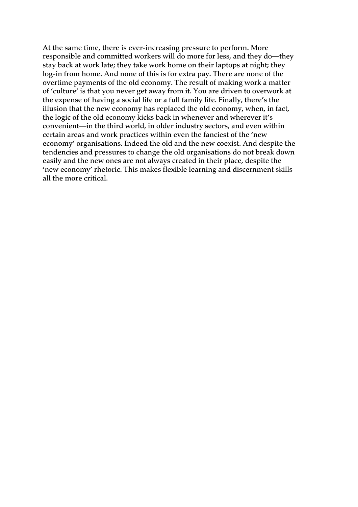**At the same time, there is ever-increasing pressure to perform. More responsible and committed workers will do more for less, and they do—they stay back at work late; they take work home on their laptops at night; they log-in from home. And none of this is for extra pay. There are none of the overtime payments of the old economy. The result of making work a matter of 'culture' is that you never get away from it. You are driven to overwork at the expense of having a social life or a full family life. Finally, there's the illusion that the new economy has replaced the old economy, when, in fact, the logic of the old economy kicks back in whenever and wherever it's convenient—in the third world, in older industry sectors, and even within certain areas and work practices within even the fanciest of the 'new economy' organisations. Indeed the old and the new coexist. And despite the tendencies and pressures to change the old organisations do not break down easily and the new ones are not always created in their place, despite the 'new economy' rhetoric. This makes flexible learning and discernment skills all the more critical.**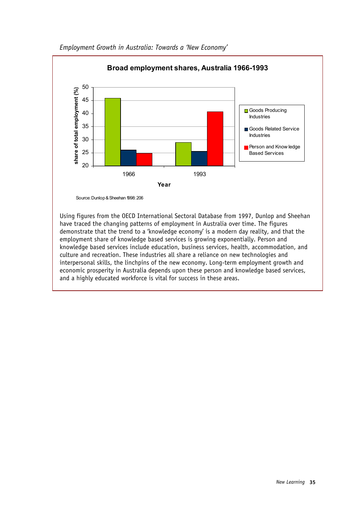

*Employment Growth in Australia: Towards a 'New Economy'* 

and a highly educated workforce is vital for success in these areas.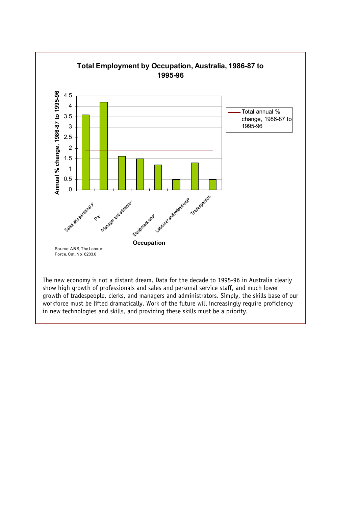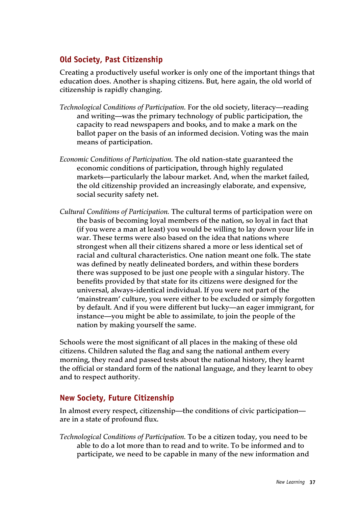## **Old Society, Past Citizenship**

**Creating a productively useful worker is only one of the important things that education does. Another is shaping citizens. But, here again, the old world of citizenship is rapidly changing.** 

- *Technological Conditions of Participation.* **For the old society, literacy—reading and writing—was the primary technology of public participation, the capacity to read newspapers and books, and to make a mark on the ballot paper on the basis of an informed decision. Voting was the main means of participation.**
- *Economic Conditions of Participation.* **The old nation-state guaranteed the economic conditions of participation, through highly regulated markets—particularly the labour market. And, when the market failed, the old citizenship provided an increasingly elaborate, and expensive, social security safety net.**
- *Cultural Conditions of Participation.* **The cultural terms of participation were on the basis of becoming loyal members of the nation, so loyal in fact that (if you were a man at least) you would be willing to lay down your life in war. These terms were also based on the idea that nations where strongest when all their citizens shared a more or less identical set of racial and cultural characteristics. One nation meant one folk. The state was defined by neatly delineated borders, and within these borders there was supposed to be just one people with a singular history. The benefits provided by that state for its citizens were designed for the universal, always-identical individual. If you were not part of the 'mainstream' culture, you were either to be excluded or simply forgotten by default. And if you were different but lucky—an eager immigrant, for instance—you might be able to assimilate, to join the people of the nation by making yourself the same.**

**Schools were the most significant of all places in the making of these old citizens. Children saluted the flag and sang the national anthem every morning, they read and passed tests about the national history, they learnt the official or standard form of the national language, and they learnt to obey and to respect authority.** 

## **New Society, Future Citizenship**

**In almost every respect, citizenship—the conditions of civic participation are in a state of profound flux.** 

*Technological Conditions of Participation.* **To be a citizen today, you need to be able to do a lot more than to read and to write. To be informed and to participate, we need to be capable in many of the new information and**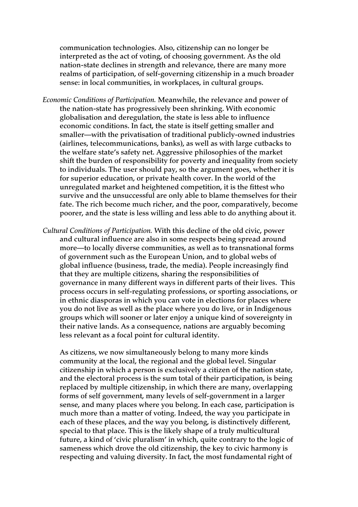**communication technologies. Also, citizenship can no longer be interpreted as the act of voting, of choosing government. As the old nation-state declines in strength and relevance, there are many more realms of participation, of self-governing citizenship in a much broader sense: in local communities, in workplaces, in cultural groups.** 

- *Economic Conditions of Participation.* **Meanwhile, the relevance and power of the nation-state has progressively been shrinking. With economic globalisation and deregulation, the state is less able to influence economic conditions. In fact, the state is itself getting smaller and smaller—with the privatisation of traditional publicly-owned industries (airlines, telecommunications, banks), as well as with large cutbacks to the welfare state's safety net. Aggressive philosophies of the market shift the burden of responsibility for poverty and inequality from society to individuals. The user should pay, so the argument goes, whether it is for superior education, or private health cover. In the world of the unregulated market and heightened competition, it is the fittest who survive and the unsuccessful are only able to blame themselves for their fate. The rich become much richer, and the poor, comparatively, become poorer, and the state is less willing and less able to do anything about it.**
- *Cultural Conditions of Participation.* **With this decline of the old civic, power and cultural influence are also in some respects being spread around more—to locally diverse communities, as well as to transnational forms of government such as the European Union, and to global webs of global influence (business, trade, the media). People increasingly find that they are multiple citizens, sharing the responsibilities of governance in many different ways in different parts of their lives. This process occurs in self-regulating professions, or sporting associations, or in ethnic diasporas in which you can vote in elections for places where you do not live as well as the place where you do live, or in Indigenous groups which will sooner or later enjoy a unique kind of sovereignty in their native lands. As a consequence, nations are arguably becoming less relevant as a focal point for cultural identity.**

**As citizens, we now simultaneously belong to many more kinds community at the local, the regional and the global level. Singular citizenship in which a person is exclusively a citizen of the nation state, and the electoral process is the sum total of their participation, is being replaced by multiple citizenship, in which there are many, overlapping forms of self government, many levels of self-government in a larger sense, and many places where you belong. In each case, participation is much more than a matter of voting. Indeed, the way you participate in each of these places, and the way you belong, is distinctively different, special to that place. This is the likely shape of a truly multicultural future, a kind of 'civic pluralism' in which, quite contrary to the logic of sameness which drove the old citizenship, the key to civic harmony is respecting and valuing diversity. In fact, the most fundamental right of**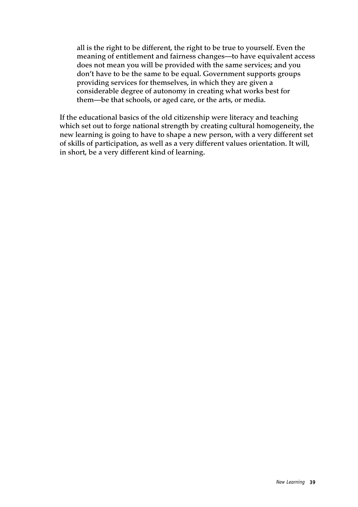**all is the right to be different, the right to be true to yourself. Even the meaning of entitlement and fairness changes—to have equivalent access does not mean you will be provided with the same services; and you don't have to be the same to be equal. Government supports groups providing services for themselves, in which they are given a considerable degree of autonomy in creating what works best for them—be that schools, or aged care, or the arts, or media.** 

**If the educational basics of the old citizenship were literacy and teaching which set out to forge national strength by creating cultural homogeneity, the new learning is going to have to shape a new person, with a very different set of skills of participation, as well as a very different values orientation. It will, in short, be a very different kind of learning.**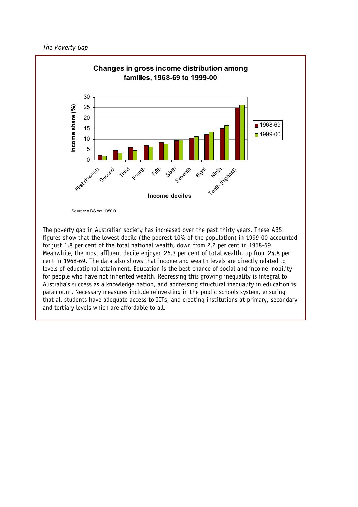*The Poverty Gap* 



The poverty gap in Australian society has increased over the past thirty years. These ABS figures show that the lowest decile (the poorest 10% of the population) in 1999-00 accounted for just 1.8 per cent of the total national wealth, down from 2.2 per cent in 1968-69. Meanwhile, the most affluent decile enjoyed 26.3 per cent of total wealth, up from 24.8 per cent in 1968-69. The data also shows that income and wealth levels are directly related to levels of educational attainment. Education is the best chance of social and income mobility for people who have not inherited wealth. Redressing this growing inequality is integral to Australia's success as a knowledge nation, and addressing structural inequality in education is paramount. Necessary measures include reinvesting in the public schools system, ensuring that all students have adequate access to ICTs, and creating institutions at primary, secondary and tertiary levels which are affordable to all.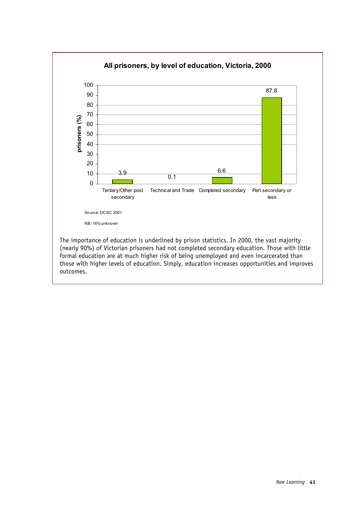

(nearly 90%) of Victorian prisoners had not completed secondary education. Those with little formal education are at much higher risk of being unemployed and even incarcerated than those with higher levels of education. Simply, education increases opportunities and improves outcomes.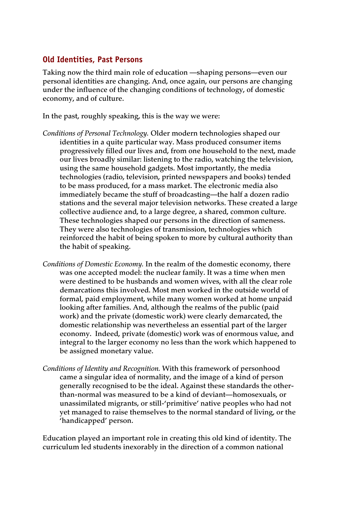## **Old Identities, Past Persons**

**Taking now the third main role of education —shaping persons—even our personal identities are changing. And, once again, our persons are changing under the influence of the changing conditions of technology, of domestic economy, and of culture.** 

**In the past, roughly speaking, this is the way we were:** 

- *Conditions of Personal Technology.* **Older modern technologies shaped our identities in a quite particular way. Mass produced consumer items progressively filled our lives and, from one household to the next, made our lives broadly similar: listening to the radio, watching the television, using the same household gadgets. Most importantly, the media technologies (radio, television, printed newspapers and books) tended to be mass produced, for a mass market. The electronic media also immediately became the stuff of broadcasting—the half a dozen radio stations and the several major television networks. These created a large collective audience and, to a large degree, a shared, common culture. These technologies shaped our persons in the direction of sameness. They were also technologies of transmission, technologies which reinforced the habit of being spoken to more by cultural authority than the habit of speaking.**
- *Conditions of Domestic Economy.* **In the realm of the domestic economy, there was one accepted model: the nuclear family. It was a time when men were destined to be husbands and women wives, with all the clear role demarcations this involved. Most men worked in the outside world of formal, paid employment, while many women worked at home unpaid looking after families. And, although the realms of the public (paid work) and the private (domestic work) were clearly demarcated, the domestic relationship was nevertheless an essential part of the larger economy. Indeed, private (domestic) work was of enormous value, and integral to the larger economy no less than the work which happened to be assigned monetary value.**
- *Conditions of Identity and Recognition.* **With this framework of personhood came a singular idea of normality, and the image of a kind of person generally recognised to be the ideal. Against these standards the otherthan-normal was measured to be a kind of deviant—homosexuals, or unassimilated migrants, or still-'primitive' native peoples who had not yet managed to raise themselves to the normal standard of living, or the 'handicapped' person.**

**Education played an important role in creating this old kind of identity. The curriculum led students inexorably in the direction of a common national**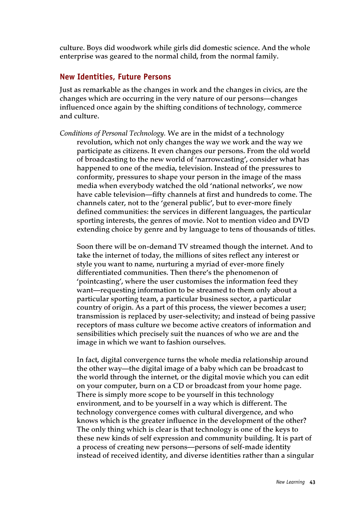**culture. Boys did woodwork while girls did domestic science. And the whole enterprise was geared to the normal child, from the normal family.** 

## **New Identities, Future Persons**

**Just as remarkable as the changes in work and the changes in civics, are the changes which are occurring in the very nature of our persons—changes influenced once again by the shifting conditions of technology, commerce and culture.** 

*Conditions of Personal Technology.* **We are in the midst of a technology revolution, which not only changes the way we work and the way we participate as citizens. It even changes our persons. From the old world of broadcasting to the new world of 'narrowcasting', consider what has happened to one of the media, television. Instead of the pressures to conformity, pressures to shape your person in the image of the mass media when everybody watched the old 'national networks', we now have cable television—fifty channels at first and hundreds to come. The channels cater, not to the 'general public', but to ever-more finely defined communities: the services in different languages, the particular sporting interests, the genres of movie. Not to mention video and DVD extending choice by genre and by language to tens of thousands of titles.** 

**Soon there will be on-demand TV streamed though the internet. And to take the internet of today, the millions of sites reflect any interest or style you want to name, nurturing a myriad of ever-more finely differentiated communities. Then there's the phenomenon of 'pointcasting', where the user customises the information feed they want—requesting information to be streamed to them only about a particular sporting team, a particular business sector, a particular country of origin. As a part of this process, the viewer becomes a user; transmission is replaced by user-selectivity; and instead of being passive receptors of mass culture we become active creators of information and sensibilities which precisely suit the nuances of who we are and the image in which we want to fashion ourselves.** 

**In fact, digital convergence turns the whole media relationship around the other way—the digital image of a baby which can be broadcast to the world through the internet, or the digital movie which you can edit on your computer, burn on a CD or broadcast from your home page. There is simply more scope to be yourself in this technology environment, and to be yourself in a way which is different. The technology convergence comes with cultural divergence, and who knows which is the greater influence in the development of the other? The only thing which is clear is that technology is one of the keys to these new kinds of self expression and community building. It is part of a process of creating new persons—persons of self-made identity instead of received identity, and diverse identities rather than a singular**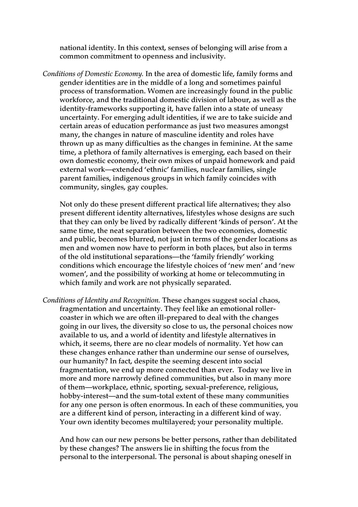**national identity. In this context, senses of belonging will arise from a common commitment to openness and inclusivity.** 

*Conditions of Domestic Economy.* **In the area of domestic life, family forms and gender identities are in the middle of a long and sometimes painful process of transformation. Women are increasingly found in the public workforce, and the traditional domestic division of labour, as well as the identity-frameworks supporting it, have fallen into a state of uneasy uncertainty. For emerging adult identities, if we are to take suicide and certain areas of education performance as just two measures amongst many, the changes in nature of masculine identity and roles have thrown up as many difficulties as the changes in feminine. At the same time, a plethora of family alternatives is emerging, each based on their own domestic economy, their own mixes of unpaid homework and paid external work—extended 'ethnic' families, nuclear families, single parent families, indigenous groups in which family coincides with community, singles, gay couples.** 

**Not only do these present different practical life alternatives; they also present different identity alternatives, lifestyles whose designs are such that they can only be lived by radically different 'kinds of person'. At the same time, the neat separation between the two economies, domestic and public, becomes blurred, not just in terms of the gender locations as men and women now have to perform in both places, but also in terms of the old institutional separations—the 'family friendly' working conditions which encourage the lifestyle choices of 'new men' and 'new women', and the possibility of working at home or telecommuting in which family and work are not physically separated.** 

*Conditions of Identity and Recognition.* **These changes suggest social chaos, fragmentation and uncertainty. They feel like an emotional rollercoaster in which we are often ill-prepared to deal with the changes going in our lives, the diversity so close to us, the personal choices now available to us, and a world of identity and lifestyle alternatives in which, it seems, there are no clear models of normality. Yet how can these changes enhance rather than undermine our sense of ourselves, our humanity? In fact, despite the seeming descent into social fragmentation, we end up more connected than ever. Today we live in more and more narrowly defined communities, but also in many more of them—workplace, ethnic, sporting, sexual-preference, religious, hobby-interest—and the sum-total extent of these many communities for any one person is often enormous. In each of these communities, you are a different kind of person, interacting in a different kind of way. Your own identity becomes multilayered; your personality multiple.** 

**And how can our new persons be better persons, rather than debilitated by these changes? The answers lie in shifting the focus from the personal to the interpersonal. The personal is about shaping oneself in**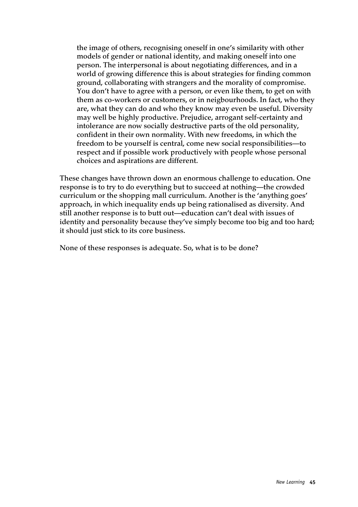**the image of others, recognising oneself in one's similarity with other models of gender or national identity, and making oneself into one person. The interpersonal is about negotiating differences, and in a world of growing difference this is about strategies for finding common ground, collaborating with strangers and the morality of compromise. You don't have to agree with a person, or even like them, to get on with them as co-workers or customers, or in neigbourhoods. In fact, who they are, what they can do and who they know may even be useful. Diversity may well be highly productive. Prejudice, arrogant self-certainty and intolerance are now socially destructive parts of the old personality, confident in their own normality. With new freedoms, in which the freedom to be yourself is central, come new social responsibilities—to respect and if possible work productively with people whose personal choices and aspirations are different.** 

**These changes have thrown down an enormous challenge to education. One response is to try to do everything but to succeed at nothing—the crowded curriculum or the shopping mall curriculum. Another is the 'anything goes' approach, in which inequality ends up being rationalised as diversity. And still another response is to butt out—education can't deal with issues of identity and personality because they've simply become too big and too hard; it should just stick to its core business.** 

**None of these responses is adequate. So, what is to be done?**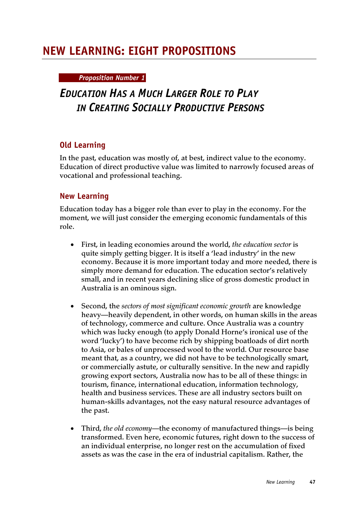## **NEW LEARNING: EIGHT PROPOSITIONS**

### *Proposition Number 1*

# *EDUCATION HAS A MUCH LARGER ROLE TO PLAY IN CREATING SOCIALLY PRODUCTIVE PERSONS*

## **Old Learning**

**In the past, education was mostly of, at best, indirect value to the economy. Education of direct productive value was limited to narrowly focused areas of vocational and professional teaching.** 

## **New Learning**

**Education today has a bigger role than ever to play in the economy. For the moment, we will just consider the emerging economic fundamentals of this role.** 

- **First, in leading economies around the world,** *the education sector* **is quite simply getting bigger. It is itself a 'lead industry' in the new economy. Because it is more important today and more needed, there is simply more demand for education. The education sector's relatively small, and in recent years declining slice of gross domestic product in Australia is an ominous sign.**
- **Second, the** *sectors of most significant economic growth* **are knowledge heavy—heavily dependent, in other words, on human skills in the areas of technology, commerce and culture. Once Australia was a country which was lucky enough (to apply Donald Horne's ironical use of the word 'lucky') to have become rich by shipping boatloads of dirt north to Asia, or bales of unprocessed wool to the world. Our resource base meant that, as a country, we did not have to be technologically smart, or commercially astute, or culturally sensitive. In the new and rapidly growing export sectors, Australia now has to be all of these things: in tourism, finance, international education, information technology, health and business services. These are all industry sectors built on human-skills advantages, not the easy natural resource advantages of the past.**
- **Third,** *the old economy***—the economy of manufactured things—is being transformed. Even here, economic futures, right down to the success of an individual enterprise, no longer rest on the accumulation of fixed assets as was the case in the era of industrial capitalism. Rather, the**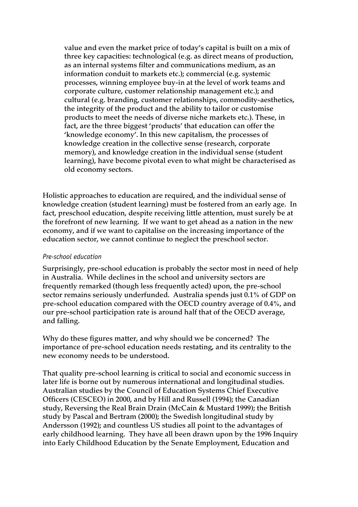**value and even the market price of today's capital is built on a mix of three key capacities: technological (e.g. as direct means of production, as an internal systems filter and communications medium, as an information conduit to markets etc.); commercial (e.g. systemic processes, winning employee buy-in at the level of work teams and corporate culture, customer relationship management etc.); and cultural (e.g. branding, customer relationships, commodity-aesthetics, the integrity of the product and the ability to tailor or customise products to meet the needs of diverse niche markets etc.). These, in fact, are the three biggest 'products' that education can offer the 'knowledge economy'. In this new capitalism, the processes of knowledge creation in the collective sense (research, corporate memory), and knowledge creation in the individual sense (student learning), have become pivotal even to what might be characterised as old economy sectors.** 

**Holistic approaches to education are required, and the individual sense of knowledge creation (student learning) must be fostered from an early age. In fact, preschool education, despite receiving little attention, must surely be at the forefront of new learning. If we want to get ahead as a nation in the new economy, and if we want to capitalise on the increasing importance of the education sector, we cannot continue to neglect the preschool sector.** 

#### *Pre-school education*

**Surprisingly, pre-school education is probably the sector most in need of help in Australia. While declines in the school and university sectors are frequently remarked (though less frequently acted) upon, the pre-school sector remains seriously underfunded. Australia spends just 0.1% of GDP on pre-school education compared with the OECD country average of 0.4%, and our pre-school participation rate is around half that of the OECD average, and falling.** 

**Why do these figures matter, and why should we be concerned? The importance of pre-school education needs restating, and its centrality to the new economy needs to be understood.** 

**That quality pre-school learning is critical to social and economic success in later life is borne out by numerous international and longitudinal studies. Australian studies by the Council of Education Systems Chief Executive Officers (CESCEO) in 2000, and by Hill and Russell (1994); the Canadian study, Reversing the Real Brain Drain (McCain & Mustard 1999); the British study by Pascal and Bertram (2000); the Swedish longitudinal study by Andersson (1992); and countless US studies all point to the advantages of early childhood learning. They have all been drawn upon by the 1996 Inquiry into Early Childhood Education by the Senate Employment, Education and**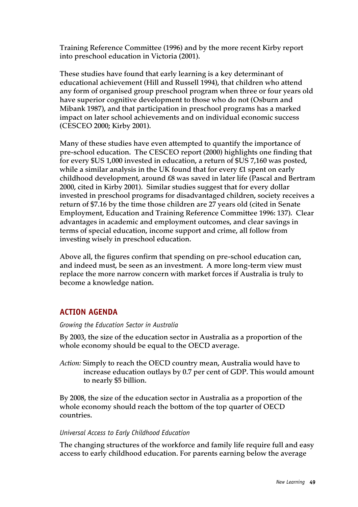**Training Reference Committee (1996) and by the more recent Kirby report into preschool education in Victoria (2001).** 

**These studies have found that early learning is a key determinant of educational achievement (Hill and Russell 1994), that children who attend any form of organised group preschool program when three or four years old have superior cognitive development to those who do not (Osburn and Mibank 1987), and that participation in preschool programs has a marked impact on later school achievements and on individual economic success (CESCEO 2000; Kirby 2001).** 

**Many of these studies have even attempted to quantify the importance of pre-school education. The CESCEO report (2000) highlights one finding that for every \$US 1,000 invested in education, a return of \$US 7,160 was posted, while a similar analysis in the UK found that for every £1 spent on early childhood development, around £8 was saved in later life (Pascal and Bertram 2000, cited in Kirby 2001). Similar studies suggest that for every dollar invested in preschool programs for disadvantaged children, society receives a return of \$7.16 by the time those children are 27 years old (cited in Senate Employment, Education and Training Reference Committee 1996: 137). Clear advantages in academic and employment outcomes, and clear savings in terms of special education, income support and crime, all follow from investing wisely in preschool education.** 

**Above all, the figures confirm that spending on pre-school education can, and indeed must, be seen as an investment. A more long-term view must replace the more narrow concern with market forces if Australia is truly to become a knowledge nation.** 

## **ACTION AGENDA**

#### *Growing the Education Sector in Australia*

**By 2003, the size of the education sector in Australia as a proportion of the whole economy should be equal to the OECD average.** 

*Action:* **Simply to reach the OECD country mean, Australia would have to increase education outlays by 0.7 per cent of GDP. This would amount to nearly \$5 billion.** 

**By 2008, the size of the education sector in Australia as a proportion of the whole economy should reach the bottom of the top quarter of OECD countries.** 

#### *Universal Access to Early Childhood Education*

**The changing structures of the workforce and family life require full and easy access to early childhood education. For parents earning below the average**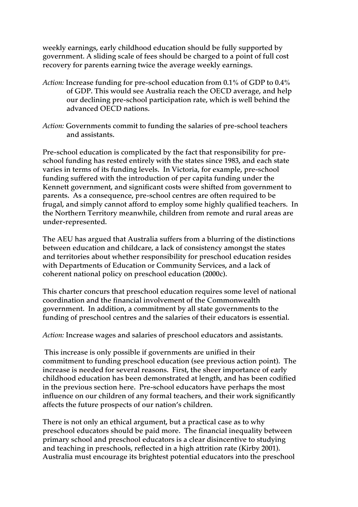**weekly earnings, early childhood education should be fully supported by government. A sliding scale of fees should be charged to a point of full cost recovery for parents earning twice the average weekly earnings.** 

- *Action:* **Increase funding for pre-school education from 0.1% of GDP to 0.4% of GDP. This would see Australia reach the OECD average, and help our declining pre-school participation rate, which is well behind the advanced OECD nations.**
- *Action:* **Governments commit to funding the salaries of pre-school teachers and assistants.**

**Pre-school education is complicated by the fact that responsibility for preschool funding has rested entirely with the states since 1983, and each state varies in terms of its funding levels. In Victoria, for example, pre-school funding suffered with the introduction of per capita funding under the Kennett government, and significant costs were shifted from government to parents. As a consequence, pre-school centres are often required to be frugal, and simply cannot afford to employ some highly qualified teachers. In the Northern Territory meanwhile, children from remote and rural areas are under-represented.** 

**The AEU has argued that Australia suffers from a blurring of the distinctions between education and childcare, a lack of consistency amongst the states and territories about whether responsibility for preschool education resides with Departments of Education or Community Services, and a lack of coherent national policy on preschool education (2000c).** 

**This charter concurs that preschool education requires some level of national coordination and the financial involvement of the Commonwealth government. In addition, a commitment by all state governments to the funding of preschool centres and the salaries of their educators is essential.** 

*Action:* **Increase wages and salaries of preschool educators and assistants.** 

 **This increase is only possible if governments are unified in their commitment to funding preschool education (see previous action point). The increase is needed for several reasons. First, the sheer importance of early childhood education has been demonstrated at length, and has been codified in the previous section here. Pre-school educators have perhaps the most influence on our children of any formal teachers, and their work significantly affects the future prospects of our nation's children.** 

**There is not only an ethical argument, but a practical case as to why preschool educators should be paid more. The financial inequality between primary school and preschool educators is a clear disincentive to studying and teaching in preschools, reflected in a high attrition rate (Kirby 2001). Australia must encourage its brightest potential educators into the preschool**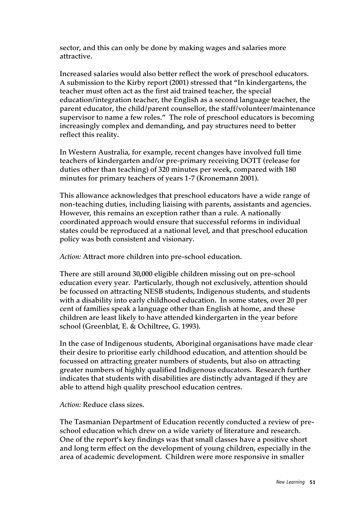**sector, and this can only be done by making wages and salaries more attractive.** 

**Increased salaries would also better reflect the work of preschool educators. A submission to the Kirby report (2001) stressed that "In kindergartens, the teacher must often act as the first aid trained teacher, the special education/integration teacher, the English as a second language teacher, the parent educator, the child/parent counsellor, the staff/volunteer/maintenance supervisor to name a few roles." The role of preschool educators is becoming increasingly complex and demanding, and pay structures need to better reflect this reality.** 

**In Western Australia, for example, recent changes have involved full time teachers of kindergarten and/or pre-primary receiving DOTT (release for duties other than teaching) of 320 minutes per week, compared with 180 minutes for primary teachers of years 1-7 (Kronemann 2001).** 

**This allowance acknowledges that preschool educators have a wide range of non-teaching duties, including liaising with parents, assistants and agencies. However, this remains an exception rather than a rule. A nationally coordinated approach would ensure that successful reforms in individual states could be reproduced at a national level, and that preschool education policy was both consistent and visionary.** 

*Action:* **Attract more children into pre-school education.** 

**There are still around 30,000 eligible children missing out on pre-school education every year. Particularly, though not exclusively, attention should be focussed on attracting NESB students, Indigenous students, and students with a disability into early childhood education. In some states, over 20 per cent of families speak a language other than English at home, and these children are least likely to have attended kindergarten in the year before school (Greenblat, E. & Ochiltree, G. 1993).** 

**In the case of Indigenous students, Aboriginal organisations have made clear their desire to prioritise early childhood education, and attention should be focussed on attracting greater numbers of students, but also on attracting greater numbers of highly qualified Indigenous educators. Research further indicates that students with disabilities are distinctly advantaged if they are able to attend high quality preschool education centres.** 

*Action:* **Reduce class sizes.** 

**The Tasmanian Department of Education recently conducted a review of preschool education which drew on a wide variety of literature and research. One of the report's key findings was that small classes have a positive short and long term effect on the development of young children, especially in the area of academic development. Children were more responsive in smaller**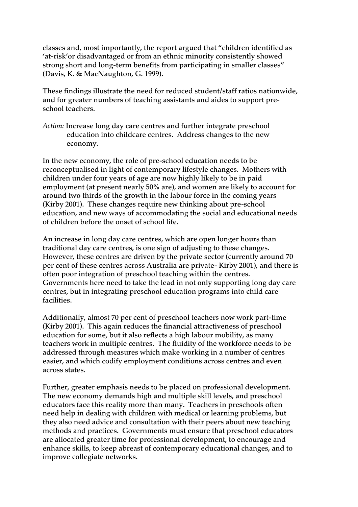**classes and, most importantly, the report argued that "children identified as 'at-risk'or disadvantaged or from an ethnic minority consistently showed strong short and long-term benefits from participating in smaller classes" (Davis, K. & MacNaughton, G. 1999).** 

**These findings illustrate the need for reduced student/staff ratios nationwide, and for greater numbers of teaching assistants and aides to support preschool teachers.** 

*Action:* **Increase long day care centres and further integrate preschool education into childcare centres. Address changes to the new economy.** 

**In the new economy, the role of pre-school education needs to be reconceptualised in light of contemporary lifestyle changes. Mothers with children under four years of age are now highly likely to be in paid employment (at present nearly 50% are), and women are likely to account for around two thirds of the growth in the labour force in the coming years (Kirby 2001). These changes require new thinking about pre-school education, and new ways of accommodating the social and educational needs of children before the onset of school life.** 

**An increase in long day care centres, which are open longer hours than traditional day care centres, is one sign of adjusting to these changes. However, these centres are driven by the private sector (currently around 70 per cent of these centres across Australia are private- Kirby 2001), and there is often poor integration of preschool teaching within the centres. Governments here need to take the lead in not only supporting long day care centres, but in integrating preschool education programs into child care facilities.** 

**Additionally, almost 70 per cent of preschool teachers now work part-time (Kirby 2001). This again reduces the financial attractiveness of preschool education for some, but it also reflects a high labour mobility, as many teachers work in multiple centres. The fluidity of the workforce needs to be addressed through measures which make working in a number of centres easier, and which codify employment conditions across centres and even across states.** 

**Further, greater emphasis needs to be placed on professional development. The new economy demands high and multiple skill levels, and preschool educators face this reality more than many. Teachers in preschools often need help in dealing with children with medical or learning problems, but they also need advice and consultation with their peers about new teaching methods and practices. Governments must ensure that preschool educators are allocated greater time for professional development, to encourage and enhance skills, to keep abreast of contemporary educational changes, and to improve collegiate networks.**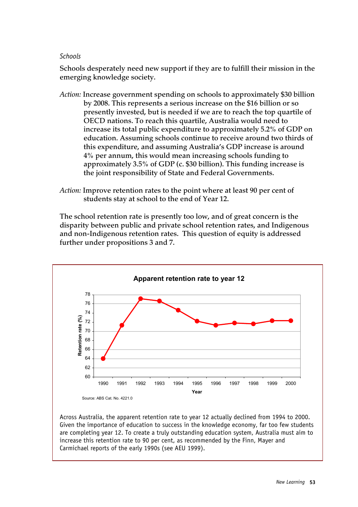#### *Schools*

**Schools desperately need new support if they are to fulfill their mission in the emerging knowledge society.** 

- *Action:* **Increase government spending on schools to approximately \$30 billion by 2008. This represents a serious increase on the \$16 billion or so presently invested, but is needed if we are to reach the top quartile of OECD nations. To reach this quartile, Australia would need to increase its total public expenditure to approximately 5.2% of GDP on education. Assuming schools continue to receive around two thirds of this expenditure, and assuming Australia's GDP increase is around 4% per annum, this would mean increasing schools funding to approximately 3.5% of GDP (c. \$30 billion). This funding increase is the joint responsibility of State and Federal Governments.**
- *Action:* **Improve retention rates to the point where at least 90 per cent of students stay at school to the end of Year 12.**

**The school retention rate is presently too low, and of great concern is the disparity between public and private school retention rates, and Indigenous and non-Indigenous retention rates. This question of equity is addressed further under propositions 3 and 7.** 



Across Australia, the apparent retention rate to year 12 actually declined from 1994 to 2000. Given the importance of education to success in the knowledge economy, far too few students are completing year 12. To create a truly outstanding education system, Australia must aim to increase this retention rate to 90 per cent, as recommended by the Finn, Mayer and Carmichael reports of the early 1990s (see AEU 1999).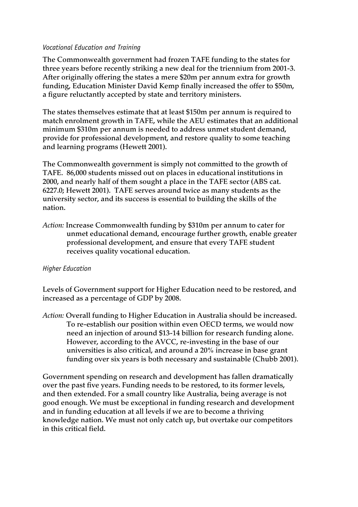#### *Vocational Education and Training*

**The Commonwealth government had frozen TAFE funding to the states for three years before recently striking a new deal for the triennium from 2001-3. After originally offering the states a mere \$20m per annum extra for growth funding, Education Minister David Kemp finally increased the offer to \$50m, a figure reluctantly accepted by state and territory ministers.** 

**The states themselves estimate that at least \$150m per annum is required to match enrolment growth in TAFE, while the AEU estimates that an additional minimum \$310m per annum is needed to address unmet student demand, provide for professional development, and restore quality to some teaching and learning programs (Hewett 2001).** 

**The Commonwealth government is simply not committed to the growth of TAFE. 86,000 students missed out on places in educational institutions in 2000, and nearly half of them sought a place in the TAFE sector (ABS cat. 6227.0; Hewett 2001). TAFE serves around twice as many students as the university sector, and its success is essential to building the skills of the nation.** 

*Action:* **Increase Commonwealth funding by \$310m per annum to cater for unmet educational demand, encourage further growth, enable greater professional development, and ensure that every TAFE student receives quality vocational education.** 

#### *Higher Education*

**Levels of Government support for Higher Education need to be restored, and increased as a percentage of GDP by 2008.** 

*Action:* **Overall funding to Higher Education in Australia should be increased. To re-establish our position within even OECD terms, we would now need an injection of around \$13-14 billion for research funding alone. However, according to the AVCC, re-investing in the base of our universities is also critical, and around a 20% increase in base grant funding over six years is both necessary and sustainable (Chubb 2001).** 

**Government spending on research and development has fallen dramatically over the past five years. Funding needs to be restored, to its former levels, and then extended. For a small country like Australia, being average is not good enough. We must be exceptional in funding research and development and in funding education at all levels if we are to become a thriving knowledge nation. We must not only catch up, but overtake our competitors in this critical field.**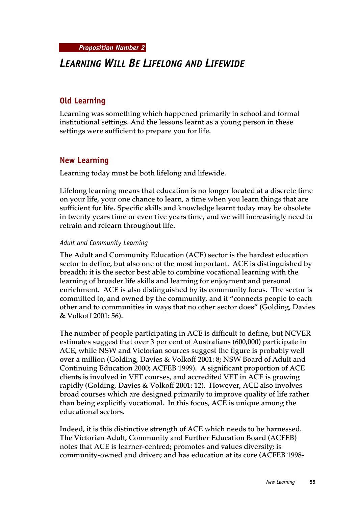*Proposition Number 2* 

## *LEARNING WILL BE LIFELONG AND LIFEWIDE*

## **Old Learning**

**Learning was something which happened primarily in school and formal institutional settings. And the lessons learnt as a young person in these settings were sufficient to prepare you for life.** 

## **New Learning**

**Learning today must be both lifelong and lifewide.** 

**Lifelong learning means that education is no longer located at a discrete time on your life, your one chance to learn, a time when you learn things that are sufficient for life. Specific skills and knowledge learnt today may be obsolete in twenty years time or even five years time, and we will increasingly need to retrain and relearn throughout life.** 

#### *Adult and Community Learning*

**The Adult and Community Education (ACE) sector is the hardest education sector to define, but also one of the most important. ACE is distinguished by breadth: it is the sector best able to combine vocational learning with the learning of broader life skills and learning for enjoyment and personal enrichment. ACE is also distinguished by its community focus. The sector is committed to, and owned by the community, and it "connects people to each other and to communities in ways that no other sector does" (Golding, Davies & Volkoff 2001: 56).** 

**The number of people participating in ACE is difficult to define, but NCVER estimates suggest that over 3 per cent of Australians (600,000) participate in ACE, while NSW and Victorian sources suggest the figure is probably well over a million (Golding, Davies & Volkoff 2001: 8; NSW Board of Adult and Continuing Education 2000; ACFEB 1999). A significant proportion of ACE clients is involved in VET courses, and accredited VET in ACE is growing rapidly (Golding, Davies & Volkoff 2001: 12). However, ACE also involves broad courses which are designed primarily to improve quality of life rather than being explicitly vocational. In this focus, ACE is unique among the educational sectors.** 

**Indeed, it is this distinctive strength of ACE which needs to be harnessed. The Victorian Adult, Community and Further Education Board (ACFEB) notes that ACE is learner-centred; promotes and values diversity; is community-owned and driven; and has education at its core (ACFEB 1998-**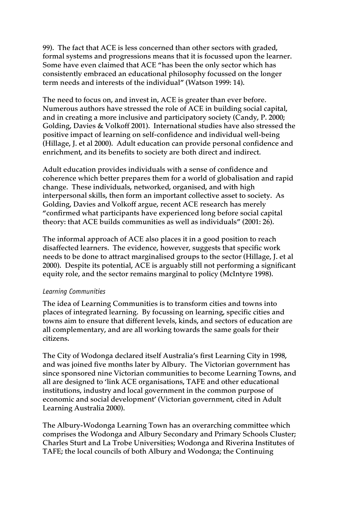**99). The fact that ACE is less concerned than other sectors with graded, formal systems and progressions means that it is focussed upon the learner. Some have even claimed that ACE "has been the only sector which has consistently embraced an educational philosophy focussed on the longer term needs and interests of the individual" (Watson 1999: 14).** 

**The need to focus on, and invest in, ACE is greater than ever before. Numerous authors have stressed the role of ACE in building social capital, and in creating a more inclusive and participatory society (Candy, P. 2000; Golding, Davies & Volkoff 2001). International studies have also stressed the positive impact of learning on self-confidence and individual well-being (Hillage, J. et al 2000). Adult education can provide personal confidence and enrichment, and its benefits to society are both direct and indirect.** 

**Adult education provides individuals with a sense of confidence and coherence which better prepares them for a world of globalisation and rapid change. These individuals, networked, organised, and with high interpersonal skills, then form an important collective asset to society. As Golding, Davies and Volkoff argue, recent ACE research has merely "confirmed what participants have experienced long before social capital theory: that ACE builds communities as well as individuals" (2001: 26).** 

**The informal approach of ACE also places it in a good position to reach disaffected learners. The evidence, however, suggests that specific work needs to be done to attract marginalised groups to the sector (Hillage, J. et al 2000). Despite its potential, ACE is arguably still not performing a significant equity role, and the sector remains marginal to policy (McIntyre 1998).** 

#### *Learning Communities*

**The idea of Learning Communities is to transform cities and towns into places of integrated learning. By focussing on learning, specific cities and towns aim to ensure that different levels, kinds, and sectors of education are all complementary, and are all working towards the same goals for their citizens.** 

**The City of Wodonga declared itself Australia's first Learning City in 1998, and was joined five months later by Albury. The Victorian government has since sponsored nine Victorian communities to become Learning Towns, and all are designed to 'link ACE organisations, TAFE and other educational institutions, industry and local government in the common purpose of economic and social development' (Victorian government, cited in Adult Learning Australia 2000).** 

**The Albury-Wodonga Learning Town has an overarching committee which comprises the Wodonga and Albury Secondary and Primary Schools Cluster; Charles Sturt and La Trobe Universities; Wodonga and Riverina Institutes of TAFE; the local councils of both Albury and Wodonga; the Continuing**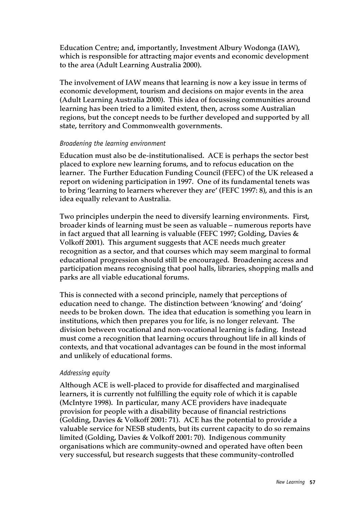**Education Centre; and, importantly, Investment Albury Wodonga (IAW), which is responsible for attracting major events and economic development to the area (Adult Learning Australia 2000).** 

**The involvement of IAW means that learning is now a key issue in terms of economic development, tourism and decisions on major events in the area (Adult Learning Australia 2000). This idea of focussing communities around learning has been tried to a limited extent, then, across some Australian regions, but the concept needs to be further developed and supported by all state, territory and Commonwealth governments.** 

#### *Broadening the learning environment*

**Education must also be de-institutionalised. ACE is perhaps the sector best placed to explore new learning forums, and to refocus education on the learner. The Further Education Funding Council (FEFC) of the UK released a report on widening participation in 1997. One of its fundamental tenets was to bring 'learning to learners wherever they are' (FEFC 1997: 8), and this is an idea equally relevant to Australia.** 

**Two principles underpin the need to diversify learning environments. First, broader kinds of learning must be seen as valuable – numerous reports have in fact argued that all learning is valuable (FEFC 1997; Golding, Davies & Volkoff 2001). This argument suggests that ACE needs much greater recognition as a sector, and that courses which may seem marginal to formal educational progression should still be encouraged. Broadening access and participation means recognising that pool halls, libraries, shopping malls and parks are all viable educational forums.** 

**This is connected with a second principle, namely that perceptions of education need to change. The distinction between 'knowing' and 'doing' needs to be broken down. The idea that education is something you learn in institutions, which then prepares you for life, is no longer relevant. The division between vocational and non-vocational learning is fading. Instead must come a recognition that learning occurs throughout life in all kinds of contexts, and that vocational advantages can be found in the most informal and unlikely of educational forms.** 

#### *Addressing equity*

**Although ACE is well-placed to provide for disaffected and marginalised learners, it is currently not fulfilling the equity role of which it is capable (McIntyre 1998). In particular, many ACE providers have inadequate provision for people with a disability because of financial restrictions (Golding, Davies & Volkoff 2001: 71). ACE has the potential to provide a valuable service for NESB students, but its current capacity to do so remains limited (Golding, Davies & Volkoff 2001: 70). Indigenous community organisations which are community-owned and operated have often been very successful, but research suggests that these community-controlled**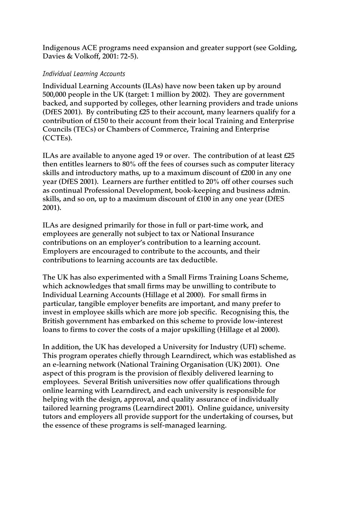**Indigenous ACE programs need expansion and greater support (see Golding, Davies & Volkoff, 2001: 72-5).** 

#### *Individual Learning Accounts*

**Individual Learning Accounts (ILAs) have now been taken up by around 500,000 people in the UK (target: 1 million by 2002). They are government backed, and supported by colleges, other learning providers and trade unions (DfES 2001). By contributing £25 to their account, many learners qualify for a contribution of £150 to their account from their local Training and Enterprise Councils (TECs) or Chambers of Commerce, Training and Enterprise (CCTEs).** 

**ILAs are available to anyone aged 19 or over. The contribution of at least £25 then entitles learners to 80% off the fees of courses such as computer literacy skills and introductory maths, up to a maximum discount of £200 in any one year (DfES 2001). Learners are further entitled to 20% off other courses such as continual Professional Development, book-keeping and business admin. skills, and so on, up to a maximum discount of £100 in any one year (DfES 2001).** 

**ILAs are designed primarily for those in full or part-time work, and employees are generally not subject to tax or National Insurance contributions on an employer's contribution to a learning account. Employers are encouraged to contribute to the accounts, and their contributions to learning accounts are tax deductible.** 

**The UK has also experimented with a Small Firms Training Loans Scheme, which acknowledges that small firms may be unwilling to contribute to Individual Learning Accounts (Hillage et al 2000). For small firms in particular, tangible employer benefits are important, and many prefer to invest in employee skills which are more job specific. Recognising this, the British government has embarked on this scheme to provide low-interest loans to firms to cover the costs of a major upskilling (Hillage et al 2000).** 

**In addition, the UK has developed a University for Industry (UFI) scheme. This program operates chiefly through Learndirect, which was established as an e-learning network (National Training Organisation (UK) 2001). One aspect of this program is the provision of flexibly delivered learning to employees. Several British universities now offer qualifications through online learning with Learndirect, and each university is responsible for helping with the design, approval, and quality assurance of individually tailored learning programs (Learndirect 2001). Online guidance, university tutors and employers all provide support for the undertaking of courses, but the essence of these programs is self-managed learning.**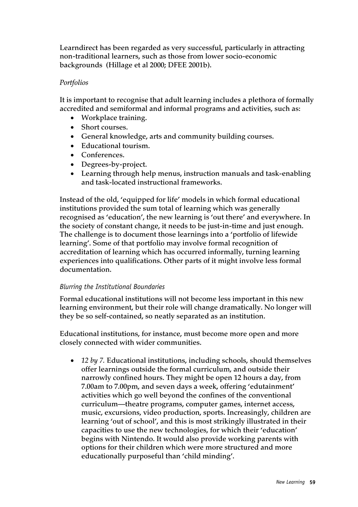**Learndirect has been regarded as very successful, particularly in attracting non-traditional learners, such as those from lower socio-economic backgrounds (Hillage et al 2000; DFEE 2001b).** 

#### *Portfolios*

**It is important to recognise that adult learning includes a plethora of formally accredited and semiformal and informal programs and activities, such as:** 

- **Workplace training.**
- **Short courses.**
- **General knowledge, arts and community building courses.**
- **Educational tourism.**
- **Conferences.**
- **Degrees-by-project.**
- **Learning through help menus, instruction manuals and task-enabling and task-located instructional frameworks.**

**Instead of the old, 'equipped for life' models in which formal educational institutions provided the sum total of learning which was generally recognised as 'education', the new learning is 'out there' and everywhere. In the society of constant change, it needs to be just-in-time and just enough. The challenge is to document those learnings into a 'portfolio of lifewide learning'. Some of that portfolio may involve formal recognition of accreditation of learning which has occurred informally, turning learning experiences into qualifications. Other parts of it might involve less formal documentation.** 

### *Blurring the Institutional Boundaries*

**Formal educational institutions will not become less important in this new learning environment, but their role will change dramatically. No longer will they be so self-contained, so neatly separated as an institution.** 

**Educational institutions, for instance, must become more open and more closely connected with wider communities.** 

• *12 by 7.* **Educational institutions, including schools, should themselves offer learnings outside the formal curriculum, and outside their narrowly confined hours. They might be open 12 hours a day, from 7.00am to 7.00pm, and seven days a week, offering 'edutainment' activities which go well beyond the confines of the conventional curriculum—theatre programs, computer games, internet access, music, excursions, video production, sports. Increasingly, children are learning 'out of school', and this is most strikingly illustrated in their capacities to use the new technologies, for which their 'education' begins with Nintendo. It would also provide working parents with options for their children which were more structured and more educationally purposeful than 'child minding'.**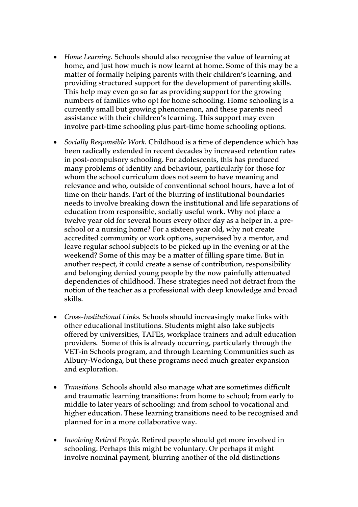- *Home Learning.* **Schools should also recognise the value of learning at home, and just how much is now learnt at home. Some of this may be a matter of formally helping parents with their children's learning, and providing structured support for the development of parenting skills. This help may even go so far as providing support for the growing numbers of families who opt for home schooling. Home schooling is a currently small but growing phenomenon, and these parents need assistance with their children's learning. This support may even involve part-time schooling plus part-time home schooling options.**
- *Socially Responsible Work.* **Childhood is a time of dependence which has been radically extended in recent decades by increased retention rates in post-compulsory schooling. For adolescents, this has produced many problems of identity and behaviour, particularly for those for whom the school curriculum does not seem to have meaning and relevance and who, outside of conventional school hours, have a lot of time on their hands. Part of the blurring of institutional boundaries needs to involve breaking down the institutional and life separations of education from responsible, socially useful work. Why not place a twelve year old for several hours every other day as a helper in. a preschool or a nursing home? For a sixteen year old, why not create accredited community or work options, supervised by a mentor, and leave regular school subjects to be picked up in the evening or at the weekend? Some of this may be a matter of filling spare time. But in another respect, it could create a sense of contribution, responsibility and belonging denied young people by the now painfully attenuated dependencies of childhood. These strategies need not detract from the notion of the teacher as a professional with deep knowledge and broad skills.**
- *Cross-Institutional Links.* **Schools should increasingly make links with other educational institutions. Students might also take subjects offered by universities, TAFEs, workplace trainers and adult education providers. Some of this is already occurring, particularly through the VET-in Schools program, and through Learning Communities such as Albury-Wodonga, but these programs need much greater expansion and exploration.**
- *Transitions.* **Schools should also manage what are sometimes difficult and traumatic learning transitions: from home to school; from early to middle to later years of schooling; and from school to vocational and higher education. These learning transitions need to be recognised and planned for in a more collaborative way.**
- *Involving Retired People.* **Retired people should get more involved in schooling. Perhaps this might be voluntary. Or perhaps it might involve nominal payment, blurring another of the old distinctions**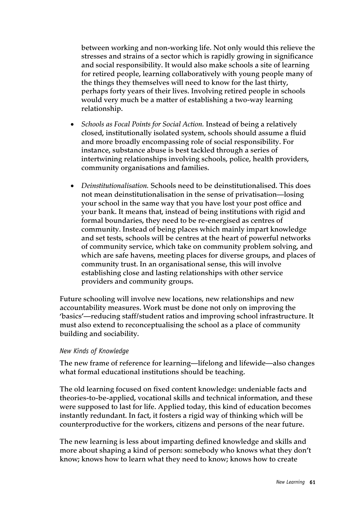**between working and non-working life. Not only would this relieve the stresses and strains of a sector which is rapidly growing in significance and social responsibility. It would also make schools a site of learning for retired people, learning collaboratively with young people many of the things they themselves will need to know for the last thirty, perhaps forty years of their lives. Involving retired people in schools would very much be a matter of establishing a two-way learning relationship.** 

- *Schools as Focal Points for Social Action.* **Instead of being a relatively closed, institutionally isolated system, schools should assume a fluid and more broadly encompassing role of social responsibility. For instance, substance abuse is best tackled through a series of intertwining relationships involving schools, police, health providers, community organisations and families.**
- *Deinstitutionalisation.* **Schools need to be deinstitutionalised. This does not mean deinstitutionalisation in the sense of privatisation—losing your school in the same way that you have lost your post office and your bank. It means that, instead of being institutions with rigid and formal boundaries, they need to be re-energised as centres of community. Instead of being places which mainly impart knowledge and set tests, schools will be centres at the heart of powerful networks of community service, which take on community problem solving, and which are safe havens, meeting places for diverse groups, and places of community trust. In an organisational sense, this will involve establishing close and lasting relationships with other service providers and community groups.**

**Future schooling will involve new locations, new relationships and new accountability measures. Work must be done not only on improving the 'basics'—reducing staff/student ratios and improving school infrastructure. It must also extend to reconceptualising the school as a place of community building and sociability.** 

#### *New Kinds of Knowledge*

**The new frame of reference for learning—lifelong and lifewide—also changes what formal educational institutions should be teaching.** 

**The old learning focused on fixed content knowledge: undeniable facts and theories-to-be-applied, vocational skills and technical information, and these were supposed to last for life. Applied today, this kind of education becomes instantly redundant. In fact, it fosters a rigid way of thinking which will be counterproductive for the workers, citizens and persons of the near future.** 

**The new learning is less about imparting defined knowledge and skills and more about shaping a kind of person: somebody who knows what they don't know; knows how to learn what they need to know; knows how to create**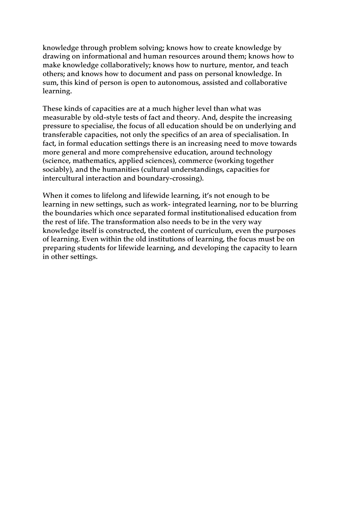**knowledge through problem solving; knows how to create knowledge by drawing on informational and human resources around them; knows how to make knowledge collaboratively; knows how to nurture, mentor, and teach others; and knows how to document and pass on personal knowledge. In sum, this kind of person is open to autonomous, assisted and collaborative learning.** 

**These kinds of capacities are at a much higher level than what was measurable by old-style tests of fact and theory. And, despite the increasing pressure to specialise, the focus of all education should be on underlying and transferable capacities, not only the specifics of an area of specialisation. In fact, in formal education settings there is an increasing need to move towards more general and more comprehensive education, around technology (science, mathematics, applied sciences), commerce (working together sociably), and the humanities (cultural understandings, capacities for intercultural interaction and boundary-crossing).** 

**When it comes to lifelong and lifewide learning, it's not enough to be learning in new settings, such as work- integrated learning, nor to be blurring the boundaries which once separated formal institutionalised education from the rest of life. The transformation also needs to be in the very way knowledge itself is constructed, the content of curriculum, even the purposes of learning. Even within the old institutions of learning, the focus must be on preparing students for lifewide learning, and developing the capacity to learn in other settings.**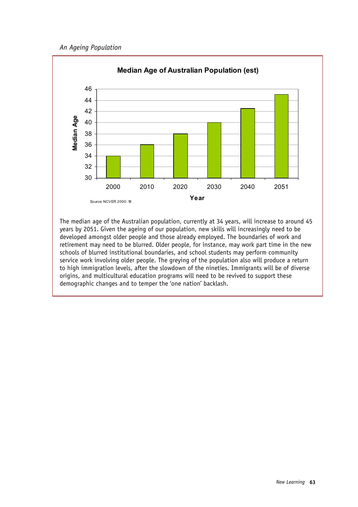#### *An Ageing Population*



The median age of the Australian population, currently at 34 years, will increase to around 45 years by 2051. Given the ageing of our population, new skills will increasingly need to be developed amongst older people and those already employed. The boundaries of work and retirement may need to be blurred. Older people, for instance, may work part time in the new schools of blurred institutional boundaries, and school students may perform community service work involving older people. The greying of the population also will produce a return to high immigration levels, after the slowdown of the nineties. Immigrants will be of diverse origins, and multicultural education programs will need to be revived to support these demographic changes and to temper the 'one nation' backlash.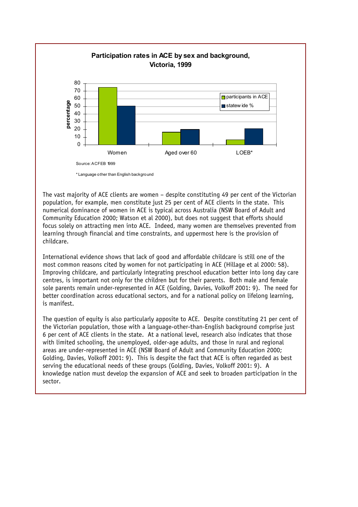

<sup>\*</sup> Language other than English background

The vast majority of ACE clients are women – despite constituting 49 per cent of the Victorian population, for example, men constitute just 25 per cent of ACE clients in the state. This numerical dominance of women in ACE is typical across Australia (NSW Board of Adult and Community Education 2000; Watson et al 2000), but does not suggest that efforts should focus solely on attracting men into ACE. Indeed, many women are themselves prevented from learning through financial and time constraints, and uppermost here is the provision of childcare.

International evidence shows that lack of good and affordable childcare is still one of the most common reasons cited by women for not participating in ACE (Hillage et al 2000: 58). Improving childcare, and particularly integrating preschool education better into long day care centres, is important not only for the children but for their parents. Both male and female sole parents remain under-represented in ACE (Golding, Davies, Volkoff 2001: 9). The need for better coordination across educational sectors, and for a national policy on lifelong learning, is manifest.

The question of equity is also particularly apposite to ACE. Despite constituting 21 per cent of the Victorian population, those with a language-other-than-English background comprise just 6 per cent of ACE clients in the state. At a national level, research also indicates that those with limited schooling, the unemployed, older-age adults, and those in rural and regional areas are under-represented in ACE (NSW Board of Adult and Community Education 2000; Golding, Davies, Volkoff 2001: 9). This is despite the fact that ACE is often regarded as best serving the educational needs of these groups (Golding, Davies, Volkoff 2001: 9). A knowledge nation must develop the expansion of ACE and seek to broaden participation in the sector.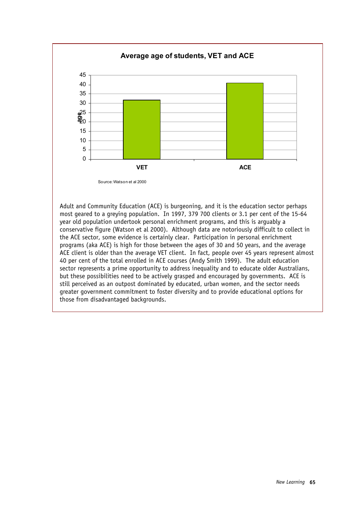

Adult and Community Education (ACE) is burgeoning, and it is the education sector perhaps most geared to a greying population. In 1997, 379 700 clients or 3.1 per cent of the 15-64 year old population undertook personal enrichment programs, and this is arguably a conservative figure (Watson et al 2000). Although data are notoriously difficult to collect in the ACE sector, some evidence is certainly clear. Participation in personal enrichment programs (aka ACE) is high for those between the ages of 30 and 50 years, and the average ACE client is older than the average VET client. In fact, people over 45 years represent almost 40 per cent of the total enrolled in ACE courses (Andy Smith 1999). The adult education sector represents a prime opportunity to address inequality and to educate older Australians, but these possibilities need to be actively grasped and encouraged by governments. ACE is still perceived as an outpost dominated by educated, urban women, and the sector needs greater government commitment to foster diversity and to provide educational options for those from disadvantaged backgrounds.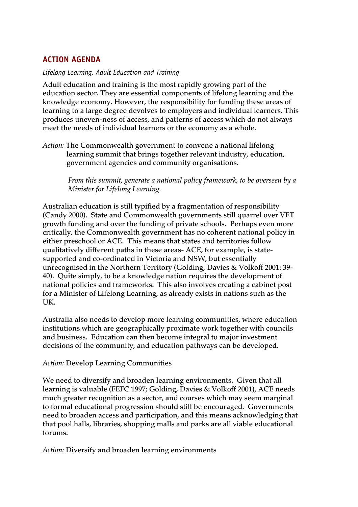## **ACTION AGENDA**

## *Lifelong Learning, Adult Education and Training*

**Adult education and training is the most rapidly growing part of the education sector. They are essential components of lifelong learning and the knowledge economy. However, the responsibility for funding these areas of learning to a large degree devolves to employers and individual learners. This produces uneven-ness of access, and patterns of access which do not always meet the needs of individual learners or the economy as a whole.** 

*Action:* **The Commonwealth government to convene a national lifelong learning summit that brings together relevant industry, education, government agencies and community organisations.** 

> *From this summit, generate a national policy framework, to be overseen by a Minister for Lifelong Learning.*

**Australian education is still typified by a fragmentation of responsibility (Candy 2000). State and Commonwealth governments still quarrel over VET growth funding and over the funding of private schools. Perhaps even more critically, the Commonwealth government has no coherent national policy in either preschool or ACE. This means that states and territories follow qualitatively different paths in these areas- ACE, for example, is statesupported and co-ordinated in Victoria and NSW, but essentially unrecognised in the Northern Territory (Golding, Davies & Volkoff 2001: 39- 40). Quite simply, to be a knowledge nation requires the development of national policies and frameworks. This also involves creating a cabinet post for a Minister of Lifelong Learning, as already exists in nations such as the UK.** 

**Australia also needs to develop more learning communities, where education institutions which are geographically proximate work together with councils and business. Education can then become integral to major investment decisions of the community, and education pathways can be developed.** 

#### *Action:* **Develop Learning Communities**

**We need to diversify and broaden learning environments. Given that all learning is valuable (FEFC 1997; Golding, Davies & Volkoff 2001), ACE needs much greater recognition as a sector, and courses which may seem marginal to formal educational progression should still be encouraged. Governments need to broaden access and participation, and this means acknowledging that that pool halls, libraries, shopping malls and parks are all viable educational forums.** 

*Action:* **Diversify and broaden learning environments**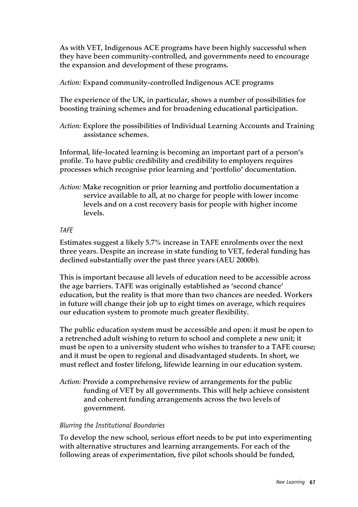**As with VET, Indigenous ACE programs have been highly successful when they have been community-controlled, and governments need to encourage the expansion and development of these programs.** 

*Action:* **Expand community-controlled Indigenous ACE programs** 

**The experience of the UK, in particular, shows a number of possibilities for boosting training schemes and for broadening educational participation.** 

*Action:* **Explore the possibilities of Individual Learning Accounts and Training assistance schemes.** 

**Informal, life-located learning is becoming an important part of a person's profile. To have public credibility and credibility to employers requires processes which recognise prior learning and 'portfolio' documentation.** 

*Action:* **Make recognition or prior learning and portfolio documentation a service available to all, at no charge for people with lower income levels and on a cost recovery basis for people with higher income levels.** 

### *TAFE*

**Estimates suggest a likely 5.7% increase in TAFE enrolments over the next three years. Despite an increase in state funding to VET, federal funding has declined substantially over the past three years (AEU 2000b).** 

**This is important because all levels of education need to be accessible across the age barriers. TAFE was originally established as 'second chance' education, but the reality is that more than two chances are needed. Workers in future will change their job up to eight times on average, which requires our education system to promote much greater flexibility.** 

**The public education system must be accessible and open: it must be open to a retrenched adult wishing to return to school and complete a new unit; it must be open to a university student who wishes to transfer to a TAFE course; and it must be open to regional and disadvantaged students. In short, we must reflect and foster lifelong, lifewide learning in our education system.** 

*Action:* **Provide a comprehensive review of arrangements for the public funding of VET by all governments. This will help achieve consistent and coherent funding arrangements across the two levels of government.** 

#### *Blurring the Institutional Boundaries*

**To develop the new school, serious effort needs to be put into experimenting with alternative structures and learning arrangements. For each of the following areas of experimentation, five pilot schools should be funded,**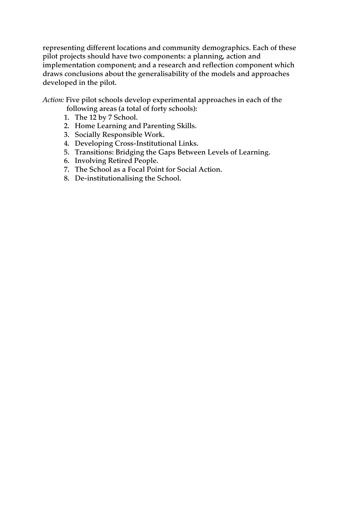**representing different locations and community demographics. Each of these pilot projects should have two components: a planning, action and implementation component; and a research and reflection component which draws conclusions about the generalisability of the models and approaches developed in the pilot.** 

*Action:* **Five pilot schools develop experimental approaches in each of the** 

**following areas (a total of forty schools):** 

- **1. The 12 by 7 School.**
- **2. Home Learning and Parenting Skills.**
- **3. Socially Responsible Work.**
- **4. Developing Cross-Institutional Links.**
- **5. Transitions: Bridging the Gaps Between Levels of Learning.**
- **6. Involving Retired People.**
- **7. The School as a Focal Point for Social Action.**
- **8. De-institutionalising the School.**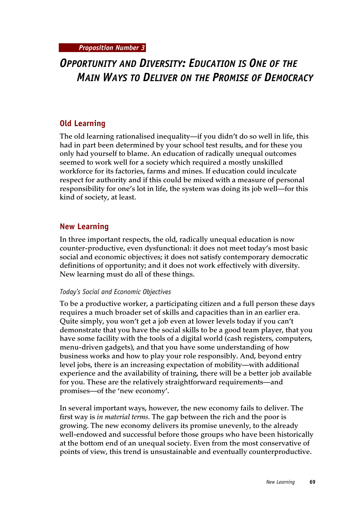# *OPPORTUNITY AND DIVERSITY: EDUCATION IS ONE OF THE MAIN WAYS TO DELIVER ON THE PROMISE OF DEMOCRACY*

# **Old Learning**

**The old learning rationalised inequality—if you didn't do so well in life, this had in part been determined by your school test results, and for these you only had yourself to blame. An education of radically unequal outcomes seemed to work well for a society which required a mostly unskilled workforce for its factories, farms and mines. If education could inculcate respect for authority and if this could be mixed with a measure of personal responsibility for one's lot in life, the system was doing its job well—for this kind of society, at least.** 

## **New Learning**

**In three important respects, the old, radically unequal education is now counter-productive, even dysfunctional: it does not meet today's most basic social and economic objectives; it does not satisfy contemporary democratic definitions of opportunity; and it does not work effectively with diversity. New learning must do all of these things.** 

#### *Today's Social and Economic Objectives*

**To be a productive worker, a participating citizen and a full person these days requires a much broader set of skills and capacities than in an earlier era. Quite simply, you won't get a job even at lower levels today if you can't demonstrate that you have the social skills to be a good team player, that you have some facility with the tools of a digital world (cash registers, computers, menu-driven gadgets), and that you have some understanding of how business works and how to play your role responsibly. And, beyond entry level jobs, there is an increasing expectation of mobility—with additional experience and the availability of training, there will be a better job available for you. These are the relatively straightforward requirements—and promises—of the 'new economy'.** 

**In several important ways, however, the new economy fails to deliver. The first way is** *in material terms.* **The gap between the rich and the poor is growing. The new economy delivers its promise unevenly, to the already well-endowed and successful before those groups who have been historically at the bottom end of an unequal society. Even from the most conservative of points of view, this trend is unsustainable and eventually counterproductive.**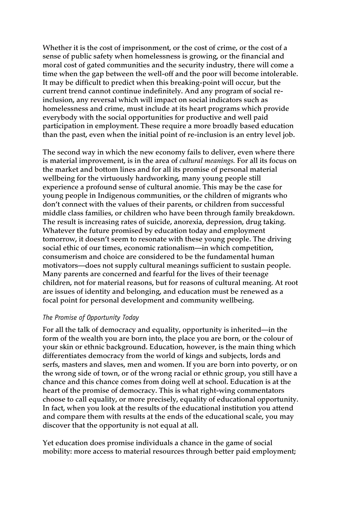**Whether it is the cost of imprisonment, or the cost of crime, or the cost of a sense of public safety when homelessness is growing, or the financial and moral cost of gated communities and the security industry, there will come a time when the gap between the well-off and the poor will become intolerable. It may be difficult to predict when this breaking-point will occur, but the current trend cannot continue indefinitely. And any program of social reinclusion, any reversal which will impact on social indicators such as homelessness and crime, must include at its heart programs which provide everybody with the social opportunities for productive and well paid participation in employment. These require a more broadly based education than the past, even when the initial point of re-inclusion is an entry level job.** 

**The second way in which the new economy fails to deliver, even where there is material improvement, is in the area of** *cultural meanings.* **For all its focus on the market and bottom lines and for all its promise of personal material wellbeing for the virtuously hardworking, many young people still experience a profound sense of cultural anomie. This may be the case for young people in Indigenous communities, or the children of migrants who don't connect with the values of their parents, or children from successful middle class families, or children who have been through family breakdown. The result is increasing rates of suicide, anorexia, depression, drug taking. Whatever the future promised by education today and employment tomorrow, it doesn't seem to resonate with these young people. The driving social ethic of our times, economic rationalism—in which competition, consumerism and choice are considered to be the fundamental human motivators—does not supply cultural meanings sufficient to sustain people. Many parents are concerned and fearful for the lives of their teenage children, not for material reasons, but for reasons of cultural meaning. At root are issues of identity and belonging, and education must be renewed as a focal point for personal development and community wellbeing.** 

#### *The Promise of Opportunity Today*

**For all the talk of democracy and equality, opportunity is inherited—in the form of the wealth you are born into, the place you are born, or the colour of your skin or ethnic background. Education, however, is the main thing which differentiates democracy from the world of kings and subjects, lords and serfs, masters and slaves, men and women. If you are born into poverty, or on the wrong side of town, or of the wrong racial or ethnic group, you still have a chance and this chance comes from doing well at school. Education is at the heart of the promise of democracy. This is what right-wing commentators choose to call equality, or more precisely, equality of educational opportunity. In fact, when you look at the results of the educational institution you attend and compare them with results at the ends of the educational scale, you may discover that the opportunity is not equal at all.** 

**Yet education does promise individuals a chance in the game of social mobility: more access to material resources through better paid employment;**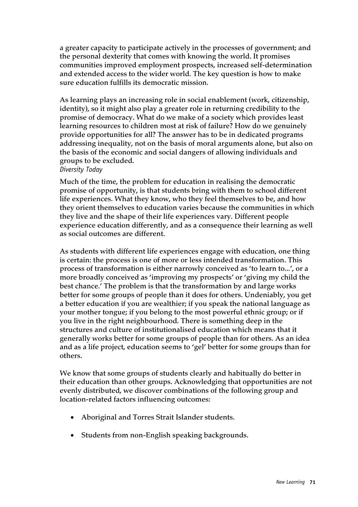**a greater capacity to participate actively in the processes of government; and the personal dexterity that comes with knowing the world. It promises communities improved employment prospects, increased self-determination and extended access to the wider world. The key question is how to make sure education fulfills its democratic mission.** 

**As learning plays an increasing role in social enablement (work, citizenship, identity), so it might also play a greater role in returning credibility to the promise of democracy. What do we make of a society which provides least learning resources to children most at risk of failure? How do we genuinely provide opportunities for all? The answer has to be in dedicated programs addressing inequality, not on the basis of moral arguments alone, but also on the basis of the economic and social dangers of allowing individuals and groups to be excluded.** 

#### *Diversity Today*

**Much of the time, the problem for education in realising the democratic promise of opportunity, is that students bring with them to school different life experiences. What they know, who they feel themselves to be, and how they orient themselves to education varies because the communities in which they live and the shape of their life experiences vary. Different people experience education differently, and as a consequence their learning as well as social outcomes are different.** 

**As students with different life experiences engage with education, one thing is certain: the process is one of more or less intended transformation. This process of transformation is either narrowly conceived as 'to learn to...', or a more broadly conceived as 'improving my prospects' or 'giving my child the best chance.' The problem is that the transformation by and large works better for some groups of people than it does for others. Undeniably, you get a better education if you are wealthier; if you speak the national language as your mother tongue; if you belong to the most powerful ethnic group; or if you live in the right neighbourhood. There is something deep in the structures and culture of institutionalised education which means that it generally works better for some groups of people than for others. As an idea and as a life project, education seems to 'gel' better for some groups than for others.** 

**We know that some groups of students clearly and habitually do better in their education than other groups. Acknowledging that opportunities are not evenly distributed, we discover combinations of the following group and location-related factors influencing outcomes:** 

- **Aboriginal and Torres Strait Islander students.**
- **Students from non-English speaking backgrounds.**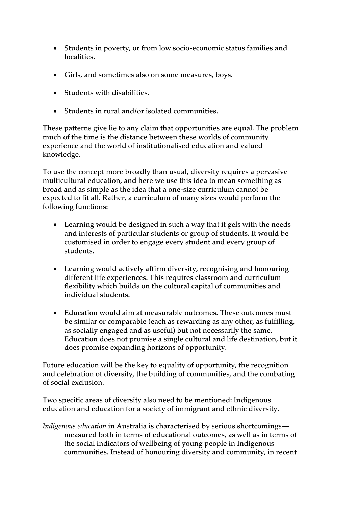- **Students in poverty, or from low socio-economic status families and localities.**
- **Girls, and sometimes also on some measures, boys.**
- **Students with disabilities.**
- **Students in rural and/or isolated communities.**

**These patterns give lie to any claim that opportunities are equal. The problem much of the time is the distance between these worlds of community experience and the world of institutionalised education and valued knowledge.** 

**To use the concept more broadly than usual, diversity requires a pervasive multicultural education, and here we use this idea to mean something as broad and as simple as the idea that a one-size curriculum cannot be expected to fit all. Rather, a curriculum of many sizes would perform the following functions:** 

- **Learning would be designed in such a way that it gels with the needs and interests of particular students or group of students. It would be customised in order to engage every student and every group of students.**
- **Learning would actively affirm diversity, recognising and honouring different life experiences. This requires classroom and curriculum flexibility which builds on the cultural capital of communities and individual students.**
- **Education would aim at measurable outcomes. These outcomes must be similar or comparable (each as rewarding as any other, as fulfilling, as socially engaged and as useful) but not necessarily the same. Education does not promise a single cultural and life destination, but it does promise expanding horizons of opportunity.**

**Future education will be the key to equality of opportunity, the recognition and celebration of diversity, the building of communities, and the combating of social exclusion.** 

**Two specific areas of diversity also need to be mentioned: Indigenous education and education for a society of immigrant and ethnic diversity.** 

*Indigenous education* **in Australia is characterised by serious shortcomings measured both in terms of educational outcomes, as well as in terms of the social indicators of wellbeing of young people in Indigenous communities. Instead of honouring diversity and community, in recent**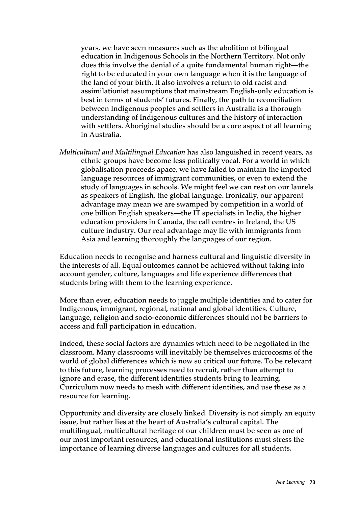**years, we have seen measures such as the abolition of bilingual education in Indigenous Schools in the Northern Territory. Not only does this involve the denial of a quite fundamental human right—the right to be educated in your own language when it is the language of the land of your birth. It also involves a return to old racist and assimilationist assumptions that mainstream English-only education is best in terms of students' futures. Finally, the path to reconciliation between Indigenous peoples and settlers in Australia is a thorough understanding of Indigenous cultures and the history of interaction with settlers. Aboriginal studies should be a core aspect of all learning in Australia.** 

*Multicultural and Multilingual Education* **has also languished in recent years, as ethnic groups have become less politically vocal. For a world in which globalisation proceeds apace, we have failed to maintain the imported language resources of immigrant communities, or even to extend the study of languages in schools. We might feel we can rest on our laurels as speakers of English, the global language. Ironically, our apparent advantage may mean we are swamped by competition in a world of one billion English speakers—the IT specialists in India, the higher education providers in Canada, the call centres in Ireland, the US culture industry. Our real advantage may lie with immigrants from Asia and learning thoroughly the languages of our region.** 

**Education needs to recognise and harness cultural and linguistic diversity in the interests of all. Equal outcomes cannot be achieved without taking into account gender, culture, languages and life experience differences that students bring with them to the learning experience.** 

**More than ever, education needs to juggle multiple identities and to cater for Indigenous, immigrant, regional, national and global identities. Culture, language, religion and socio-economic differences should not be barriers to access and full participation in education.** 

**Indeed, these social factors are dynamics which need to be negotiated in the classroom. Many classrooms will inevitably be themselves microcosms of the world of global differences which is now so critical our future. To be relevant to this future, learning processes need to recruit, rather than attempt to ignore and erase, the different identities students bring to learning. Curriculum now needs to mesh with different identities, and use these as a resource for learning.** 

**Opportunity and diversity are closely linked. Diversity is not simply an equity issue, but rather lies at the heart of Australia's cultural capital. The multilingual, multicultural heritage of our children must be seen as one of our most important resources, and educational institutions must stress the importance of learning diverse languages and cultures for all students.**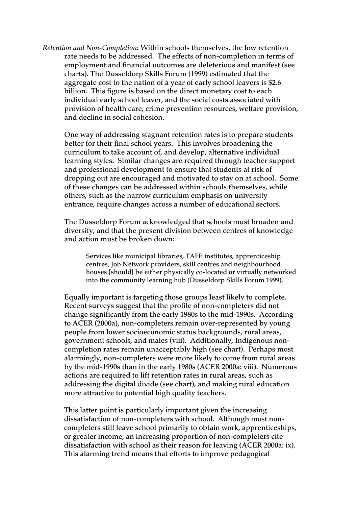*Retention and Non-Completion:* **Within schools themselves, the low retention rate needs to be addressed. The effects of non-completion in terms of employment and financial outcomes are deleterious and manifest (see charts). The Dusseldorp Skills Forum (1999) estimated that the aggregate cost to the nation of a year of early school leavers is \$2.6 billion. This figure is based on the direct monetary cost to each individual early school leaver, and the social costs associated with provision of health care, crime prevention resources, welfare provision, and decline in social cohesion.** 

**One way of addressing stagnant retention rates is to prepare students better for their final school years. This involves broadening the curriculum to take account of, and develop, alternative individual learning styles. Similar changes are required through teacher support and professional development to ensure that students at risk of dropping out are encouraged and motivated to stay on at school. Some of these changes can be addressed within schools themselves, while others, such as the narrow curriculum emphasis on university entrance, require changes across a number of educational sectors.** 

**The Dusseldorp Forum acknowledged that schools must broaden and diversify, and that the present division between centres of knowledge and action must be broken down:** 

**Services like municipal libraries, TAFE institutes, apprenticeship centres, Job Network providers, skill centres and neighbourhood houses [should] be either physically co-located or virtually networked into the community learning hub (Dusseldorp Skills Forum 1999).** 

**Equally important is targeting those groups least likely to complete. Recent surveys suggest that the profile of non-completers did not change significantly from the early 1980s to the mid-1990s. According to ACER (2000a), non-completers remain over-represented by young people from lower socioeconomic status backgrounds, rural areas, government schools, and males (viii). Additionally, Indigenous noncompletion rates remain unacceptably high (see chart). Perhaps most alarmingly, non-completers were more likely to come from rural areas by the mid-1990s than in the early 1980s (ACER 2000a: viii). Numerous actions are required to lift retention rates in rural areas, such as addressing the digital divide (see chart), and making rural education more attractive to potential high quality teachers.** 

**This latter point is particularly important given the increasing dissatisfaction of non-completers with school. Although most noncompleters still leave school primarily to obtain work, apprenticeships, or greater income, an increasing proportion of non-completers cite dissatisfaction with school as their reason for leaving (ACER 2000a: ix). This alarming trend means that efforts to improve pedagogical**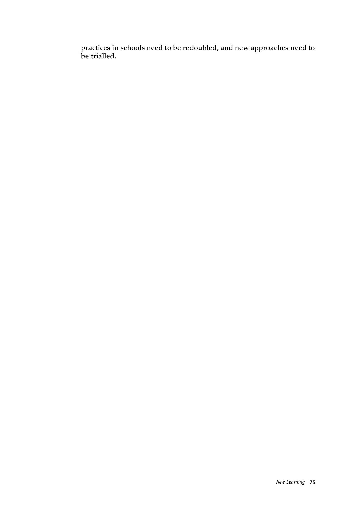**practices in schools need to be redoubled, and new approaches need to be trialled.**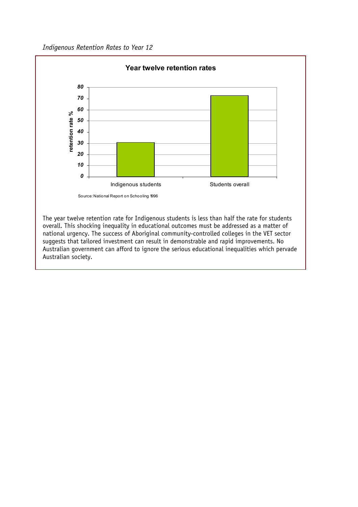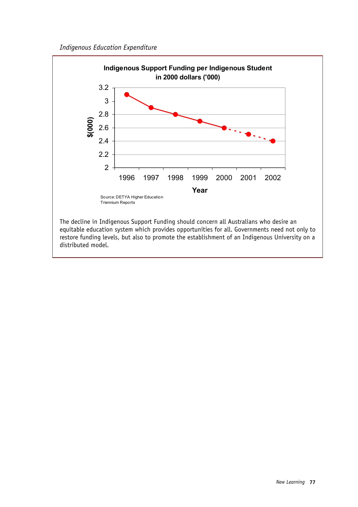

restore funding levels, but also to promote the establishment of an Indigenous University on a distributed model.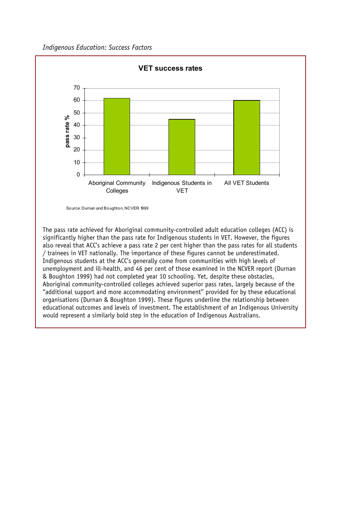

The pass rate achieved for Aboriginal community-controlled adult education colleges (ACC) is significantly higher than the pass rate for Indigenous students in VET. However, the figures also reveal that ACC's achieve a pass rate 2 per cent higher than the pass rates for all students / trainees in VET nationally. The importance of these figures cannot be underestimated. Indigenous students at the ACC's generally come from communities with high levels of unemployment and ill-health, and 46 per cent of those examined in the NCVER report (Durnan & Boughton 1999) had not completed year 10 schooling. Yet, despite these obstacles, Aboriginal community-controlled colleges achieved superior pass rates, largely because of the "additional support and more accommodating environment" provided for by these educational organisations (Durnan & Boughton 1999). These figures underline the relationship between educational outcomes and levels of investment. The establishment of an Indigenous University would represent a similarly bold step in the education of Indigenous Australians.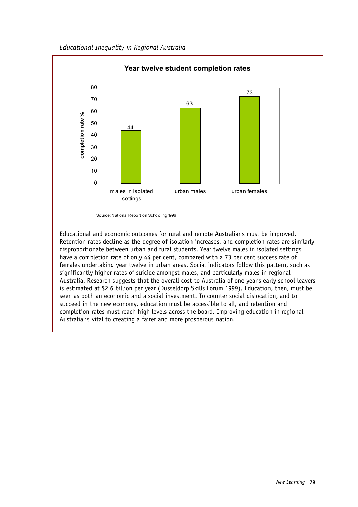

Source: National Report on Schooling 1996

Educational and economic outcomes for rural and remote Australians must be improved. Retention rates decline as the degree of isolation increases, and completion rates are similarly disproportionate between urban and rural students. Year twelve males in isolated settings have a completion rate of only 44 per cent, compared with a 73 per cent success rate of females undertaking year twelve in urban areas. Social indicators follow this pattern, such as significantly higher rates of suicide amongst males, and particularly males in regional Australia. Research suggests that the overall cost to Australia of one year's early school leavers is estimated at \$2.6 billion per year (Dusseldorp Skills Forum 1999). Education, then, must be seen as both an economic and a social investment. To counter social dislocation, and to succeed in the new economy, education must be accessible to all, and retention and completion rates must reach high levels across the board. Improving education in regional Australia is vital to creating a fairer and more prosperous nation.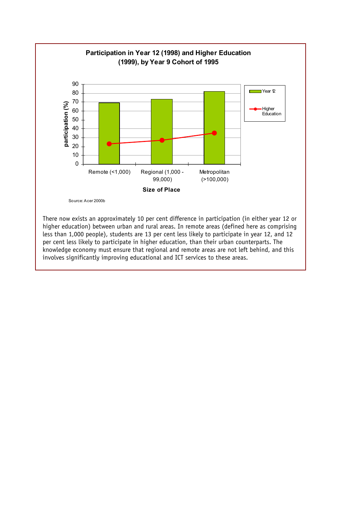

involves significantly improving educational and ICT services to these areas.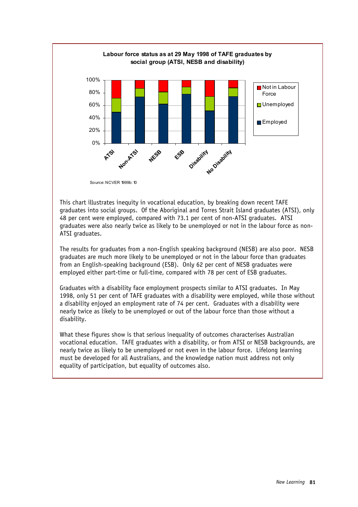

This chart illustrates inequity in vocational education, by breaking down recent TAFE graduates into social groups. Of the Aboriginal and Torres Strait Island graduates (ATSI), only 48 per cent were employed, compared with 73.1 per cent of non-ATSI graduates. ATSI graduates were also nearly twice as likely to be unemployed or not in the labour force as non-ATSI graduates.

The results for graduates from a non-English speaking background (NESB) are also poor. NESB graduates are much more likely to be unemployed or not in the labour force than graduates from an English-speaking background (ESB). Only 62 per cent of NESB graduates were employed either part-time or full-time, compared with 78 per cent of ESB graduates.

Graduates with a disability face employment prospects similar to ATSI graduates. In May 1998, only 51 per cent of TAFE graduates with a disability were employed, while those without a disability enjoyed an employment rate of 74 per cent. Graduates with a disability were nearly twice as likely to be unemployed or out of the labour force than those without a disability.

What these figures show is that serious inequality of outcomes characterises Australian vocational education. TAFE graduates with a disability, or from ATSI or NESB backgrounds, are nearly twice as likely to be unemployed or not even in the labour force. Lifelong learning must be developed for all Australians, and the knowledge nation must address not only equality of participation, but equality of outcomes also.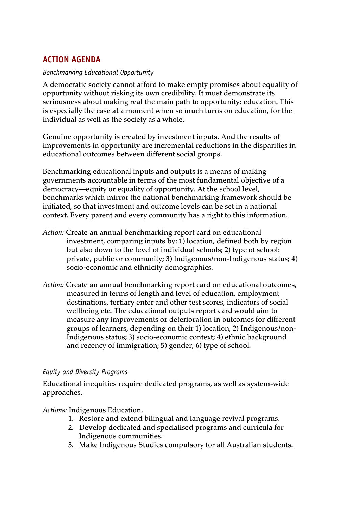## **ACTION AGENDA**

### *Benchmarking Educational Opportunity*

**A democratic society cannot afford to make empty promises about equality of opportunity without risking its own credibility. It must demonstrate its seriousness about making real the main path to opportunity: education. This is especially the case at a moment when so much turns on education, for the individual as well as the society as a whole.** 

**Genuine opportunity is created by investment inputs. And the results of improvements in opportunity are incremental reductions in the disparities in educational outcomes between different social groups.** 

**Benchmarking educational inputs and outputs is a means of making governments accountable in terms of the most fundamental objective of a democracy—equity or equality of opportunity. At the school level, benchmarks which mirror the national benchmarking framework should be initiated, so that investment and outcome levels can be set in a national context. Every parent and every community has a right to this information.** 

- *Action:* **Create an annual benchmarking report card on educational investment, comparing inputs by: 1) location, defined both by region but also down to the level of individual schools; 2) type of school: private, public or community; 3) Indigenous/non-Indigenous status; 4) socio-economic and ethnicity demographics.**
- *Action:* **Create an annual benchmarking report card on educational outcomes, measured in terms of length and level of education, employment destinations, tertiary enter and other test scores, indicators of social wellbeing etc. The educational outputs report card would aim to measure any improvements or deterioration in outcomes for different groups of learners, depending on their 1) location; 2) Indigenous/non-Indigenous status; 3) socio-economic context; 4) ethnic background and recency of immigration; 5) gender; 6) type of school.**

#### *Equity and Diversity Programs*

**Educational inequities require dedicated programs, as well as system-wide approaches.** 

*Actions:* **Indigenous Education.** 

- **1. Restore and extend bilingual and language revival programs.**
- **2. Develop dedicated and specialised programs and curricula for Indigenous communities.**
- **3. Make Indigenous Studies compulsory for all Australian students.**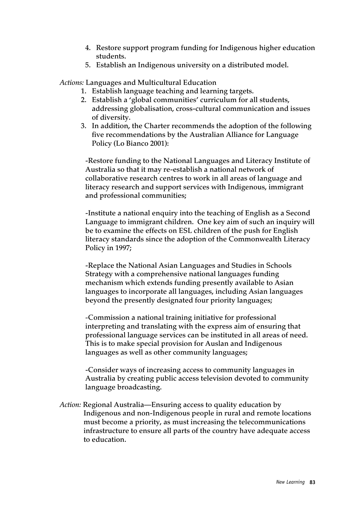- **4. Restore support program funding for Indigenous higher education students.**
- **5. Establish an Indigenous university on a distributed model.**

*Actions:* **Languages and Multicultural Education** 

- **1. Establish language teaching and learning targets.**
- **2. Establish a 'global communities' curriculum for all students, addressing globalisation, cross-cultural communication and issues of diversity.**
- **3. In addition, the Charter recommends the adoption of the following five recommendations by the Australian Alliance for Language Policy (Lo Bianco 2001):**

**-Restore funding to the National Languages and Literacy Institute of Australia so that it may re-establish a national network of collaborative research centres to work in all areas of language and literacy research and support services with Indigenous, immigrant and professional communities;** 

**-Institute a national enquiry into the teaching of English as a Second Language to immigrant children. One key aim of such an inquiry will be to examine the effects on ESL children of the push for English literacy standards since the adoption of the Commonwealth Literacy Policy in 1997;** 

**-Replace the National Asian Languages and Studies in Schools Strategy with a comprehensive national languages funding mechanism which extends funding presently available to Asian languages to incorporate all languages, including Asian languages beyond the presently designated four priority languages;** 

*-***Commission a national training initiative for professional interpreting and translating with the express aim of ensuring that professional language services can be instituted in all areas of need. This is to make special provision for Auslan and Indigenous languages as well as other community languages;**

**-Consider ways of increasing access to community languages in Australia by creating public access television devoted to community language broadcasting.** 

*Action:* **Regional Australia—Ensuring access to quality education by Indigenous and non-Indigenous people in rural and remote locations must become a priority, as must increasing the telecommunications infrastructure to ensure all parts of the country have adequate access to education.**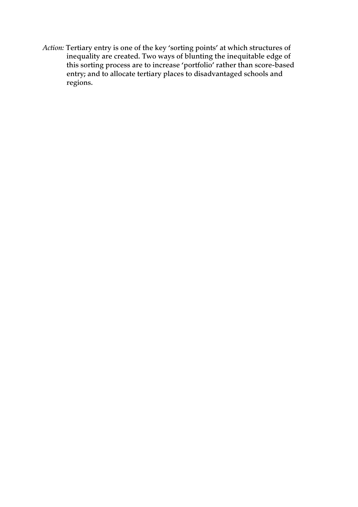*Action:* **Tertiary entry is one of the key 'sorting points' at which structures of inequality are created. Two ways of blunting the inequitable edge of this sorting process are to increase 'portfolio' rather than score-based entry; and to allocate tertiary places to disadvantaged schools and regions.**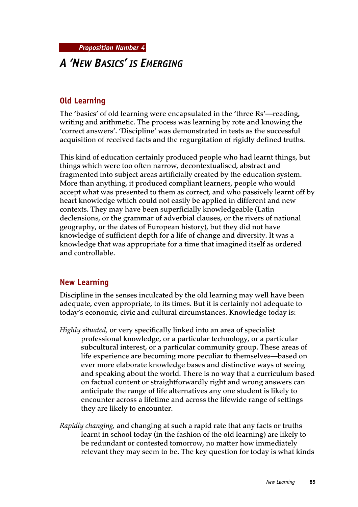#### *Proposition Number 4*

# *A 'NEW BASICS' IS EMERGING*

# **Old Learning**

**The 'basics' of old learning were encapsulated in the 'three Rs'—reading, writing and arithmetic. The process was learning by rote and knowing the 'correct answers'. 'Discipline' was demonstrated in tests as the successful acquisition of received facts and the regurgitation of rigidly defined truths.** 

**This kind of education certainly produced people who had learnt things, but things which were too often narrow, decontextualised, abstract and fragmented into subject areas artificially created by the education system. More than anything, it produced compliant learners, people who would accept what was presented to them as correct, and who passively learnt off by heart knowledge which could not easily be applied in different and new contexts. They may have been superficially knowledgeable (Latin declensions, or the grammar of adverbial clauses, or the rivers of national geography, or the dates of European history), but they did not have knowledge of sufficient depth for a life of change and diversity. It was a knowledge that was appropriate for a time that imagined itself as ordered and controllable.** 

## **New Learning**

**Discipline in the senses inculcated by the old learning may well have been adequate, even appropriate, to its times. But it is certainly not adequate to today's economic, civic and cultural circumstances. Knowledge today is:** 

- *Highly situated,* **or very specifically linked into an area of specialist professional knowledge, or a particular technology, or a particular subcultural interest, or a particular community group. These areas of life experience are becoming more peculiar to themselves—based on ever more elaborate knowledge bases and distinctive ways of seeing and speaking about the world. There is no way that a curriculum based on factual content or straightforwardly right and wrong answers can anticipate the range of life alternatives any one student is likely to encounter across a lifetime and across the lifewide range of settings they are likely to encounter.**
- *Rapidly changing,* **and changing at such a rapid rate that any facts or truths learnt in school today (in the fashion of the old learning) are likely to be redundant or contested tomorrow, no matter how immediately relevant they may seem to be. The key question for today is what kinds**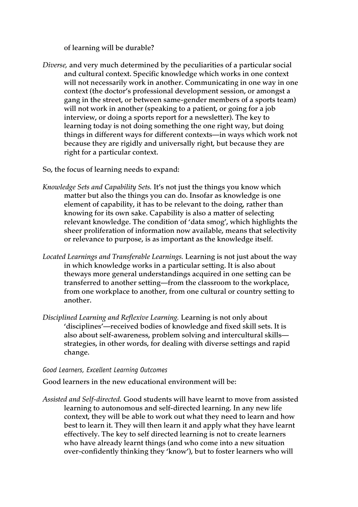**of learning will be durable?** 

- *Diverse,* **and very much determined by the peculiarities of a particular social and cultural context. Specific knowledge which works in one context will not necessarily work in another. Communicating in one way in one context (the doctor's professional development session, or amongst a gang in the street, or between same-gender members of a sports team) will not work in another (speaking to a patient, or going for a job interview, or doing a sports report for a newsletter). The key to learning today is not doing something the one right way, but doing things in different ways for different contexts—in ways which work not because they are rigidly and universally right, but because they are right for a particular context.**
- **So, the focus of learning needs to expand:**
- *Knowledge Sets and Capability Sets.* **It's not just the things you know which matter but also the things you can do. Insofar as knowledge is one element of capability, it has to be relevant to the doing, rather than knowing for its own sake. Capability is also a matter of selecting relevant knowledge. The condition of 'data smog', which highlights the sheer proliferation of information now available, means that selectivity or relevance to purpose, is as important as the knowledge itself.**
- *Located Learnings and Transferable Learnings.* **Learning is not just about the way in which knowledge works in a particular setting. It is also about theways more general understandings acquired in one setting can be transferred to another setting—from the classroom to the workplace, from one workplace to another, from one cultural or country setting to another.**
- *Disciplined Learning and Reflexive Learning.* **Learning is not only about 'disciplines'—received bodies of knowledge and fixed skill sets. It is also about self-awareness, problem solving and intercultural skills strategies, in other words, for dealing with diverse settings and rapid change.**

#### *Good Learners, Excellent Learning Outcomes*

**Good learners in the new educational environment will be:** 

*Assisted and Self-directed.* **Good students will have learnt to move from assisted learning to autonomous and self-directed learning. In any new life context, they will be able to work out what they need to learn and how best to learn it. They will then learn it and apply what they have learnt effectively. The key to self directed learning is not to create learners who have already learnt things (and who come into a new situation over-confidently thinking they 'know'), but to foster learners who will**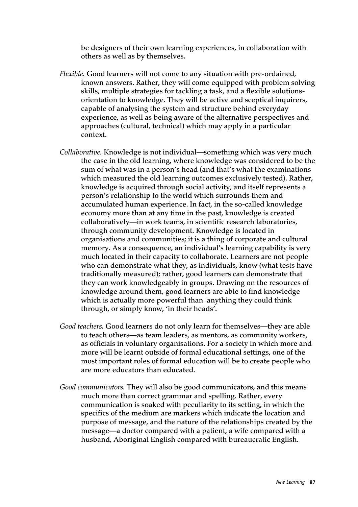**be designers of their own learning experiences, in collaboration with others as well as by themselves.** 

- *Flexible.* **Good learners will not come to any situation with pre-ordained, known answers. Rather, they will come equipped with problem solving skills, multiple strategies for tackling a task, and a flexible solutionsorientation to knowledge. They will be active and sceptical inquirers, capable of analysing the system and structure behind everyday experience, as well as being aware of the alternative perspectives and approaches (cultural, technical) which may apply in a particular context.**
- *Collaborative.* **Knowledge is not individual—something which was very much the case in the old learning, where knowledge was considered to be the sum of what was in a person's head (and that's what the examinations which measured the old learning outcomes exclusively tested). Rather, knowledge is acquired through social activity, and itself represents a person's relationship to the world which surrounds them and accumulated human experience. In fact, in the so-called knowledge economy more than at any time in the past, knowledge is created collaboratively—in work teams, in scientific research laboratories, through community development. Knowledge is located in organisations and communities; it is a thing of corporate and cultural memory. As a consequence, an individual's learning capability is very much located in their capacity to collaborate. Learners are not people who can demonstrate what they, as individuals, know (what tests have traditionally measured); rather, good learners can demonstrate that they can work knowledgeably in groups. Drawing on the resources of knowledge around them, good learners are able to find knowledge which is actually more powerful than anything they could think through, or simply know, 'in their heads'.**
- *Good teachers.* **Good learners do not only learn for themselves—they are able to teach others—as team leaders, as mentors, as community workers, as officials in voluntary organisations. For a society in which more and more will be learnt outside of formal educational settings, one of the most important roles of formal education will be to create people who are more educators than educated.**
- *Good communicators.* **They will also be good communicators, and this means much more than correct grammar and spelling. Rather, every communication is soaked with peculiarity to its setting, in which the specifics of the medium are markers which indicate the location and purpose of message, and the nature of the relationships created by the message—a doctor compared with a patient, a wife compared with a husband, Aboriginal English compared with bureaucratic English.**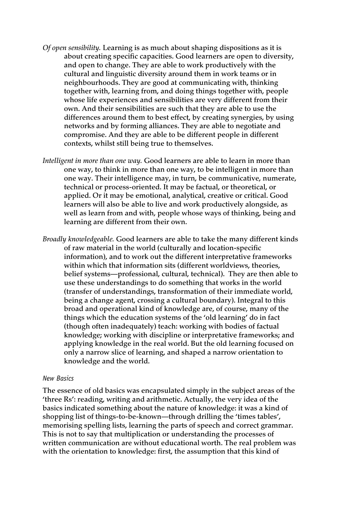- *Of open sensibility.* **Learning is as much about shaping dispositions as it is about creating specific capacities. Good learners are open to diversity, and open to change. They are able to work productively with the cultural and linguistic diversity around them in work teams or in neighbourhoods. They are good at communicating with, thinking together with, learning from, and doing things together with, people whose life experiences and sensibilities are very different from their own. And their sensibilities are such that they are able to use the differences around them to best effect, by creating synergies, by using networks and by forming alliances. They are able to negotiate and compromise. And they are able to be different people in different contexts, whilst still being true to themselves.**
- *Intelligent in more than one way.* **Good learners are able to learn in more than one way, to think in more than one way, to be intelligent in more than one way. Their intelligence may, in turn, be communicative, numerate, technical or process-oriented. It may be factual, or theoretical, or applied. Or it may be emotional, analytical, creative or critical. Good learners will also be able to live and work productively alongside, as well as learn from and with, people whose ways of thinking, being and learning are different from their own.**
- *Broadly knowledgeable.* **Good learners are able to take the many different kinds of raw material in the world (culturally and location-specific information), and to work out the different interpretative frameworks within which that information sits (different worldviews, theories, belief systems—professional, cultural, technical). They are then able to use these understandings to do something that works in the world (transfer of understandings, transformation of their immediate world, being a change agent, crossing a cultural boundary). Integral to this broad and operational kind of knowledge are, of course, many of the things which the education systems of the 'old learning' do in fact (though often inadequately) teach: working with bodies of factual knowledge; working with discipline or interpretative frameworks; and applying knowledge in the real world. But the old learning focused on only a narrow slice of learning, and shaped a narrow orientation to knowledge and the world.**

#### *New Basics*

**The essence of old basics was encapsulated simply in the subject areas of the 'three Rs': reading, writing and arithmetic. Actually, the very idea of the basics indicated something about the nature of knowledge: it was a kind of shopping list of things-to-be-known—through drilling the 'times tables', memorising spelling lists, learning the parts of speech and correct grammar. This is not to say that multiplication or understanding the processes of written communication are without educational worth. The real problem was with the orientation to knowledge: first, the assumption that this kind of**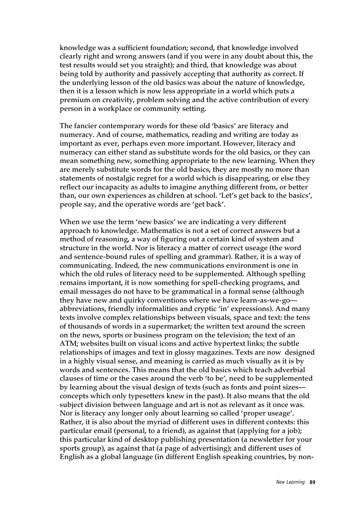**knowledge was a sufficient foundation; second, that knowledge involved clearly right and wrong answers (and if you were in any doubt about this, the test results would set you straight); and third, that knowledge was about being told by authority and passively accepting that authority as correct. If the underlying lesson of the old basics was about the nature of knowledge, then it is a lesson which is now less appropriate in a world which puts a premium on creativity, problem solving and the active contribution of every person in a workplace or community setting.** 

**The fancier contemporary words for these old 'basics' are literacy and numeracy. And of course, mathematics, reading and writing are today as important as ever, perhaps even more important. However, literacy and numeracy can either stand as substitute words for the old basics, or they can mean something new, something appropriate to the new learning. When they are merely substitute words for the old basics, they are mostly no more than statements of nostalgic regret for a world which is disappearing, or else they reflect our incapacity as adults to imagine anything different from, or better than, our own experiences as children at school. 'Let's get back to the basics', people say, and the operative words are 'get back'.** 

**When we use the term 'new basics' we are indicating a very different approach to knowledge. Mathematics is not a set of correct answers but a method of reasoning, a way of figuring out a certain kind of system and structure in the world. Nor is literacy a matter of correct useage (the word and sentence-bound rules of spelling and grammar). Rather, it is a way of communicating. Indeed, the new communications environment is one in which the old rules of literacy need to be supplemented. Although spelling remains important, it is now something for spell-checking programs, and email messages do not have to be grammatical in a formal sense (although they have new and quirky conventions where we have learn-as-we-go abbreviations, friendly informalities and cryptic 'in' expressions). And many texts involve complex relationships between visuals, space and text: the tens of thousands of words in a supermarket; the written text around the screen on the news, sports or business program on the television; the text of an ATM; websites built on visual icons and active hypertext links; the subtle relationships of images and text in glossy magazines. Texts are now designed in a highly visual sense, and meaning is carried as much visually as it is by words and sentences. This means that the old basics which teach adverbial clauses of time or the cases around the verb 'to be', need to be supplemented by learning about the visual design of texts (such as fonts and point sizes concepts which only typesetters knew in the past). It also means that the old subject division between language and art is not as relevant as it once was. Nor is literacy any longer only about learning so called 'proper useage'. Rather, it is also about the myriad of different uses in different contexts: this particular email (personal, to a friend), as against that (applying for a job); this particular kind of desktop publishing presentation (a newsletter for your sports group), as against that (a page of advertising); and different uses of English as a global language (in different English speaking countries, by non-**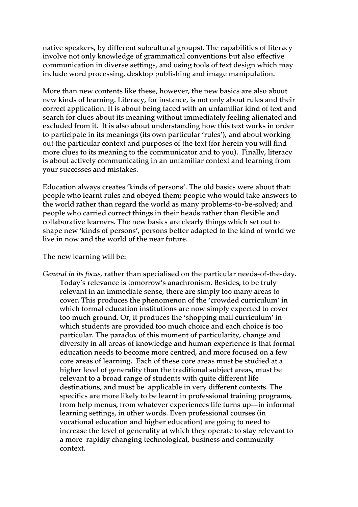**native speakers, by different subcultural groups). The capabilities of literacy involve not only knowledge of grammatical conventions but also effective communication in diverse settings, and using tools of text design which may include word processing, desktop publishing and image manipulation.** 

**More than new contents like these, however, the new basics are also about new kinds of learning. Literacy, for instance, is not only about rules and their correct application. It is about being faced with an unfamiliar kind of text and search for clues about its meaning without immediately feeling alienated and excluded from it. It is also about understanding how this text works in order to participate in its meanings (its own particular 'rules'), and about working out the particular context and purposes of the text (for herein you will find more clues to its meaning to the communicator and to you). Finally, literacy is about actively communicating in an unfamiliar context and learning from your successes and mistakes.** 

**Education always creates 'kinds of persons'. The old basics were about that: people who learnt rules and obeyed them; people who would take answers to the world rather than regard the world as many problems-to-be-solved; and people who carried correct things in their heads rather than flexible and collaborative learners. The new basics are clearly things which set out to shape new 'kinds of persons', persons better adapted to the kind of world we live in now and the world of the near future.** 

**The new learning will be:** 

*General in its focus,* **rather than specialised on the particular needs-of-the-day. Today's relevance is tomorrow's anachronism. Besides, to be truly relevant in an immediate sense, there are simply too many areas to cover. This produces the phenomenon of the 'crowded curriculum' in which formal education institutions are now simply expected to cover too much ground. Or, it produces the 'shopping mall curriculum' in which students are provided too much choice and each choice is too particular. The paradox of this moment of particularity, change and diversity in all areas of knowledge and human experience is that formal education needs to become more centred, and more focused on a few core areas of learning. Each of these core areas must be studied at a higher level of generality than the traditional subject areas, must be relevant to a broad range of students with quite different life destinations, and must be applicable in very different contexts. The specifics are more likely to be learnt in professional training programs, from help menus, from whatever experiences life turns up—in informal learning settings, in other words. Even professional courses (in vocational education and higher education) are going to need to increase the level of generality at which they operate to stay relevant to a more rapidly changing technological, business and community context.**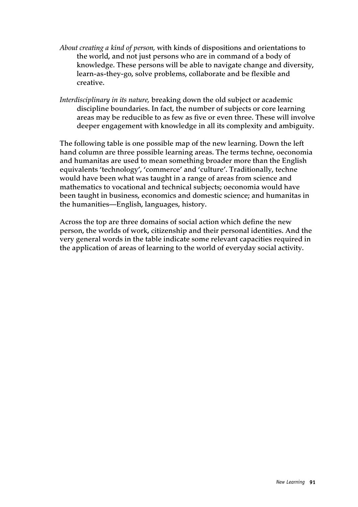- *About creating a kind of person,* **with kinds of dispositions and orientations to the world, and not just persons who are in command of a body of knowledge. These persons will be able to navigate change and diversity, learn-as-they-go, solve problems, collaborate and be flexible and creative.**
- *Interdisciplinary in its nature,* **breaking down the old subject or academic discipline boundaries. In fact, the number of subjects or core learning areas may be reducible to as few as five or even three. These will involve deeper engagement with knowledge in all its complexity and ambiguity.**

**The following table is one possible map of the new learning. Down the left hand column are three possible learning areas. The terms techne, oeconomia and humanitas are used to mean something broader more than the English equivalents 'technology', 'commerce' and 'culture'. Traditionally, techne would have been what was taught in a range of areas from science and mathematics to vocational and technical subjects; oeconomia would have been taught in business, economics and domestic science; and humanitas in the humanities—English, languages, history.** 

**Across the top are three domains of social action which define the new person, the worlds of work, citizenship and their personal identities. And the very general words in the table indicate some relevant capacities required in the application of areas of learning to the world of everyday social activity.**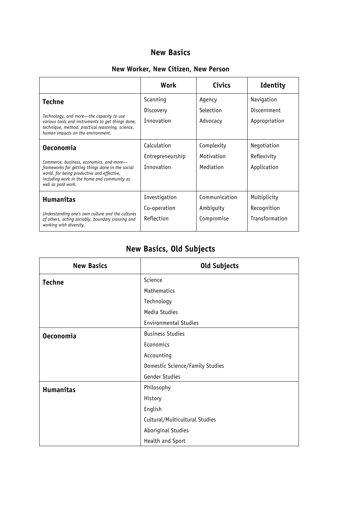# **New Basics**

## **New Worker, New Citizen, New Person**

|                                                                                                                                                                                                                 | <b>Work</b>      | <b>Civics</b> | <b>Identity</b> |
|-----------------------------------------------------------------------------------------------------------------------------------------------------------------------------------------------------------------|------------------|---------------|-----------------|
| <b>Techne</b>                                                                                                                                                                                                   | Scanning         | Agency        | Navigation      |
|                                                                                                                                                                                                                 | Discovery        | Selection     | Discernment     |
| Technology, and more—the capacity to use<br>various tools and instruments to get things done,<br>technique, method, practical reasoning, science,<br>human impacts on the environment.                          | Innovation       | Advocacy      | Appropriation   |
| <b>Oeconomia</b>                                                                                                                                                                                                | Calculation      | Complexity    | Negotiation     |
|                                                                                                                                                                                                                 | Entrepreneurship | Motivation    | Reflexivity     |
| Commerce, business, economics, and more-<br>frameworks for getting things done in the social<br>world, for being productive and effective,<br>including work in the home and community as<br>well as paid work. | Innovation       | Mediation     | Application     |
| <b>Humanitas</b>                                                                                                                                                                                                | Investigation    | Communication | Multiplicity    |
|                                                                                                                                                                                                                 | Co-operation     | Ambiguity     | Recognition     |
| Understanding one's own culture and the cultures<br>of others, acting sociably, boundary crossing and<br>working with diversity.                                                                                | Reflection       | Compromise    | Transformation  |

# **New Basics, Old Subjects**

| <b>New Basics</b> | <b>Old Subjects</b>             |  |
|-------------------|---------------------------------|--|
| <b>Techne</b>     | Science                         |  |
|                   | Mathematics                     |  |
|                   | Technology                      |  |
|                   | Media Studies                   |  |
|                   | <b>Environmental Studies</b>    |  |
| <b>Oeconomia</b>  | <b>Business Studies</b>         |  |
|                   | Economics                       |  |
|                   | Accounting                      |  |
|                   | Domestic Science/Family Studies |  |
|                   | <b>Gender Studies</b>           |  |
| <b>Humanitas</b>  | Philosophy                      |  |
|                   | History                         |  |
|                   | English                         |  |
|                   | Cultural/Multicultural Studies  |  |
|                   | Aboriginal Studies              |  |
|                   | Health and Sport                |  |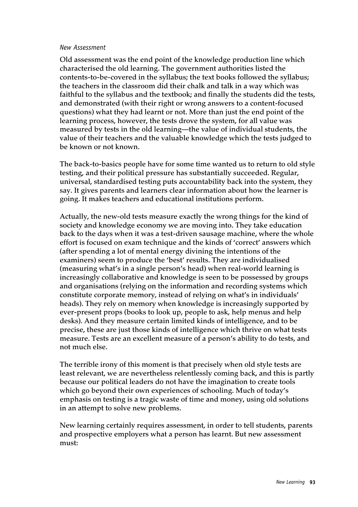#### *New Assessment*

**Old assessment was the end point of the knowledge production line which characterised the old learning. The government authorities listed the contents-to-be-covered in the syllabus; the text books followed the syllabus; the teachers in the classroom did their chalk and talk in a way which was faithful to the syllabus and the textbook; and finally the students did the tests, and demonstrated (with their right or wrong answers to a content-focused questions) what they had learnt or not. More than just the end point of the learning process, however, the tests drove the system, for all value was measured by tests in the old learning—the value of individual students, the value of their teachers and the valuable knowledge which the tests judged to be known or not known.** 

**The back-to-basics people have for some time wanted us to return to old style testing, and their political pressure has substantially succeeded. Regular, universal, standardised testing puts accountability back into the system, they say. It gives parents and learners clear information about how the learner is going. It makes teachers and educational institutions perform.** 

**Actually, the new-old tests measure exactly the wrong things for the kind of society and knowledge economy we are moving into. They take education back to the days when it was a test-driven sausage machine, where the whole effort is focused on exam technique and the kinds of 'correct' answers which (after spending a lot of mental energy divining the intentions of the examiners) seem to produce the 'best' results. They are individualised (measuring what's in a single person's head) when real-world learning is increasingly collaborative and knowledge is seen to be possessed by groups and organisations (relying on the information and recording systems which constitute corporate memory, instead of relying on what's in individuals' heads). They rely on memory when knowledge is increasingly supported by ever-present props (books to look up, people to ask, help menus and help desks). And they measure certain limited kinds of intelligence, and to be precise, these are just those kinds of intelligence which thrive on what tests measure. Tests are an excellent measure of a person's ability to do tests, and not much else.** 

**The terrible irony of this moment is that precisely when old style tests are least relevant, we are nevertheless relentlessly coming back, and this is partly because our political leaders do not have the imagination to create tools which go beyond their own experiences of schooling. Much of today's emphasis on testing is a tragic waste of time and money, using old solutions in an attempt to solve new problems.** 

**New learning certainly requires assessment, in order to tell students, parents and prospective employers what a person has learnt. But new assessment must:**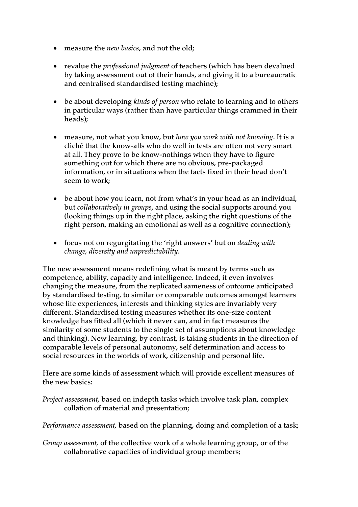- **measure the** *new basics***, and not the old;**
- **revalue the** *professional judgment* **of teachers (which has been devalued by taking assessment out of their hands, and giving it to a bureaucratic and centralised standardised testing machine);**
- **be about developing** *kinds of person* **who relate to learning and to others in particular ways (rather than have particular things crammed in their heads);**
- **measure, not what you know, but** *how you work with not knowing***. It is a cliché that the know-alls who do well in tests are often not very smart at all. They prove to be know-nothings when they have to figure something out for which there are no obvious, pre-packaged information, or in situations when the facts fixed in their head don't seem to work;**
- **be about how you learn, not from what's in your head as an individual, but** *collaboratively in groups***, and using the social supports around you (looking things up in the right place, asking the right questions of the right person, making an emotional as well as a cognitive connection);**
- **focus not on regurgitating the 'right answers' but on** *dealing with change, diversity and unpredictability***.**

**The new assessment means redefining what is meant by terms such as competence, ability, capacity and intelligence. Indeed, it even involves changing the measure, from the replicated sameness of outcome anticipated by standardised testing, to similar or comparable outcomes amongst learners whose life experiences, interests and thinking styles are invariably very different. Standardised testing measures whether its one-size content knowledge has fitted all (which it never can, and in fact measures the similarity of some students to the single set of assumptions about knowledge and thinking). New learning, by contrast, is taking students in the direction of comparable levels of personal autonomy, self determination and access to social resources in the worlds of work, citizenship and personal life.** 

**Here are some kinds of assessment which will provide excellent measures of the new basics:** 

*Project assessment,* **based on indepth tasks which involve task plan, complex collation of material and presentation;** 

*Performance assessment,* **based on the planning, doing and completion of a task;** 

*Group assessment,* **of the collective work of a whole learning group, or of the collaborative capacities of individual group members;**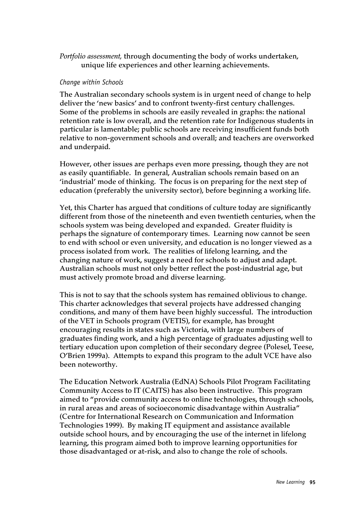### *Portfolio assessment,* **through documenting the body of works undertaken, unique life experiences and other learning achievements.**

#### *Change within Schools*

**The Australian secondary schools system is in urgent need of change to help deliver the 'new basics' and to confront twenty-first century challenges. Some of the problems in schools are easily revealed in graphs: the national retention rate is low overall, and the retention rate for Indigenous students in particular is lamentable; public schools are receiving insufficient funds both relative to non-government schools and overall; and teachers are overworked and underpaid.** 

**However, other issues are perhaps even more pressing, though they are not as easily quantifiable. In general, Australian schools remain based on an 'industrial' mode of thinking. The focus is on preparing for the next step of education (preferably the university sector), before beginning a working life.** 

**Yet, this Charter has argued that conditions of culture today are significantly different from those of the nineteenth and even twentieth centuries, when the schools system was being developed and expanded. Greater fluidity is perhaps the signature of contemporary times. Learning now cannot be seen to end with school or even university, and education is no longer viewed as a process isolated from work. The realities of lifelong learning, and the changing nature of work, suggest a need for schools to adjust and adapt. Australian schools must not only better reflect the post-industrial age, but must actively promote broad and diverse learning.** 

**This is not to say that the schools system has remained oblivious to change. This charter acknowledges that several projects have addressed changing conditions, and many of them have been highly successful. The introduction of the VET in Schools program (VETIS), for example, has brought encouraging results in states such as Victoria, with large numbers of graduates finding work, and a high percentage of graduates adjusting well to tertiary education upon completion of their secondary degree (Polesel, Teese, O'Brien 1999a). Attempts to expand this program to the adult VCE have also been noteworthy.** 

**The Education Network Australia (EdNA) Schools Pilot Program Facilitating Community Access to IT (CAITS) has also been instructive. This program aimed to "provide community access to online technologies, through schools, in rural areas and areas of socioeconomic disadvantage within Australia" (Centre for International Research on Communication and Information Technologies 1999). By making IT equipment and assistance available outside school hours, and by encouraging the use of the internet in lifelong learning, this program aimed both to improve learning opportunities for those disadvantaged or at-risk, and also to change the role of schools.**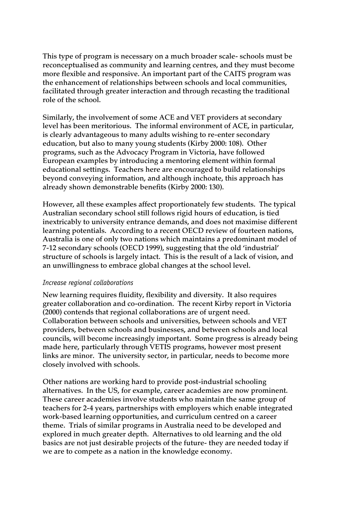**This type of program is necessary on a much broader scale- schools must be reconceptualised as community and learning centres, and they must become more flexible and responsive. An important part of the CAITS program was the enhancement of relationships between schools and local communities, facilitated through greater interaction and through recasting the traditional role of the school.** 

**Similarly, the involvement of some ACE and VET providers at secondary level has been meritorious. The informal environment of ACE, in particular, is clearly advantageous to many adults wishing to re-enter secondary education, but also to many young students (Kirby 2000: 108). Other programs, such as the Advocacy Program in Victoria, have followed European examples by introducing a mentoring element within formal educational settings. Teachers here are encouraged to build relationships beyond conveying information, and although inchoate, this approach has already shown demonstrable benefits (Kirby 2000: 130).** 

**However, all these examples affect proportionately few students. The typical Australian secondary school still follows rigid hours of education, is tied inextricably to university entrance demands, and does not maximise different learning potentials. According to a recent OECD review of fourteen nations, Australia is one of only two nations which maintains a predominant model of 7-12 secondary schools (OECD 1999), suggesting that the old 'industrial' structure of schools is largely intact. This is the result of a lack of vision, and an unwillingness to embrace global changes at the school level.** 

#### *Increase regional collaborations*

**New learning requires fluidity, flexibility and diversity. It also requires greater collaboration and co-ordination. The recent Kirby report in Victoria (2000) contends that regional collaborations are of urgent need. Collaboration between schools and universities, between schools and VET providers, between schools and businesses, and between schools and local councils, will become increasingly important. Some progress is already being made here, particularly through VETIS programs, however most present links are minor. The university sector, in particular, needs to become more closely involved with schools.** 

**Other nations are working hard to provide post-industrial schooling alternatives. In the US, for example, career academies are now prominent. These career academies involve students who maintain the same group of teachers for 2-4 years, partnerships with employers which enable integrated work-based learning opportunities, and curriculum centred on a career theme. Trials of similar programs in Australia need to be developed and explored in much greater depth. Alternatives to old learning and the old basics are not just desirable projects of the future- they are needed today if we are to compete as a nation in the knowledge economy.**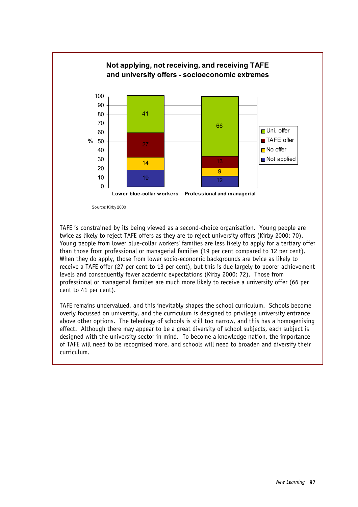

TAFE is constrained by its being viewed as a second-choice organisation. Young people are twice as likely to reject TAFE offers as they are to reject university offers (Kirby 2000: 70). Young people from lower blue-collar workers' families are less likely to apply for a tertiary offer than those from professional or managerial families (19 per cent compared to 12 per cent). When they do apply, those from lower socio-economic backgrounds are twice as likely to receive a TAFE offer (27 per cent to 13 per cent), but this is due largely to poorer achievement levels and consequently fewer academic expectations (Kirby 2000: 72). Those from professional or managerial families are much more likely to receive a university offer (66 per cent to 41 per cent).

TAFE remains undervalued, and this inevitably shapes the school curriculum. Schools become overly focussed on university, and the curriculum is designed to privilege university entrance above other options. The teleology of schools is still too narrow, and this has a homogenising effect. Although there may appear to be a great diversity of school subjects, each subject is designed with the university sector in mind. To become a knowledge nation, the importance of TAFE will need to be recognised more, and schools will need to broaden and diversify their curriculum.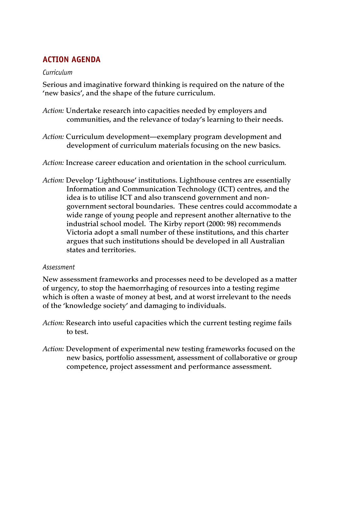## **ACTION AGENDA**

### *Curriculum*

**Serious and imaginative forward thinking is required on the nature of the 'new basics', and the shape of the future curriculum.** 

- *Action:* **Undertake research into capacities needed by employers and communities, and the relevance of today's learning to their needs.**
- *Action:* **Curriculum development—exemplary program development and development of curriculum materials focusing on the new basics.**
- *Action:* **Increase career education and orientation in the school curriculum***.*
- *Action:* **Develop 'Lighthouse' institutions. Lighthouse centres are essentially Information and Communication Technology (ICT) centres, and the idea is to utilise ICT and also transcend government and nongovernment sectoral boundaries. These centres could accommodate a wide range of young people and represent another alternative to the industrial school model. The Kirby report (2000: 98) recommends Victoria adopt a small number of these institutions, and this charter argues that such institutions should be developed in all Australian states and territories.**

#### *Assessment*

**New assessment frameworks and processes need to be developed as a matter of urgency, to stop the haemorrhaging of resources into a testing regime which is often a waste of money at best, and at worst irrelevant to the needs of the 'knowledge society' and damaging to individuals.** 

- *Action:* **Research into useful capacities which the current testing regime fails to test.**
- *Action:* **Development of experimental new testing frameworks focused on the new basics, portfolio assessment, assessment of collaborative or group competence, project assessment and performance assessment.**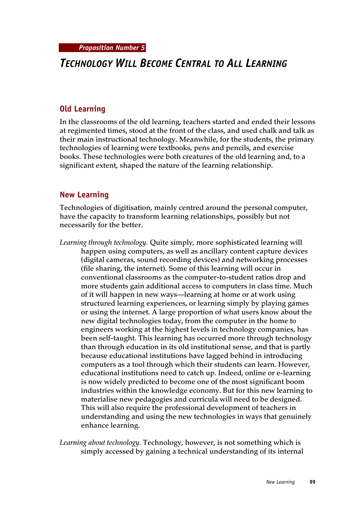# *TECHNOLOGY WILL BECOME CENTRAL TO ALL LEARNING*

## **Old Learning**

**In the classrooms of the old learning, teachers started and ended their lessons at regimented times, stood at the front of the class, and used chalk and talk as their main instructional technology. Meanwhile, for the students, the primary technologies of learning were textbooks, pens and pencils, and exercise books. These technologies were both creatures of the old learning and, to a significant extent, shaped the nature of the learning relationship.** 

## **New Learning**

**Technologies of digitisation, mainly centred around the personal computer, have the capacity to transform learning relationships, possibly but not necessarily for the better.** 

*Learning through technology.* **Quite simply, more sophisticated learning will happen using computers, as well as ancillary content capture devices (digital cameras, sound recording devices) and networking processes (file sharing, the internet). Some of this learning will occur in conventional classrooms as the computer-to-student ratios drop and more students gain additional access to computers in class time. Much of it will happen in new ways—learning at home or at work using structured learning experiences, or learning simply by playing games or using the internet. A large proportion of what users know about the new digital technologies today, from the computer in the home to engineers working at the highest levels in technology companies, has been self-taught. This learning has occurred more through technology than through education in its old institutional sense, and that is partly because educational institutions have lagged behind in introducing computers as a tool through which their students can learn. However, educational institutions need to catch up. Indeed, online or e-learning is now widely predicted to become one of the most significant boom industries within the knowledge economy. But for this new learning to materialise new pedagogies and curricula will need to be designed. This will also require the professional development of teachers in understanding and using the new technologies in ways that genuinely enhance learning.** 

*Learning about technology.* **Technology, however, is not something which is simply accessed by gaining a technical understanding of its internal**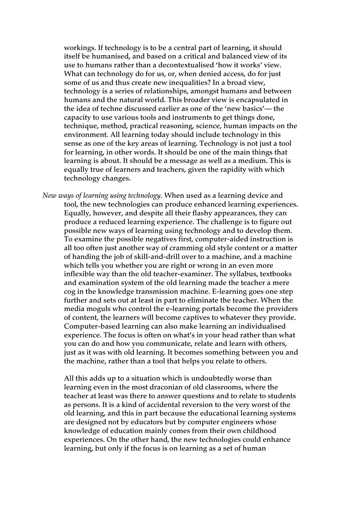**workings. If technology is to be a central part of learning, it should itself be humanised, and based on a critical and balanced view of its use to humans rather than a decontextualised 'how it works' view. What can technology do for us, or, when denied access, do for just some of us and thus create new inequalities? In a broad view, technology is a series of relationships, amongst humans and between humans and the natural world. This broader view is encapsulated in the idea of techne discussed earlier as one of the 'new basics'— the capacity to use various tools and instruments to get things done, technique, method, practical reasoning, science, human impacts on the environment. All learning today should include technology in this sense as one of the key areas of learning. Technology is not just a tool for learning, in other words. It should be one of the main things that learning is about. It should be a message as well as a medium. This is equally true of learners and teachers, given the rapidity with which technology changes.** 

*New ways of learning using technology.* **When used as a learning device and tool, the new technologies can produce enhanced learning experiences. Equally, however, and despite all their flashy appearances, they can produce a reduced learning experience. The challenge is to figure out possible new ways of learning using technology and to develop them. To examine the possible negatives first, computer-aided instruction is all too often just another way of cramming old style content or a matter of handing the job of skill-and-drill over to a machine, and a machine which tells you whether you are right or wrong in an even more inflexible way than the old teacher-examiner. The syllabus, textbooks and examination system of the old learning made the teacher a mere cog in the knowledge transmission machine. E-learning goes one step further and sets out at least in part to eliminate the teacher. When the media moguls who control the e-learning portals become the providers of content, the learners will become captives to whatever they provide. Computer-based learning can also make learning an individualised experience. The focus is often on what's in your head rather than what you can do and how you communicate, relate and learn with others, just as it was with old learning. It becomes something between you and the machine, rather than a tool that helps you relate to others.** 

**All this adds up to a situation which is undoubtedly worse than learning even in the most draconian of old classrooms, where the teacher at least was there to answer questions and to relate to students as persons. It is a kind of accidental reversion to the very worst of the old learning, and this in part because the educational learning systems are designed not by educators but by computer engineers whose knowledge of education mainly comes from their own childhood experiences. On the other hand, the new technologies could enhance learning, but only if the focus is on learning as a set of human**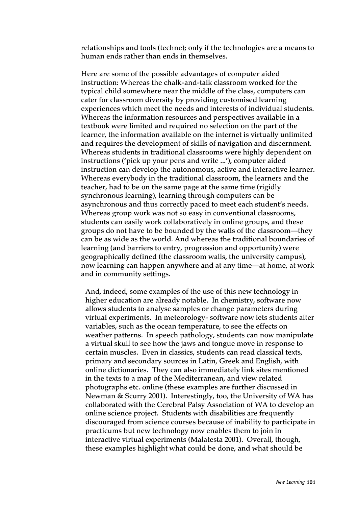**relationships and tools (techne); only if the technologies are a means to human ends rather than ends in themselves.** 

**Here are some of the possible advantages of computer aided instruction: Whereas the chalk-and-talk classroom worked for the typical child somewhere near the middle of the class, computers can cater for classroom diversity by providing customised learning experiences which meet the needs and interests of individual students. Whereas the information resources and perspectives available in a textbook were limited and required no selection on the part of the learner, the information available on the internet is virtually unlimited and requires the development of skills of navigation and discernment. Whereas students in traditional classrooms were highly dependent on instructions ('pick up your pens and write ...'), computer aided instruction can develop the autonomous, active and interactive learner. Whereas everybody in the traditional classroom, the learners and the teacher, had to be on the same page at the same time (rigidly synchronous learning), learning through computers can be asynchronous and thus correctly paced to meet each student's needs. Whereas group work was not so easy in conventional classrooms, students can easily work collaboratively in online groups, and these groups do not have to be bounded by the walls of the classroom—they can be as wide as the world. And whereas the traditional boundaries of learning (and barriers to entry, progression and opportunity) were geographically defined (the classroom walls, the university campus), now learning can happen anywhere and at any time—at home, at work and in community settings.** 

**And, indeed, some examples of the use of this new technology in higher education are already notable. In chemistry, software now allows students to analyse samples or change parameters during virtual experiments. In meteorology- software now lets students alter variables, such as the ocean temperature, to see the effects on weather patterns. In speech pathology, students can now manipulate a virtual skull to see how the jaws and tongue move in response to certain muscles. Even in classics, students can read classical texts, primary and secondary sources in Latin, Greek and English, with online dictionaries. They can also immediately link sites mentioned in the texts to a map of the Mediterranean, and view related photographs etc. online (these examples are further discussed in Newman & Scurry 2001). Interestingly, too, the University of WA has collaborated with the Cerebral Palsy Association of WA to develop an online science project. Students with disabilities are frequently discouraged from science courses because of inability to participate in practicums but new technology now enables them to join in interactive virtual experiments (Malatesta 2001). Overall, though, these examples highlight what could be done, and what should be**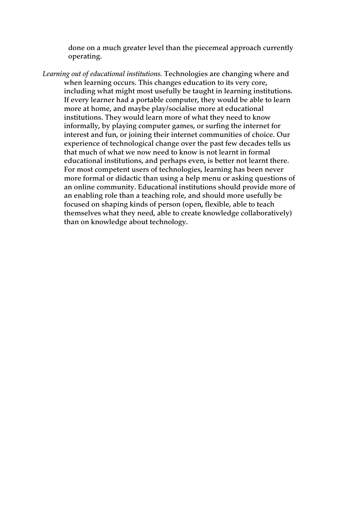**done on a much greater level than the piecemeal approach currently operating.** 

*Learning out of educational institutions.* **Technologies are changing where and when learning occurs. This changes education to its very core, including what might most usefully be taught in learning institutions. If every learner had a portable computer, they would be able to learn more at home, and maybe play/socialise more at educational institutions. They would learn more of what they need to know informally, by playing computer games, or surfing the internet for interest and fun, or joining their internet communities of choice. Our experience of technological change over the past few decades tells us that much of what we now need to know is not learnt in formal educational institutions, and perhaps even, is better not learnt there. For most competent users of technologies, learning has been never more formal or didactic than using a help menu or asking questions of an online community. Educational institutions should provide more of an enabling role than a teaching role, and should more usefully be focused on shaping kinds of person (open, flexible, able to teach themselves what they need, able to create knowledge collaboratively) than on knowledge about technology.**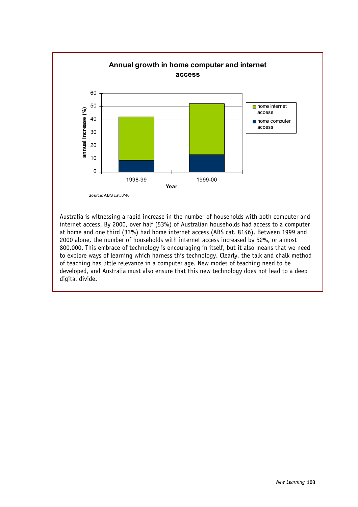

Australia is witnessing a rapid increase in the number of households with both computer and internet access. By 2000, over half (53%) of Australian households had access to a computer at home and one third (33%) had home internet access (ABS cat. 8146). Between 1999 and 2000 alone, the number of households with internet access increased by 52%, or almost 800,000. This embrace of technology is encouraging in itself, but it also means that we need to explore ways of learning which harness this technology. Clearly, the talk and chalk method of teaching has little relevance in a computer age. New modes of teaching need to be developed, and Australia must also ensure that this new technology does not lead to a deep digital divide.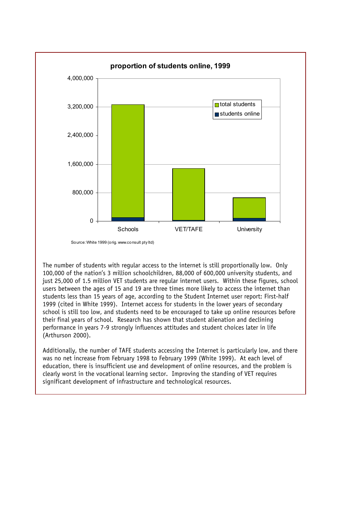

The number of students with regular access to the internet is still proportionally low. Only 100,000 of the nation's 3 million schoolchildren, 88,000 of 600,000 university students, and just 25,000 of 1.5 million VET students are regular internet users. Within these figures, school users between the ages of 15 and 19 are three times more likely to access the internet than students less than 15 years of age, according to the Student Internet user report: First-half 1999 (cited in White 1999). Internet access for students in the lower years of secondary school is still too low, and students need to be encouraged to take up online resources before their final years of school. Research has shown that student alienation and declining performance in years 7-9 strongly influences attitudes and student choices later in life (Arthurson 2000).

Additionally, the number of TAFE students accessing the Internet is particularly low, and there was no net increase from February 1998 to February 1999 (White 1999). At each level of education, there is insufficient use and development of online resources, and the problem is clearly worst in the vocational learning sector. Improving the standing of VET requires significant development of infrastructure and technological resources.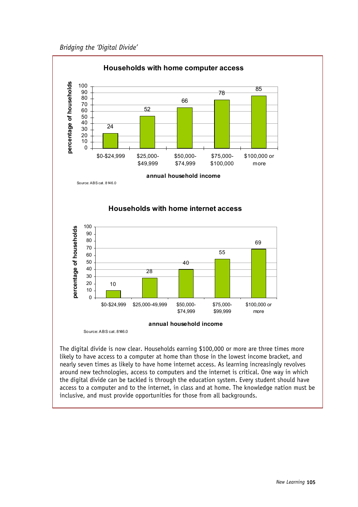

The digital divide is now clear. Households earning \$100,000 or more are three times more likely to have access to a computer at home than those in the lowest income bracket, and nearly seven times as likely to have home internet access. As learning increasingly revolves around new technologies, access to computers and the internet is critical. One way in which the digital divide can be tackled is through the education system. Every student should have access to a computer and to the internet, in class and at home. The knowledge nation must be inclusive, and must provide opportunities for those from all backgrounds.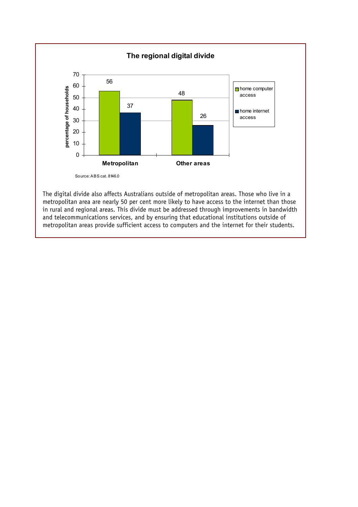

metropolitan area are nearly 50 per cent more likely to have access to the internet than those in rural and regional areas. This divide must be addressed through improvements in bandwidth and telecommunications services, and by ensuring that educational institutions outside of metropolitan areas provide sufficient access to computers and the internet for their students.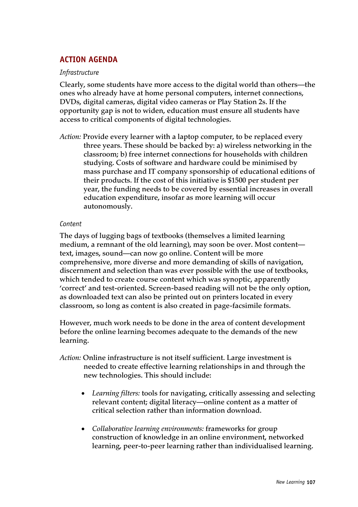## **ACTION AGENDA**

#### *Infrastructure*

**Clearly, some students have more access to the digital world than others—the ones who already have at home personal computers, internet connections, DVDs, digital cameras, digital video cameras or Play Station 2s. If the opportunity gap is not to widen, education must ensure all students have access to critical components of digital technologies.** 

*Action:* **Provide every learner with a laptop computer, to be replaced every three years. These should be backed by: a) wireless networking in the classroom; b) free internet connections for households with children studying. Costs of software and hardware could be minimised by mass purchase and IT company sponsorship of educational editions of their products. If the cost of this initiative is \$1500 per student per year, the funding needs to be covered by essential increases in overall education expenditure, insofar as more learning will occur autonomously.** 

#### *Content*

**The days of lugging bags of textbooks (themselves a limited learning medium, a remnant of the old learning), may soon be over. Most content text, images, sound—can now go online. Content will be more comprehensive, more diverse and more demanding of skills of navigation, discernment and selection than was ever possible with the use of textbooks, which tended to create course content which was synoptic, apparently 'correct' and test-oriented. Screen-based reading will not be the only option, as downloaded text can also be printed out on printers located in every classroom, so long as content is also created in page-facsimile formats.** 

**However, much work needs to be done in the area of content development before the online learning becomes adequate to the demands of the new learning.** 

- *Action:* **Online infrastructure is not itself sufficient. Large investment is needed to create effective learning relationships in and through the new technologies. This should include:** 
	- *Learning filters:* **tools for navigating, critically assessing and selecting relevant content; digital literacy—online content as a matter of critical selection rather than information download.**
	- *Collaborative learning environments:* **frameworks for group construction of knowledge in an online environment, networked learning, peer-to-peer learning rather than individualised learning.**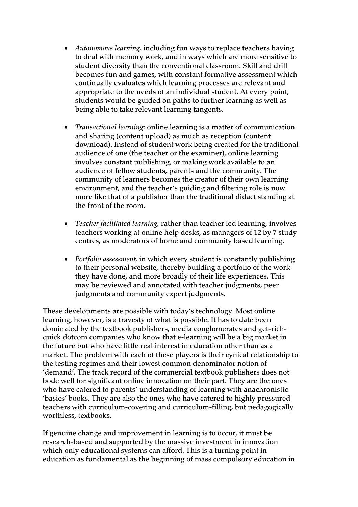- *Autonomous learning,* **including fun ways to replace teachers having to deal with memory work, and in ways which are more sensitive to student diversity than the conventional classroom. Skill and drill becomes fun and games, with constant formative assessment which continually evaluates which learning processes are relevant and appropriate to the needs of an individual student. At every point, students would be guided on paths to further learning as well as being able to take relevant learning tangents.**
- *Transactional learning:* **online learning is a matter of communication and sharing (content upload) as much as reception (content download). Instead of student work being created for the traditional audience of one (the teacher or the examiner), online learning involves constant publishing, or making work available to an audience of fellow students, parents and the community. The community of learners becomes the creator of their own learning environment, and the teacher's guiding and filtering role is now more like that of a publisher than the traditional didact standing at the front of the room.**
- *Teacher facilitated learning,* **rather than teacher led learning, involves teachers working at online help desks, as managers of 12 by 7 study centres, as moderators of home and community based learning.**
- *Portfolio assessment,* **in which every student is constantly publishing to their personal website, thereby building a portfolio of the work they have done, and more broadly of their life experiences. This may be reviewed and annotated with teacher judgments, peer judgments and community expert judgments.**

**These developments are possible with today's technology. Most online learning, however, is a travesty of what is possible. It has to date been dominated by the textbook publishers, media conglomerates and get-richquick dotcom companies who know that e-learning will be a big market in the future but who have little real interest in education other than as a market. The problem with each of these players is their cynical relationship to the testing regimes and their lowest common denominator notion of 'demand'. The track record of the commercial textbook publishers does not bode well for significant online innovation on their part. They are the ones who have catered to parents' understanding of learning with anachronistic 'basics' books. They are also the ones who have catered to highly pressured teachers with curriculum-covering and curriculum-filling, but pedagogically worthless, textbooks.** 

**If genuine change and improvement in learning is to occur, it must be research-based and supported by the massive investment in innovation which only educational systems can afford. This is a turning point in education as fundamental as the beginning of mass compulsory education in**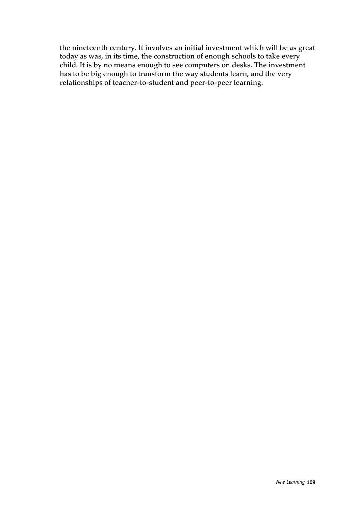**the nineteenth century. It involves an initial investment which will be as great today as was, in its time, the construction of enough schools to take every child. It is by no means enough to see computers on desks. The investment has to be big enough to transform the way students learn, and the very relationships of teacher-to-student and peer-to-peer learning.**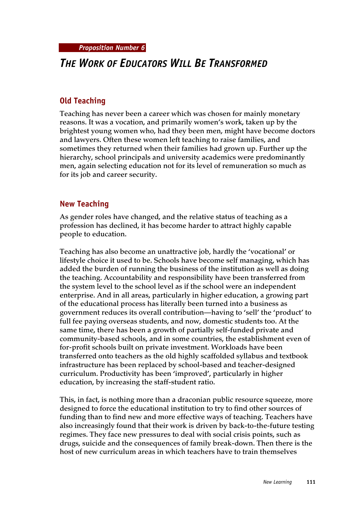## *THE WORK OF EDUCATORS WILL BE TRANSFORMED*

## **Old Teaching**

**Teaching has never been a career which was chosen for mainly monetary reasons. It was a vocation, and primarily women's work, taken up by the brightest young women who, had they been men, might have become doctors and lawyers. Often these women left teaching to raise families, and sometimes they returned when their families had grown up. Further up the hierarchy, school principals and university academics were predominantly men, again selecting education not for its level of remuneration so much as for its job and career security.** 

## **New Teaching**

**As gender roles have changed, and the relative status of teaching as a profession has declined, it has become harder to attract highly capable people to education.** 

**Teaching has also become an unattractive job, hardly the 'vocational' or lifestyle choice it used to be. Schools have become self managing, which has added the burden of running the business of the institution as well as doing the teaching. Accountability and responsibility have been transferred from the system level to the school level as if the school were an independent enterprise. And in all areas, particularly in higher education, a growing part of the educational process has literally been turned into a business as government reduces its overall contribution—having to 'sell' the 'product' to full fee paying overseas students, and now, domestic students too. At the same time, there has been a growth of partially self-funded private and community-based schools, and in some countries, the establishment even of for-profit schools built on private investment. Workloads have been transferred onto teachers as the old highly scaffolded syllabus and textbook infrastructure has been replaced by school-based and teacher-designed curriculum. Productivity has been 'improved', particularly in higher education, by increasing the staff-student ratio.** 

**This, in fact, is nothing more than a draconian public resource squeeze, more designed to force the educational institution to try to find other sources of funding than to find new and more effective ways of teaching. Teachers have also increasingly found that their work is driven by back-to-the-future testing regimes. They face new pressures to deal with social crisis points, such as drugs, suicide and the consequences of family break-down. Then there is the host of new curriculum areas in which teachers have to train themselves**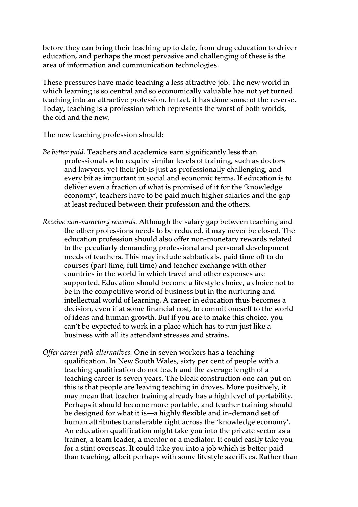**before they can bring their teaching up to date, from drug education to driver education, and perhaps the most pervasive and challenging of these is the area of information and communication technologies.** 

**These pressures have made teaching a less attractive job. The new world in which learning is so central and so economically valuable has not yet turned teaching into an attractive profession. In fact, it has done some of the reverse. Today, teaching is a profession which represents the worst of both worlds, the old and the new.** 

**The new teaching profession should:** 

- *Be better paid.* **Teachers and academics earn significantly less than professionals who require similar levels of training, such as doctors and lawyers, yet their job is just as professionally challenging, and every bit as important in social and economic terms. If education is to deliver even a fraction of what is promised of it for the 'knowledge economy', teachers have to be paid much higher salaries and the gap at least reduced between their profession and the others.**
- *Receive non-monetary rewards.* **Although the salary gap between teaching and the other professions needs to be reduced, it may never be closed. The education profession should also offer non-monetary rewards related to the peculiarly demanding professional and personal development needs of teachers. This may include sabbaticals, paid time off to do courses (part time, full time) and teacher exchange with other countries in the world in which travel and other expenses are supported. Education should become a lifestyle choice, a choice not to be in the competitive world of business but in the nurturing and intellectual world of learning. A career in education thus becomes a decision, even if at some financial cost, to commit oneself to the world of ideas and human growth. But if you are to make this choice, you can't be expected to work in a place which has to run just like a business with all its attendant stresses and strains.**
- *Offer career path alternatives.* **One in seven workers has a teaching qualification. In New South Wales, sixty per cent of people with a teaching qualification do not teach and the average length of a teaching career is seven years. The bleak construction one can put on this is that people are leaving teaching in droves. More positively, it may mean that teacher training already has a high level of portability. Perhaps it should become more portable, and teacher training should be designed for what it is—a highly flexible and in-demand set of human attributes transferable right across the 'knowledge economy'. An education qualification might take you into the private sector as a trainer, a team leader, a mentor or a mediator. It could easily take you for a stint overseas. It could take you into a job which is better paid than teaching, albeit perhaps with some lifestyle sacrifices. Rather than**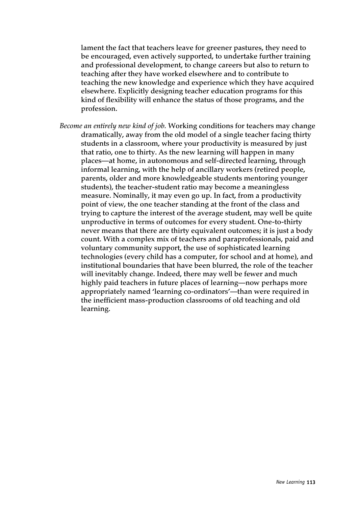**lament the fact that teachers leave for greener pastures, they need to be encouraged, even actively supported, to undertake further training and professional development, to change careers but also to return to teaching after they have worked elsewhere and to contribute to teaching the new knowledge and experience which they have acquired elsewhere. Explicitly designing teacher education programs for this kind of flexibility will enhance the status of those programs, and the profession.** 

*Become an entirely new kind of job.* **Working conditions for teachers may change dramatically, away from the old model of a single teacher facing thirty students in a classroom, where your productivity is measured by just that ratio, one to thirty. As the new learning will happen in many places—at home, in autonomous and self-directed learning, through informal learning, with the help of ancillary workers (retired people, parents, older and more knowledgeable students mentoring younger students), the teacher-student ratio may become a meaningless measure. Nominally, it may even go up. In fact, from a productivity point of view, the one teacher standing at the front of the class and trying to capture the interest of the average student, may well be quite unproductive in terms of outcomes for every student. One-to-thirty never means that there are thirty equivalent outcomes; it is just a body count. With a complex mix of teachers and paraprofessionals, paid and voluntary community support, the use of sophisticated learning technologies (every child has a computer, for school and at home), and institutional boundaries that have been blurred, the role of the teacher will inevitably change. Indeed, there may well be fewer and much highly paid teachers in future places of learning—now perhaps more appropriately named 'learning co-ordinators'—than were required in the inefficient mass-production classrooms of old teaching and old learning.**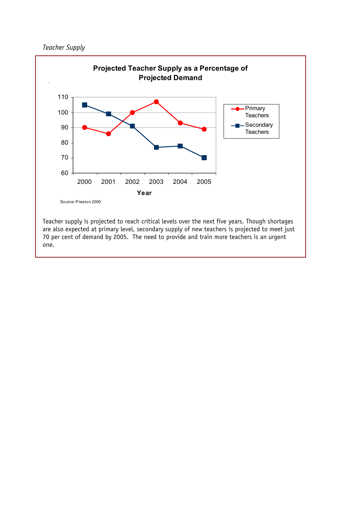



are also expected at primary level, secondary supply of new teachers is projected to meet just 70 per cent of demand by 2005. The need to provide and train more teachers is an urgent one.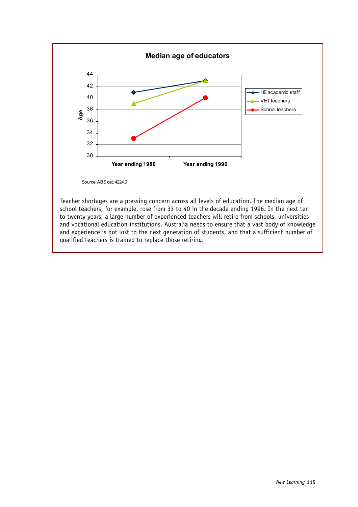

school teachers, for example, rose from 33 to 40 in the decade ending 1996. In the next ten to twenty years, a large number of experienced teachers will retire from schools, universities and vocational education institutions. Australia needs to ensure that a vast body of knowledge and experience is not lost to the next generation of students, and that a sufficient number of qualified teachers is trained to replace those retiring.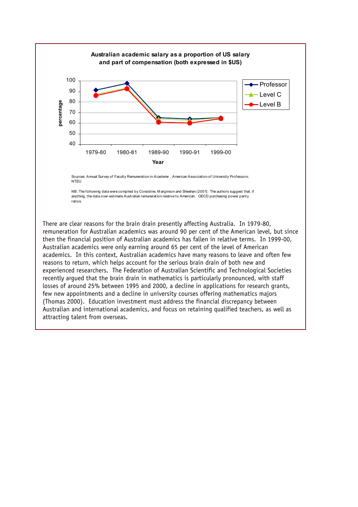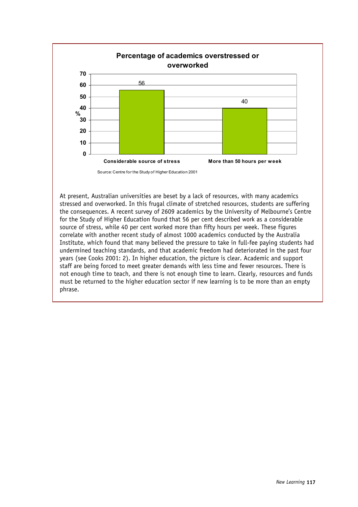

At present, Australian universities are beset by a lack of resources, with many academics stressed and overworked. In this frugal climate of stretched resources, students are suffering the consequences. A recent survey of 2609 academics by the University of Melbourne's Centre for the Study of Higher Education found that 56 per cent described work as a considerable source of stress, while 40 per cent worked more than fifty hours per week. These figures correlate with another recent study of almost 1000 academics conducted by the Australia Institute, which found that many believed the pressure to take in full-fee paying students had undermined teaching standards, and that academic freedom had deteriorated in the past four years (see Cooks 2001: 2). In higher education, the picture is clear. Academic and support staff are being forced to meet greater demands with less time and fewer resources. There is not enough time to teach, and there is not enough time to learn. Clearly, resources and funds must be returned to the higher education sector if new learning is to be more than an empty phrase.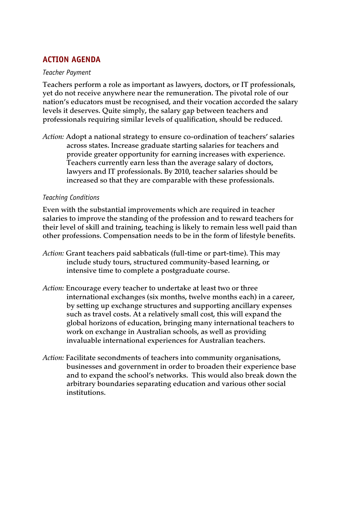## **ACTION AGENDA**

#### *Teacher Payment*

**Teachers perform a role as important as lawyers, doctors, or IT professionals, yet do not receive anywhere near the remuneration. The pivotal role of our nation's educators must be recognised, and their vocation accorded the salary levels it deserves. Quite simply, the salary gap between teachers and professionals requiring similar levels of qualification, should be reduced.** 

*Action:* **Adopt a national strategy to ensure co-ordination of teachers' salaries across states. Increase graduate starting salaries for teachers and provide greater opportunity for earning increases with experience. Teachers currently earn less than the average salary of doctors, lawyers and IT professionals. By 2010, teacher salaries should be increased so that they are comparable with these professionals.** 

#### *Teaching Conditions*

**Even with the substantial improvements which are required in teacher salaries to improve the standing of the profession and to reward teachers for their level of skill and training, teaching is likely to remain less well paid than other professions. Compensation needs to be in the form of lifestyle benefits.** 

- *Action:* **Grant teachers paid sabbaticals (full-time or part-time). This may include study tours, structured community-based learning, or intensive time to complete a postgraduate course.**
- *Action:* **Encourage every teacher to undertake at least two or three international exchanges (six months, twelve months each) in a career, by setting up exchange structures and supporting ancillary expenses such as travel costs. At a relatively small cost, this will expand the global horizons of education, bringing many international teachers to work on exchange in Australian schools, as well as providing invaluable international experiences for Australian teachers.**
- *Action:* **Facilitate secondments of teachers into community organisations, businesses and government in order to broaden their experience base and to expand the school's networks. This would also break down the arbitrary boundaries separating education and various other social institutions.**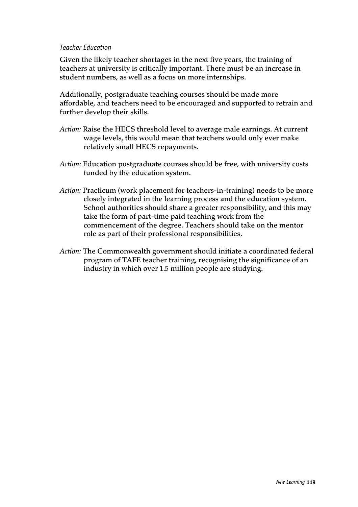#### *Teacher Education*

**Given the likely teacher shortages in the next five years, the training of teachers at university is critically important. There must be an increase in student numbers, as well as a focus on more internships.** 

**Additionally, postgraduate teaching courses should be made more affordable, and teachers need to be encouraged and supported to retrain and further develop their skills.** 

- *Action:* **Raise the HECS threshold level to average male earnings. At current wage levels, this would mean that teachers would only ever make relatively small HECS repayments.**
- *Action:* **Education postgraduate courses should be free, with university costs funded by the education system.**
- *Action:* **Practicum (work placement for teachers-in-training) needs to be more closely integrated in the learning process and the education system. School authorities should share a greater responsibility, and this may take the form of part-time paid teaching work from the commencement of the degree. Teachers should take on the mentor role as part of their professional responsibilities.**
- *Action:* **The Commonwealth government should initiate a coordinated federal program of TAFE teacher training, recognising the significance of an industry in which over 1.5 million people are studying.**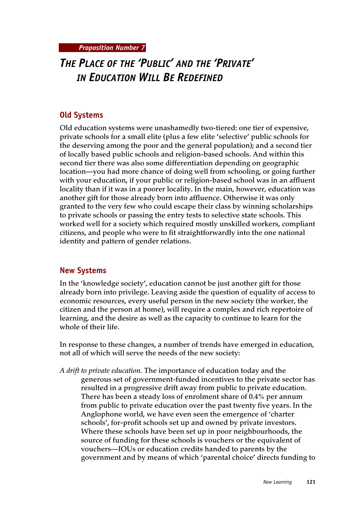# *THE PLACE OF THE 'PUBLIC' AND THE 'PRIVATE' IN EDUCATION WILL BE REDEFINED*

## **Old Systems**

**Old education systems were unashamedly two-tiered: one tier of expensive, private schools for a small elite (plus a few elite 'selective' public schools for the deserving among the poor and the general population); and a second tier of locally based public schools and religion-based schools. And within this second tier there was also some differentiation depending on geographic location—you had more chance of doing well from schooling, or going further with your education, if your public or religion-based school was in an affluent locality than if it was in a poorer locality. In the main, however, education was another gift for those already born into affluence. Otherwise it was only granted to the very few who could escape their class by winning scholarships to private schools or passing the entry tests to selective state schools. This worked well for a society which required mostly unskilled workers, compliant citizens, and people who were to fit straightforwardly into the one national identity and pattern of gender relations.** 

### **New Systems**

**In the 'knowledge society', education cannot be just another gift for those already born into privilege. Leaving aside the question of equality of access to economic resources, every useful person in the new society (the worker, the citizen and the person at home), will require a complex and rich repertoire of learning, and the desire as well as the capacity to continue to learn for the whole of their life.** 

**In response to these changes, a number of trends have emerged in education, not all of which will serve the needs of the new society:** 

*A drift to private education.* **The importance of education today and the generous set of government-funded incentives to the private sector has resulted in a progressive drift away from public to private education. There has been a steady loss of enrolment share of 0.4% per annum from public to private education over the past twenty five years. In the Anglophone world, we have even seen the emergence of 'charter schools', for-profit schools set up and owned by private investors. Where these schools have been set up in poor neighbourhoods, the source of funding for these schools is vouchers or the equivalent of vouchers—IOUs or education credits handed to parents by the government and by means of which 'parental choice' directs funding to**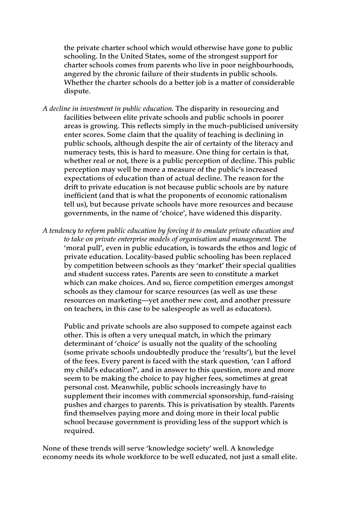**the private charter school which would otherwise have gone to public schooling. In the United States, some of the strongest support for charter schools comes from parents who live in poor neighbourhoods, angered by the chronic failure of their students in public schools. Whether the charter schools do a better job is a matter of considerable dispute.** 

- *A decline in investment in public education.* **The disparity in resourcing and facilities between elite private schools and public schools in poorer areas is growing. This reflects simply in the much-publicised university enter scores. Some claim that the quality of teaching is declining in public schools, although despite the air of certainty of the literacy and numeracy tests, this is hard to measure. One thing for certain is that, whether real or not, there is a public perception of decline. This public perception may well be more a measure of the public's increased expectations of education than of actual decline. The reason for the drift to private education is not because public schools are by nature inefficient (and that is what the proponents of economic rationalism tell us), but because private schools have more resources and because governments, in the name of 'choice', have widened this disparity.**
- *A tendency to reform public education by forcing it to emulate private education and to take on private enterprise models of organisation and management.* **The 'moral pull', even in public education, is towards the ethos and logic of private education. Locality-based public schooling has been replaced by competition between schools as they 'market' their special qualities and student success rates. Parents are seen to constitute a market which can make choices. And so, fierce competition emerges amongst schools as they clamour for scarce resources (as well as use these resources on marketing—yet another new cost, and another pressure on teachers, in this case to be salespeople as well as educators).**

**Public and private schools are also supposed to compete against each other. This is often a very unequal match, in which the primary determinant of 'choice' is usually not the quality of the schooling (some private schools undoubtedly produce the 'results'), but the level of the fees. Every parent is faced with the stark question, 'can I afford my child's education?', and in answer to this question, more and more seem to be making the choice to pay higher fees, sometimes at great personal cost. Meanwhile, public schools increasingly have to supplement their incomes with commercial sponsorship, fund-raising pushes and charges to parents. This is privatisation by stealth. Parents find themselves paying more and doing more in their local public school because government is providing less of the support which is required.** 

**None of these trends will serve 'knowledge society' well. A knowledge economy needs its whole workforce to be well educated, not just a small elite.**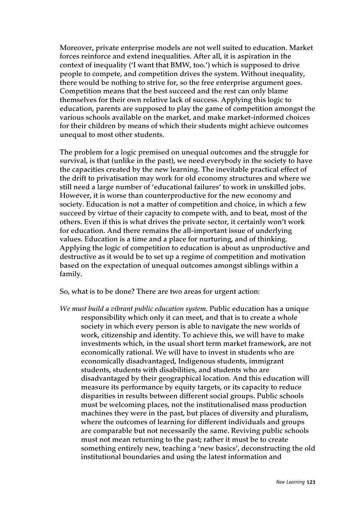**Moreover, private enterprise models are not well suited to education. Market forces reinforce and extend inequalities. After all, it is aspiration in the context of inequality ('I want that BMW, too.') which is supposed to drive people to compete, and competition drives the system. Without inequality, there would be nothing to strive for, so the free enterprise argument goes. Competition means that the best succeed and the rest can only blame themselves for their own relative lack of success. Applying this logic to education, parents are supposed to play the game of competition amongst the various schools available on the market, and make market-informed choices for their children by means of which their students might achieve outcomes unequal to most other students.** 

**The problem for a logic premised on unequal outcomes and the struggle for survival, is that (unlike in the past), we need everybody in the society to have the capacities created by the new learning. The inevitable practical effect of the drift to privatisation may work for old economy structures and where we still need a large number of 'educational failures' to work in unskilled jobs. However, it is worse than counterproductive for the new economy and society. Education is not a matter of competition and choice, in which a few succeed by virtue of their capacity to compete with, and to beat, most of the others. Even if this is what drives the private sector, it certainly won't work for education. And there remains the all-important issue of underlying values. Education is a time and a place for nurturing, and of thinking. Applying the logic of competition to education is about as unproductive and destructive as it would be to set up a regime of competition and motivation based on the expectation of unequal outcomes amongst siblings within a family.** 

**So, what is to be done? There are two areas for urgent action:** 

*We must build a vibrant public education system.* **Public education has a unique responsibility which only it can meet, and that is to create a whole society in which every person is able to navigate the new worlds of work, citizenship and identity. To achieve this, we will have to make investments which, in the usual short term market framework, are not economically rational. We will have to invest in students who are economically disadvantaged, Indigenous students, immigrant students, students with disabilities, and students who are disadvantaged by their geographical location. And this education will measure its performance by equity targets, or its capacity to reduce disparities in results between different social groups. Public schools must be welcoming places, not the institutionalised mass production machines they were in the past, but places of diversity and pluralism, where the outcomes of learning for different individuals and groups are comparable but not necessarily the same. Reviving public schools must not mean returning to the past; rather it must be to create something entirely new, teaching a 'new basics', deconstructing the old institutional boundaries and using the latest information and**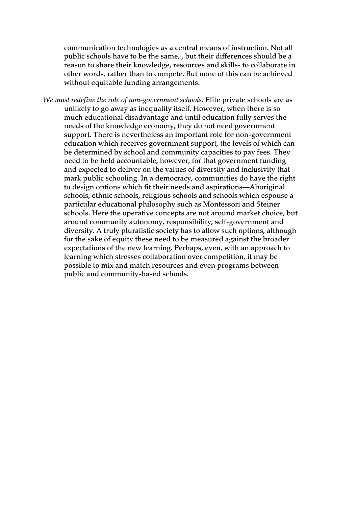**communication technologies as a central means of instruction. Not all public schools have to be the same, , but their differences should be a reason to share their knowledge, resources and skills- to collaborate in other words, rather than to compete. But none of this can be achieved without equitable funding arrangements.** 

*We must redefine the role of non-government schools.* **Elite private schools are as unlikely to go away as inequality itself. However, when there is so much educational disadvantage and until education fully serves the needs of the knowledge economy, they do not need government support. There is nevertheless an important role for non-government education which receives government support, the levels of which can be determined by school and community capacities to pay fees. They need to be held accountable, however, for that government funding and expected to deliver on the values of diversity and inclusivity that mark public schooling. In a democracy, communities do have the right to design options which fit their needs and aspirations—Aboriginal schools, ethnic schools, religious schools and schools which espouse a particular educational philosophy such as Montessori and Steiner schools. Here the operative concepts are not around market choice, but around community autonomy, responsibility, self-government and diversity. A truly pluralistic society has to allow such options, although for the sake of equity these need to be measured against the broader expectations of the new learning. Perhaps, even, with an approach to learning which stresses collaboration over competition, it may be possible to mix and match resources and even programs between public and community-based schools.**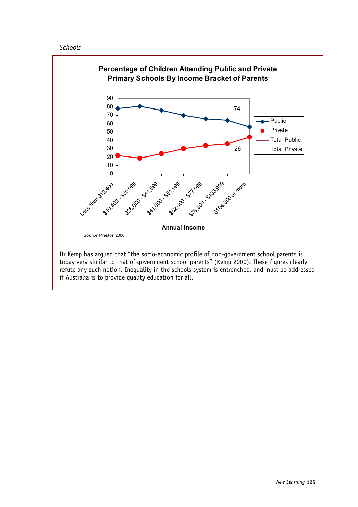*Schools* 

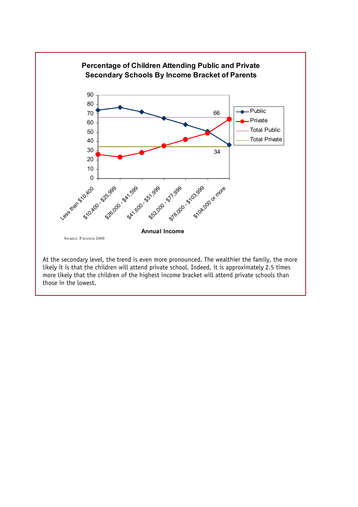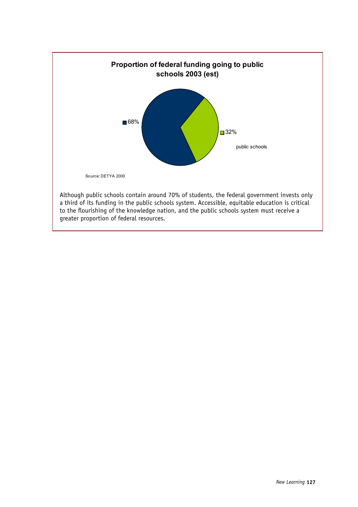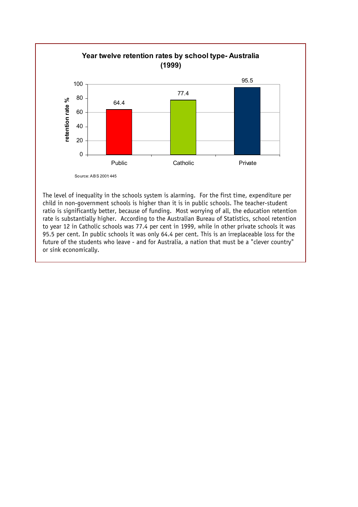

The level of inequality in the schools system is alarming. For the first time, expenditure per child in non-government schools is higher than it is in public schools. The teacher-student ratio is significantly better, because of funding. Most worrying of all, the education retention rate is substantially higher. According to the Australian Bureau of Statistics, school retention to year 12 in Catholic schools was 77.4 per cent in 1999, while in other private schools it was 95.5 per cent. In public schools it was only 64.4 per cent. This is an irreplaceable loss for the future of the students who leave - and for Australia, a nation that must be a "clever country" or sink economically.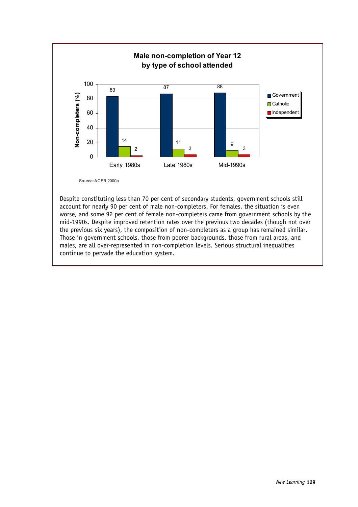

Despite constituting less than 70 per cent of secondary students, government schools still account for nearly 90 per cent of male non-completers. For females, the situation is even worse, and some 92 per cent of female non-completers came from government schools by the mid-1990s. Despite improved retention rates over the previous two decades (though not over the previous six years), the composition of non-completers as a group has remained similar. Those in government schools, those from poorer backgrounds, those from rural areas, and males, are all over-represented in non-completion levels. Serious structural inequalities continue to pervade the education system.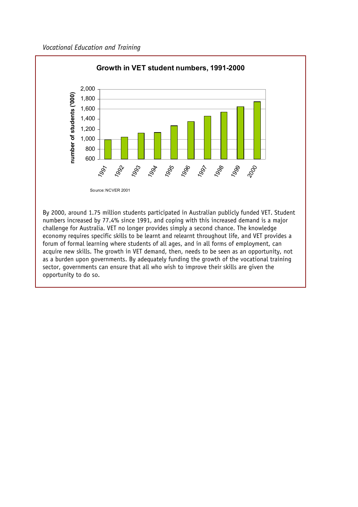

challenge for Australia. VET no longer provides simply a second chance. The knowledge economy requires specific skills to be learnt and relearnt throughout life, and VET provides a forum of formal learning where students of all ages, and in all forms of employment, can acquire new skills. The growth in VET demand, then, needs to be seen as an opportunity, not as a burden upon governments. By adequately funding the growth of the vocational training sector, governments can ensure that all who wish to improve their skills are given the opportunity to do so.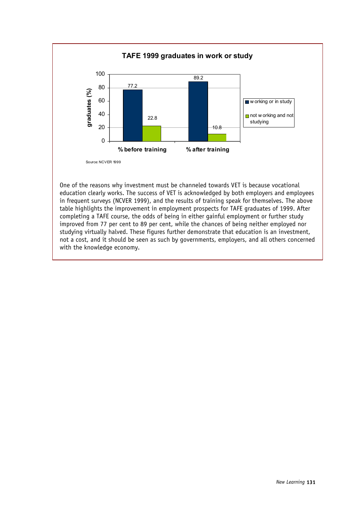

One of the reasons why investment must be channeled towards VET is because vocational education clearly works. The success of VET is acknowledged by both employers and employees in frequent surveys (NCVER 1999), and the results of training speak for themselves. The above table highlights the improvement in employment prospects for TAFE graduates of 1999. After completing a TAFE course, the odds of being in either gainful employment or further study improved from 77 per cent to 89 per cent, while the chances of being neither employed nor studying virtually halved. These figures further demonstrate that education is an investment, not a cost, and it should be seen as such by governments, employers, and all others concerned with the knowledge economy.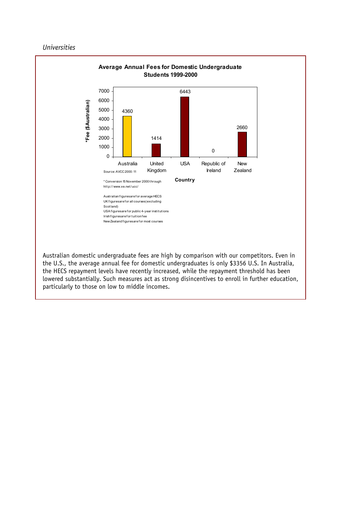#### *Universities*

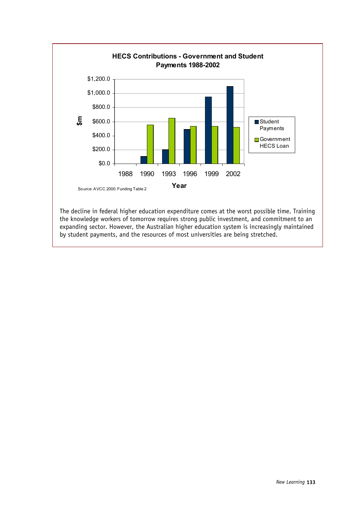

the knowledge workers of tomorrow requires strong public investment, and commitment to an expanding sector. However, the Australian higher education system is increasingly maintained by student payments, and the resources of most universities are being stretched.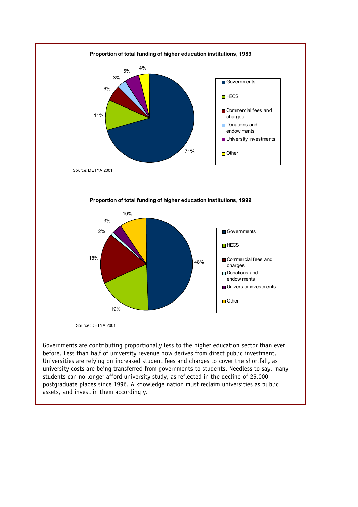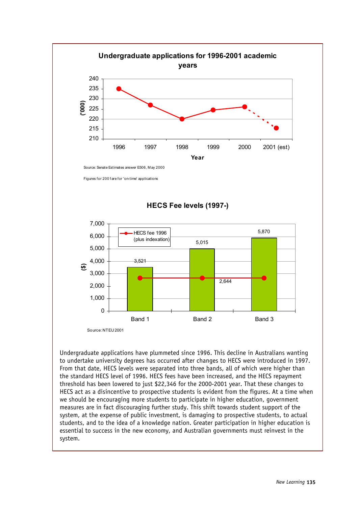

Source: Senate Estimates answer E506, M ay 2000

Figures for 2001 are for 'on-time' applications

**HECS Fee levels (1997-)**



Undergraduate applications have plummeted since 1996. This decline in Australians wanting to undertake university degrees has occurred after changes to HECS were introduced in 1997. From that date, HECS levels were separated into three bands, all of which were higher than the standard HECS level of 1996. HECS fees have been increased, and the HECS repayment threshold has been lowered to just \$22,346 for the 2000-2001 year. That these changes to HECS act as a disincentive to prospective students is evident from the figures. At a time when we should be encouraging more students to participate in higher education, government measures are in fact discouraging further study. This shift towards student support of the system, at the expense of public investment, is damaging to prospective students, to actual students, and to the idea of a knowledge nation. Greater participation in higher education is essential to success in the new economy, and Australian governments must reinvest in the system.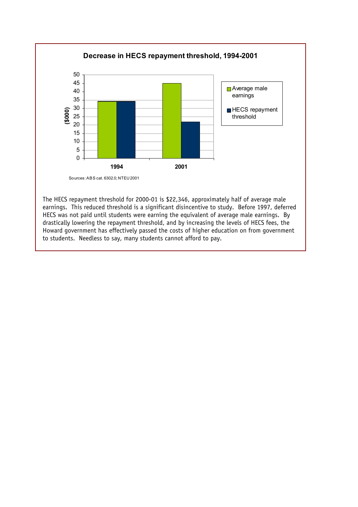

to students. Needless to say, many students cannot afford to pay.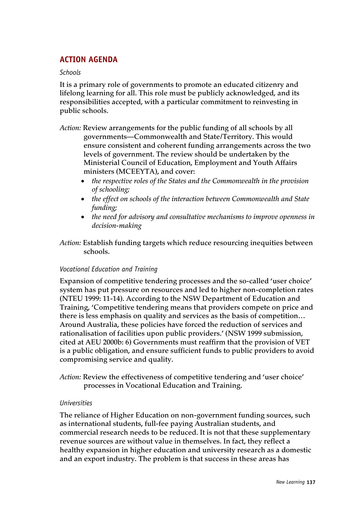### **ACTION AGENDA**

#### *Schools*

**It is a primary role of governments to promote an educated citizenry and lifelong learning for all. This role must be publicly acknowledged, and its responsibilities accepted, with a particular commitment to reinvesting in public schools.** 

- *Action:* **Review arrangements for the public funding of all schools by all governments—Commonwealth and State/Territory. This would ensure consistent and coherent funding arrangements across the two levels of government. The review should be undertaken by the Ministerial Council of Education, Employment and Youth Affairs ministers (MCEEYTA), and cover:** 
	- *the respective roles of the States and the Commonwealth in the provision of schooling;*
	- *the effect on schools of the interaction between Commonwealth and State funding;*
	- *the need for advisory and consultative mechanisms to improve openness in decision-making*

*Action:* **Establish funding targets which reduce resourcing inequities between schools.** 

#### *Vocational Education and Training*

**Expansion of competitive tendering processes and the so-called 'user choice' system has put pressure on resources and led to higher non-completion rates (NTEU 1999: 11-14). According to the NSW Department of Education and Training, 'Competitive tendering means that providers compete on price and there is less emphasis on quality and services as the basis of competition… Around Australia, these policies have forced the reduction of services and rationalisation of facilities upon public providers.' (NSW 1999 submission, cited at AEU 2000b: 6) Governments must reaffirm that the provision of VET is a public obligation, and ensure sufficient funds to public providers to avoid compromising service and quality.** 

*Action:* **Review the effectiveness of competitive tendering and 'user choice' processes in Vocational Education and Training.** 

#### *Universities*

**The reliance of Higher Education on non-government funding sources, such as international students, full-fee paying Australian students, and commercial research needs to be reduced. It is not that these supplementary revenue sources are without value in themselves. In fact, they reflect a healthy expansion in higher education and university research as a domestic and an export industry. The problem is that success in these areas has**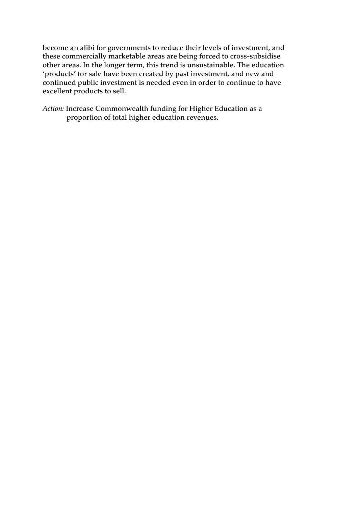**become an alibi for governments to reduce their levels of investment, and these commercially marketable areas are being forced to cross-subsidise other areas. In the longer term, this trend is unsustainable. The education 'products' for sale have been created by past investment, and new and continued public investment is needed even in order to continue to have excellent products to sell.** 

*Action:* **Increase Commonwealth funding for Higher Education as a proportion of total higher education revenues.**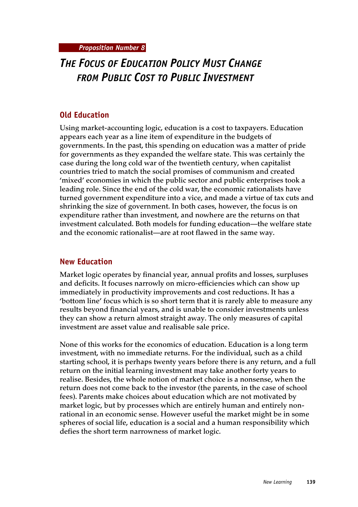# *THE FOCUS OF EDUCATION POLICY MUST CHANGE FROM PUBLIC COST TO PUBLIC INVESTMENT*

### **Old Education**

**Using market-accounting logic, education is a cost to taxpayers. Education appears each year as a line item of expenditure in the budgets of governments. In the past, this spending on education was a matter of pride for governments as they expanded the welfare state. This was certainly the case during the long cold war of the twentieth century, when capitalist countries tried to match the social promises of communism and created 'mixed' economies in which the public sector and public enterprises took a leading role. Since the end of the cold war, the economic rationalists have turned government expenditure into a vice, and made a virtue of tax cuts and shrinking the size of government. In both cases, however, the focus is on expenditure rather than investment, and nowhere are the returns on that investment calculated. Both models for funding education—the welfare state and the economic rationalist—are at root flawed in the same way.** 

### **New Education**

**Market logic operates by financial year, annual profits and losses, surpluses and deficits. It focuses narrowly on micro-efficiencies which can show up immediately in productivity improvements and cost reductions. It has a 'bottom line' focus which is so short term that it is rarely able to measure any results beyond financial years, and is unable to consider investments unless they can show a return almost straight away. The only measures of capital investment are asset value and realisable sale price.** 

**None of this works for the economics of education. Education is a long term investment, with no immediate returns. For the individual, such as a child starting school, it is perhaps twenty years before there is any return, and a full return on the initial learning investment may take another forty years to realise. Besides, the whole notion of market choice is a nonsense, when the return does not come back to the investor (the parents, in the case of school fees). Parents make choices about education which are not motivated by market logic, but by processes which are entirely human and entirely nonrational in an economic sense. However useful the market might be in some spheres of social life, education is a social and a human responsibility which defies the short term narrowness of market logic.**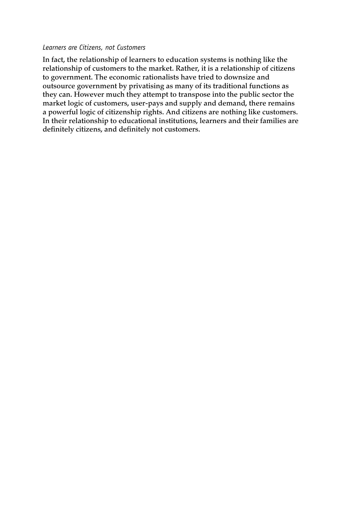#### *Learners are Citizens, not Customers*

**In fact, the relationship of learners to education systems is nothing like the relationship of customers to the market. Rather, it is a relationship of citizens to government. The economic rationalists have tried to downsize and outsource government by privatising as many of its traditional functions as they can. However much they attempt to transpose into the public sector the market logic of customers, user-pays and supply and demand, there remains a powerful logic of citizenship rights. And citizens are nothing like customers. In their relationship to educational institutions, learners and their families are definitely citizens, and definitely not customers.**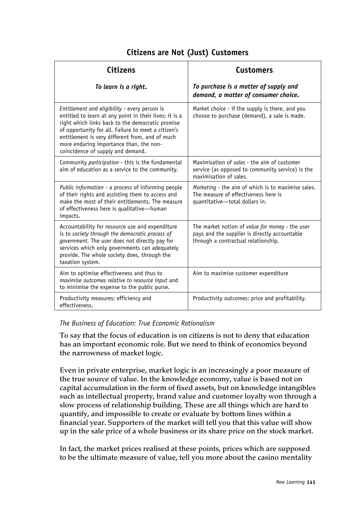| <b>Citizens</b>                                                                                                                                                                                                                                                                                                                                       | <b>Customers</b>                                                                                                                        |
|-------------------------------------------------------------------------------------------------------------------------------------------------------------------------------------------------------------------------------------------------------------------------------------------------------------------------------------------------------|-----------------------------------------------------------------------------------------------------------------------------------------|
| To learn is a right.                                                                                                                                                                                                                                                                                                                                  | To purchase is a matter of supply and<br>demand, a matter of consumer choice.                                                           |
| Entitlement and eligibility - every person is<br>entitled to learn at any point in their lives; it is a<br>right which links back to the democratic promise<br>of opportunity for all. Failure to meet a citizen's<br>entitlement is very different from, and of much<br>more enduring importance than, the non-<br>coincidence of supply and demand. | Market choice - if the supply is there, and you<br>choose to purchase (demand), a sale is made.                                         |
| Community participation - this is the fundamental<br>aim of education as a service to the community.                                                                                                                                                                                                                                                  | Maximisation of sales - the aim of customer<br>service (as opposed to community service) is the<br>maximisation of sales.               |
| Public information - a process of informing people<br>of their rights and assisting them to access and<br>make the most of their entitlements. The measure<br>of effectiveness here is qualitative-human<br>impacts.                                                                                                                                  | Marketing - the aim of which is to maximise sales.<br>The measure of effectiveness here is<br>quantitative-total dollars in.            |
| Accountability for resource use and expenditure<br>is to society through the democratic process of<br>government. The user does not directly pay for<br>services which only governments can adequately<br>provide. The whole society does, through the<br>taxation system.                                                                            | The market notion of value for money - the user<br>pays and the supplier is directly accountable<br>through a contractual relationship. |
| Aim to optimise effectiveness and thus to<br>maximise outcomes relative to resource input and<br>to minimise the expense to the public purse.                                                                                                                                                                                                         | Aim to maximise customer expenditure                                                                                                    |
| Productivity measures: efficiency and<br>effectiveness.                                                                                                                                                                                                                                                                                               | Productivity outcomes: price and profitability.                                                                                         |

### **Citizens are Not (Just) Customers**

#### *The Business of Education: True Economic Rationalism*

**To say that the focus of education is on citizens is not to deny that education has an important economic role. But we need to think of economics beyond the narrowness of market logic.** 

**Even in private enterprise, market logic is an increasingly a poor measure of the true source of value. In the knowledge economy, value is based not on capital accumulation in the form of fixed assets, but on knowledge intangibles such as intellectual property, brand value and customer loyalty won through a slow process of relationship building. These are all things which are hard to quantify, and impossible to create or evaluate by bottom lines within a financial year. Supporters of the market will tell you that this value will show up in the sale price of a whole business or its share price on the stock market.** 

**In fact, the market prices realised at these points, prices which are supposed to be the ultimate measure of value, tell you more about the casino mentality**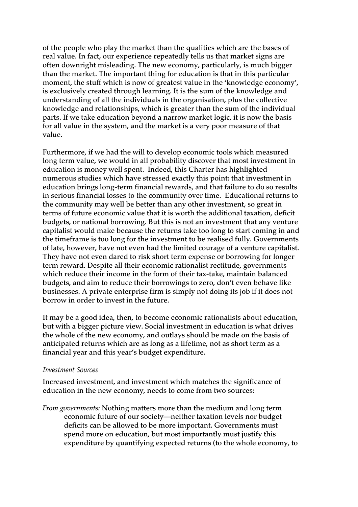**of the people who play the market than the qualities which are the bases of real value. In fact, our experience repeatedly tells us that market signs are often downright misleading. The new economy, particularly, is much bigger than the market. The important thing for education is that in this particular moment, the stuff which is now of greatest value in the 'knowledge economy', is exclusively created through learning. It is the sum of the knowledge and understanding of all the individuals in the organisation, plus the collective knowledge and relationships, which is greater than the sum of the individual parts. If we take education beyond a narrow market logic, it is now the basis for all value in the system, and the market is a very poor measure of that value.** 

**Furthermore, if we had the will to develop economic tools which measured long term value, we would in all probability discover that most investment in education is money well spent. Indeed, this Charter has highlighted numerous studies which have stressed exactly this point: that investment in education brings long-term financial rewards, and that failure to do so results in serious financial losses to the community over time. Educational returns to the community may well be better than any other investment, so great in terms of future economic value that it is worth the additional taxation, deficit budgets, or national borrowing. But this is not an investment that any venture capitalist would make because the returns take too long to start coming in and the timeframe is too long for the investment to be realised fully. Governments of late, however, have not even had the limited courage of a venture capitalist. They have not even dared to risk short term expense or borrowing for longer term reward. Despite all their economic rationalist rectitude, governments which reduce their income in the form of their tax-take, maintain balanced budgets, and aim to reduce their borrowings to zero, don't even behave like businesses. A private enterprise firm is simply not doing its job if it does not borrow in order to invest in the future.** 

**It may be a good idea, then, to become economic rationalists about education, but with a bigger picture view. Social investment in education is what drives the whole of the new economy, and outlays should be made on the basis of anticipated returns which are as long as a lifetime, not as short term as a financial year and this year's budget expenditure.** 

#### *Investment Sources*

**Increased investment, and investment which matches the significance of education in the new economy, needs to come from two sources:** 

*From governments:* **Nothing matters more than the medium and long term economic future of our society—neither taxation levels nor budget deficits can be allowed to be more important. Governments must spend more on education, but most importantly must justify this expenditure by quantifying expected returns (to the whole economy, to**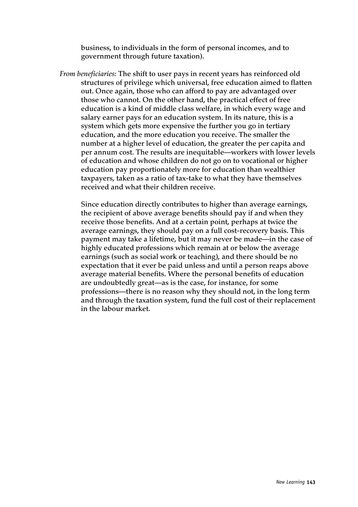**business, to individuals in the form of personal incomes, and to government through future taxation).** 

*From beneficiaries:* **The shift to user pays in recent years has reinforced old structures of privilege which universal, free education aimed to flatten out. Once again, those who can afford to pay are advantaged over those who cannot. On the other hand, the practical effect of free education is a kind of middle class welfare, in which every wage and salary earner pays for an education system. In its nature, this is a system which gets more expensive the further you go in tertiary education, and the more education you receive. The smaller the number at a higher level of education, the greater the per capita and per annum cost. The results are inequitable—workers with lower levels of education and whose children do not go on to vocational or higher education pay proportionately more for education than wealthier taxpayers, taken as a ratio of tax-take to what they have themselves received and what their children receive.** 

**Since education directly contributes to higher than average earnings, the recipient of above average benefits should pay if and when they receive those benefits. And at a certain point, perhaps at twice the average earnings, they should pay on a full cost-recovery basis. This payment may take a lifetime, but it may never be made—in the case of highly educated professions which remain at or below the average earnings (such as social work or teaching), and there should be no expectation that it ever be paid unless and until a person reaps above average material benefits. Where the personal benefits of education are undoubtedly great—as is the case, for instance, for some professions—there is no reason why they should not, in the long term and through the taxation system, fund the full cost of their replacement in the labour market.**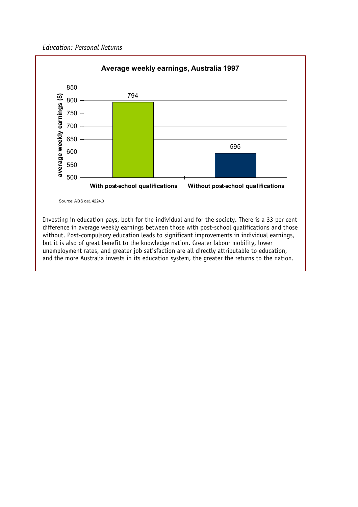#### *Education: Personal Returns*

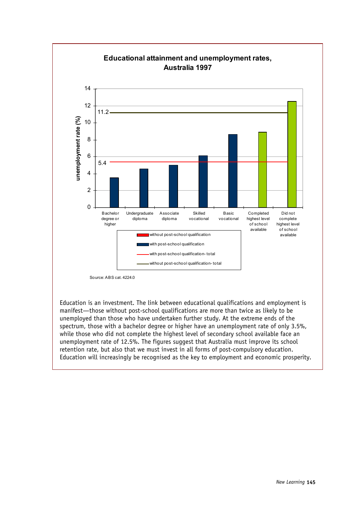

manifest—those without post-school qualifications are more than twice as likely to be unemployed than those who have undertaken further study. At the extreme ends of the spectrum, those with a bachelor degree or higher have an unemployment rate of only 3.5%, while those who did not complete the highest level of secondary school available face an unemployment rate of 12.5%. The figures suggest that Australia must improve its school retention rate, but also that we must invest in all forms of post-compulsory education. Education will increasingly be recognised as the key to employment and economic prosperity.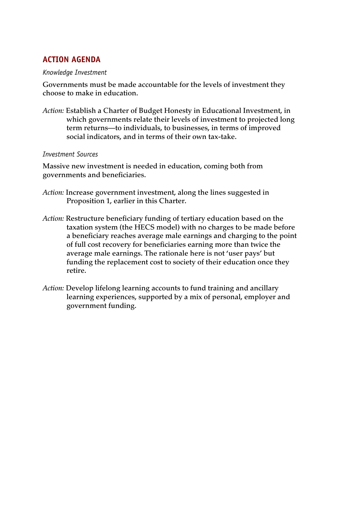### **ACTION AGENDA**

#### *Knowledge Investment*

**Governments must be made accountable for the levels of investment they choose to make in education.** 

*Action:* **Establish a Charter of Budget Honesty in Educational Investment, in which governments relate their levels of investment to projected long term returns—to individuals, to businesses, in terms of improved social indicators, and in terms of their own tax-take.** 

#### *Investment Sources*

**Massive new investment is needed in education, coming both from governments and beneficiaries.** 

- *Action:* **Increase government investment, along the lines suggested in Proposition 1, earlier in this Charter.**
- *Action:* **Restructure beneficiary funding of tertiary education based on the taxation system (the HECS model) with no charges to be made before a beneficiary reaches average male earnings and charging to the point of full cost recovery for beneficiaries earning more than twice the average male earnings. The rationale here is not 'user pays' but funding the replacement cost to society of their education once they retire.**
- *Action:* **Develop lifelong learning accounts to fund training and ancillary learning experiences, supported by a mix of personal, employer and government funding.**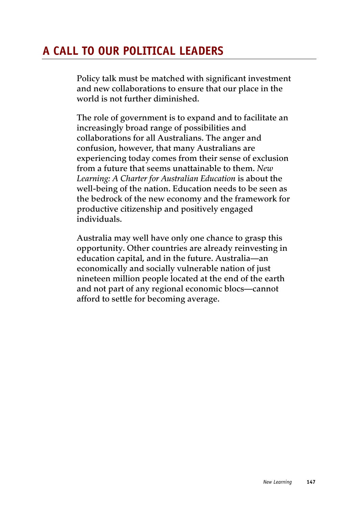# **A CALL TO OUR POLITICAL LEADERS**

**Policy talk must be matched with significant investment and new collaborations to ensure that our place in the world is not further diminished.** 

**The role of government is to expand and to facilitate an increasingly broad range of possibilities and collaborations for all Australians. The anger and confusion, however, that many Australians are experiencing today comes from their sense of exclusion from a future that seems unattainable to them.** *New Learning: A Charter for Australian Education* **is about the well-being of the nation. Education needs to be seen as the bedrock of the new economy and the framework for productive citizenship and positively engaged individuals.** 

**Australia may well have only one chance to grasp this opportunity. Other countries are already reinvesting in education capital, and in the future. Australia—an economically and socially vulnerable nation of just nineteen million people located at the end of the earth and not part of any regional economic blocs—cannot afford to settle for becoming average.**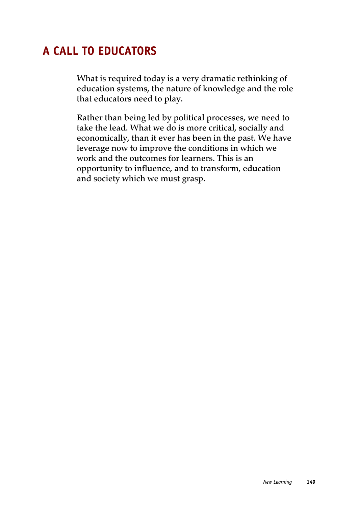# **A CALL TO EDUCATORS**

**What is required today is a very dramatic rethinking of education systems, the nature of knowledge and the role that educators need to play.** 

**Rather than being led by political processes, we need to take the lead. What we do is more critical, socially and economically, than it ever has been in the past. We have leverage now to improve the conditions in which we work and the outcomes for learners. This is an opportunity to influence, and to transform, education and society which we must grasp.**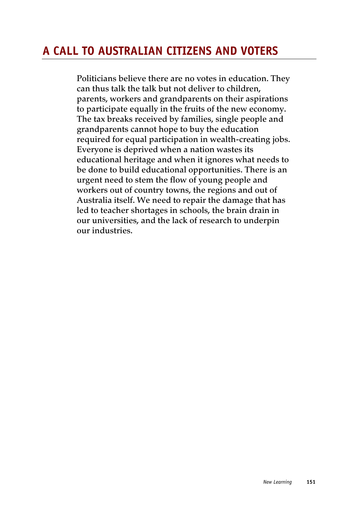# **A CALL TO AUSTRALIAN CITIZENS AND VOTERS**

**Politicians believe there are no votes in education. They can thus talk the talk but not deliver to children, parents, workers and grandparents on their aspirations to participate equally in the fruits of the new economy. The tax breaks received by families, single people and grandparents cannot hope to buy the education required for equal participation in wealth-creating jobs. Everyone is deprived when a nation wastes its educational heritage and when it ignores what needs to be done to build educational opportunities. There is an urgent need to stem the flow of young people and workers out of country towns, the regions and out of Australia itself. We need to repair the damage that has led to teacher shortages in schools, the brain drain in our universities, and the lack of research to underpin our industries.**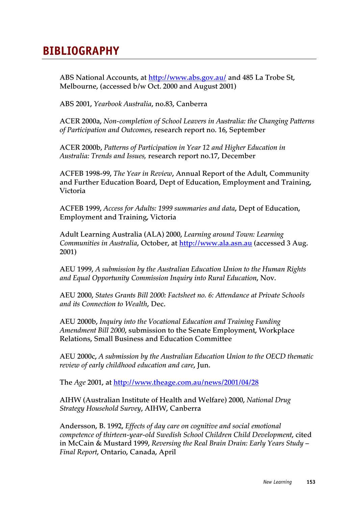## **BIBLIOGRAPHY**

**ABS National Accounts, at http://www.abs.gov.au/ and 485 La Trobe St, Melbourne, (accessed b/w Oct. 2000 and August 2001)** 

**ABS 2001,** *Yearbook Australia***, no.83, Canberra** 

**ACER 2000a,** *Non-completion of School Leavers in Australia: the Changing Patterns of Participation and Outcomes***, research report no. 16, September** 

**ACER 2000b,** *Patterns of Participation in Year 12 and Higher Education in Australia: Trends and Issues,* **research report no.17, December** 

**ACFEB 1998-99,** *The Year in Review***, Annual Report of the Adult, Community and Further Education Board, Dept of Education, Employment and Training, Victoria** 

**ACFEB 1999,** *Access for Adults: 1999 summaries and data***, Dept of Education, Employment and Training, Victoria** 

**Adult Learning Australia (ALA) 2000,** *Learning around Town: Learning Communities in Australia***, October, at http://www.ala.asn.au (accessed 3 Aug. 2001)** 

**AEU 1999,** *A submission by the Australian Education Union to the Human Rights and Equal Opportunity Commission Inquiry into Rural Education***, Nov.** 

**AEU 2000,** *States Grants Bill 2000: Factsheet no. 6: Attendance at Private Schools and its Connection to Wealth***, Dec.** 

**AEU 2000b,** *Inquiry into the Vocational Education and Training Funding Amendment Bill 2000***, submission to the Senate Employment, Workplace Relations, Small Business and Education Committee** 

**AEU 2000c,** *A submission by the Australian Education Union to the OECD thematic review of early childhood education and care***, Jun.** 

**The** *Age* **2001, at http://www.theage.com.au/news/2001/04/28**

**AIHW (Australian Institute of Health and Welfare) 2000,** *National Drug Strategy Household Survey***, AIHW, Canberra** 

**Andersson, B. 1992,** *Effects of day care on cognitive and social emotional competence of thirteen-year-old Swedish School Children Child Development***, cited in McCain & Mustard 1999,** *Reversing the Real Brain Drain: Early Years Study – Final Report***, Ontario, Canada, April**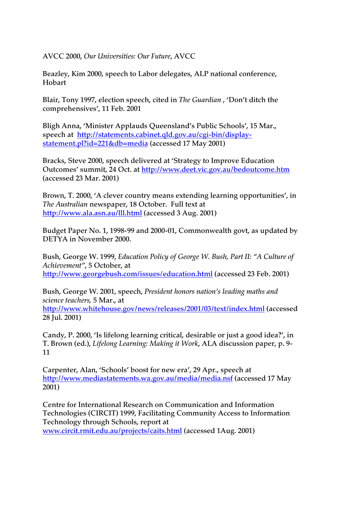**AVCC 2000,** *Our Universities: Our Future***, AVCC** 

**Beazley, Kim 2000, speech to Labor delegates, ALP national conference, Hobart** 

**Blair, Tony 1997, election speech, cited in** *The Guardian* **, 'Don't ditch the comprehensives', 11 Feb. 2001** 

**Bligh Anna, 'Minister Applauds Queensland's Public Schools', 15 Mar., speech at http://statements.cabinet.qld.gov.au/cgi-bin/displaystatement.pl?id=221&db=media (accessed 17 May 2001)** 

**Bracks, Steve 2000, speech delivered at 'Strategy to Improve Education Outcomes' summit, 24 Oct. at http://www.deet.vic.gov.au/bedoutcome.htm (accessed 23 Mar. 2001)** 

**Brown, T. 2000, 'A clever country means extending learning opportunities', in**  *The Australian* **newspaper, 18 October. Full text at http://www.ala.asn.au/lll.html (accessed 3 Aug. 2001)** 

**Budget Paper No. 1, 1998-99 and 2000-01, Commonwealth govt, as updated by DETYA in November 2000.** 

**Bush, George W. 1999,** *Education Policy of George W. Bush, Part II: "A Culture of Achievement"***, 5 October, at http://www.georgebush.com/issues/education.html (accessed 23 Feb. 2001)** 

**Bush, George W. 2001, speech,** *President honors nation's leading maths and science teachers,* **5 Mar., at http://www.whitehouse.gov/news/releases/2001/03/text/index.html (accessed 28 Jul. 2001)** 

**Candy, P. 2000, 'Is lifelong learning critical, desirable or just a good idea?', in T. Brown (ed.),** *Lifelong Learning: Making it Work***, ALA discussion paper, p. 9- 11** 

**Carpenter, Alan, 'Schools' boost for new era', 29 Apr., speech at http://www.mediastatements.wa.gov.au/media/media.nsf (accessed 17 May 2001)** 

**Centre for International Research on Communication and Information Technologies (CIRCIT) 1999, Facilitating Community Access to Information Technology through Schools, report at www.circit.rmit.edu.au/projects/caits.html (accessed 1Aug. 2001)**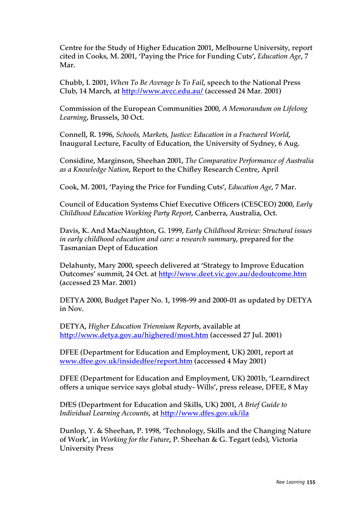**Centre for the Study of Higher Education 2001, Melbourne University, report cited in Cooks, M. 2001, 'Paying the Price for Funding Cuts',** *Education Age***, 7 Mar.** 

**Chubb, I. 2001,** *When To Be Average Is To Fail***, speech to the National Press Club, 14 March, at http://www.avcc.edu.au/ (accessed 24 Mar. 2001)** 

**Commission of the European Communities 2000,** *A Memorandum on Lifelong Learning***, Brussels, 30 Oct.** 

**Connell, R. 1996,** *Schools, Markets, Justice: Education in a Fractured World***, Inaugural Lecture, Faculty of Education, the University of Sydney, 6 Aug.** 

**Considine, Marginson, Sheehan 2001,** *The Comparative Performance of Australia as a Knowledge Nation***, Report to the Chifley Research Centre, April** 

**Cook, M. 2001, 'Paying the Price for Funding Cuts',** *Education Age***, 7 Mar.** 

**Council of Education Systems Chief Executive Officers (CESCEO) 2000,** *Early Childhood Education Working Party Report***, Canberra, Australia, Oct.** 

**Davis, K. And MacNaughton, G. 1999,** *Early Childhood Review: Structural issues in early childhood education and care: a research summary***, prepared for the Tasmanian Dept of Education** 

**Delahunty, Mary 2000, speech delivered at 'Strategy to Improve Education Outcomes' summit, 24 Oct. at http://www.deet.vic.gov.au/dedoutcome.htm (accessed 23 Mar. 2001)** 

**DETYA 2000, Budget Paper No. 1, 1998-99 and 2000-01 as updated by DETYA in Nov.** 

**DETYA,** *Higher Education Triennium Reports***, available at http://www.detya.gov.au/highered/most.htm (accessed 27 Jul. 2001)** 

**DFEE (Department for Education and Employment, UK) 2001, report at www.dfee.gov.uk/insidedfee/report.htm (accessed 4 May 2001)** 

**DFEE (Department for Education and Employment, UK) 2001b, 'Learndirect offers a unique service says global study- Wills', press release, DFEE, 8 May** 

**DfES (Department for Education and Skills, UK) 2001,** *A Brief Guide to Individual Learning Accounts***, at http://www.dfes.gov.uk/ila** 

**Dunlop, Y. & Sheehan, P. 1998, 'Technology, Skills and the Changing Nature of Work', in** *Working for the Future***, P. Sheehan & G. Tegart (eds), Victoria University Press**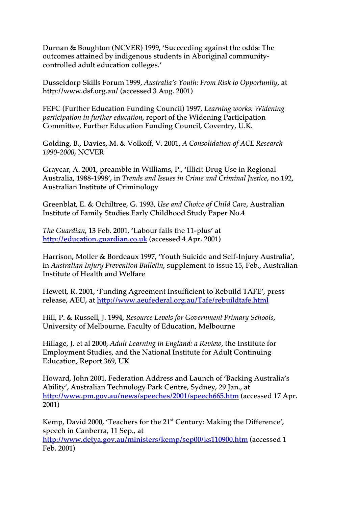**Durnan & Boughton (NCVER) 1999, 'Succeeding against the odds: The outcomes attained by indigenous students in Aboriginal communitycontrolled adult education colleges.'** 

**Dusseldorp Skills Forum 1999,** *Australia's Youth: From Risk to Opportunity***, at http://www.dsf.org.au/ (accessed 3 Aug. 2001)** 

**FEFC (Further Education Funding Council) 1997,** *Learning works: Widening participation in further education***, report of the Widening Participation Committee, Further Education Funding Council, Coventry, U.K.** 

**Golding, B., Davies, M. & Volkoff, V. 2001,** *A Consolidation of ACE Research 1990-2000***, NCVER** 

**Graycar, A. 2001, preamble in Williams, P., 'Illicit Drug Use in Regional Australia, 1988-1998', in** *Trends and Issues in Crime and Criminal Justice***, no.192, Australian Institute of Criminology** 

**Greenblat, E. & Ochiltree, G. 1993,** *Use and Choice of Child Care***, Australian Institute of Family Studies Early Childhood Study Paper No.4** 

*The Guardian***, 13 Feb. 2001, 'Labour fails the 11-plus' at http://education.guardian.co.uk (accessed 4 Apr. 2001)** 

**Harrison, Moller & Bordeaux 1997, 'Youth Suicide and Self-Injury Australia', in** *Australian Injury Prevention Bulletin***, supplement to issue 15, Feb., Australian Institute of Health and Welfare** 

**Hewett, R. 2001, 'Funding Agreement Insufficient to Rebuild TAFE', press release, AEU, at http://www.aeufederal.org.au/Tafe/rebuildtafe.html**

**Hill, P. & Russell, J. 1994,** *Resource Levels for Government Primary Schools***, University of Melbourne, Faculty of Education, Melbourne** 

**Hillage, J. et al 2000,** *Adult Learning in England: a Review***, the Institute for Employment Studies, and the National Institute for Adult Continuing Education, Report 369, UK** 

**Howard, John 2001, Federation Address and Launch of 'Backing Australia's Ability', Australian Technology Park Centre, Sydney, 29 Jan., at http://www.pm.gov.au/news/speeches/2001/speech665.htm (accessed 17 Apr. 2001)** 

**Kemp, David 2000, 'Teachers for the 21st Century: Making the Difference', speech in Canberra, 11 Sep., at http://www.detya.gov.au/ministers/kemp/sep00/ks110900.htm (accessed 1 Feb. 2001)**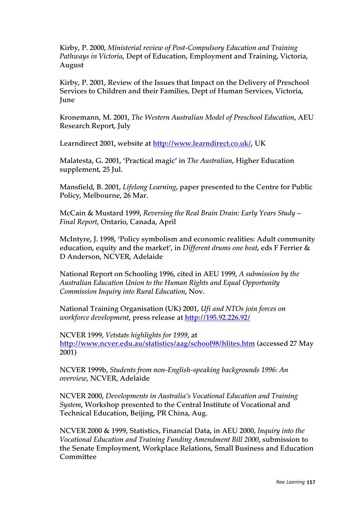**Kirby, P. 2000,** *Ministerial review of Post-Compulsory Education and Training Pathways in Victoria***, Dept of Education, Employment and Training, Victoria, August** 

**Kirby, P. 2001, Review of the Issues that Impact on the Delivery of Preschool Services to Children and their Families, Dept of Human Services, Victoria, June** 

**Kronemann, M. 2001,** *The Western Australian Model of Preschool Education***, AEU Research Report, July** 

**Learndirect 2001, website at http://www.learndirect.co.uk/, UK** 

**Malatesta, G. 2001, 'Practical magic' in** *The Australian***, Higher Education supplement, 25 Jul.** 

**Mansfield, B. 2001,** *Lifelong Learning***, paper presented to the Centre for Public Policy, Melbourne, 26 Mar.** 

**McCain & Mustard 1999,** *Reversing the Real Brain Drain: Early Years Study – Final Report***, Ontario, Canada, April** 

**McIntyre, J. 1998, 'Policy symbolism and economic realities: Adult community education, equity and the market', in** *Different drums one beat***, eds F Ferrier & D Anderson, NCVER, Adelaide** 

**National Report on Schooling 1996, cited in AEU 1999,** *A submission by the Australian Education Union to the Human Rights and Equal Opportunity Commission Inquiry into Rural Education***, Nov.** 

**National Training Organisation (UK) 2001,** *Ufi and NTOs join forces on workforce development***, press release at http://195.92.226.92/**

**NCVER 1999,** *Vetstats highlights for 1999***, at http://www.ncver.edu.au/statistics/aag/school98/hlites.htm (accessed 27 May 2001)** 

**NCVER 1999b,** *Students from non-English-speaking backgrounds 1996: An overview***, NCVER, Adelaide** 

**NCVER 2000,** *Developments in Australia's Vocational Education and Training System***, Workshop presented to the Central Institute of Vocational and Technical Education, Beijing, PR China, Aug.** 

**NCVER 2000 & 1999, Statistics, Financial Data, in AEU 2000,** *Inquiry into the Vocational Education and Training Funding Amendment Bill 2000***, submission to the Senate Employment, Workplace Relations, Small Business and Education Committee**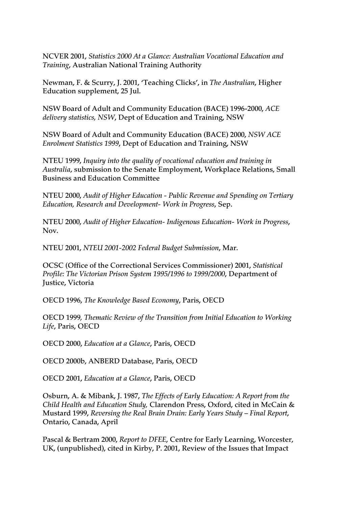**NCVER 2001,** *Statistics 2000 At a Glance: Australian Vocational Education and Training***, Australian National Training Authority** 

**Newman, F. & Scurry, J. 2001, 'Teaching Clicks', in** *The Australian***, Higher Education supplement, 25 Jul.** 

**NSW Board of Adult and Community Education (BACE) 1996-2000,** *ACE delivery statistics, NSW***, Dept of Education and Training, NSW** 

**NSW Board of Adult and Community Education (BACE) 2000,** *NSW ACE Enrolment Statistics 1999***, Dept of Education and Training, NSW** 

**NTEU 1999,** *Inquiry into the quality of vocational education and training in Australia***, submission to the Senate Employment, Workplace Relations, Small Business and Education Committee** 

**NTEU 2000,** *Audit of Higher Education - Public Revenue and Spending on Tertiary Education, Research and Development- Work in Progress***, Sep.** 

**NTEU 2000,** *Audit of Higher Education- Indigenous Education- Work in Progress***, Nov.** 

**NTEU 2001,** *NTEU 2001-2002 Federal Budget Submission***, Mar.** 

**OCSC (Office of the Correctional Services Commissioner) 2001,** *Statistical Profile: The Victorian Prison System 1995/1996 to 1999/2000***, Department of Justice, Victoria** 

**OECD 1996,** *The Knowledge Based Economy***, Paris, OECD** 

**OECD 1999***, Thematic Review of the Transition from Initial Education to Working Life***, Paris, OECD** 

**OECD 2000,** *Education at a Glance***, Paris, OECD** 

**OECD 2000b, ANBERD Database, Paris, OECD** 

**OECD 2001,** *Education at a Glance***, Paris, OECD** 

**Osburn, A. & Mibank, J. 1987,** *The Effects of Early Education: A Report from the Child Health and Education Study,* **Clarendon Press, Oxford, cited in McCain & Mustard 1999,** *Reversing the Real Brain Drain: Early Years Study – Final Report***, Ontario, Canada, April** 

**Pascal & Bertram 2000,** *Report to DFEE***, Centre for Early Learning, Worcester, UK, (unpublished), cited in Kirby, P. 2001, Review of the Issues that Impact**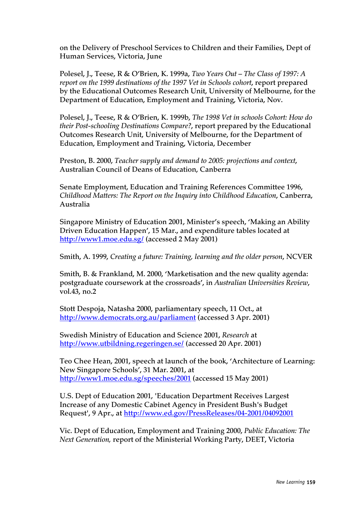**on the Delivery of Preschool Services to Children and their Families, Dept of Human Services, Victoria, June** 

**Polesel, J., Teese, R & O'Brien, K. 1999a,** *Two Years Out – The Class of 1997: A report on the 1999 destinations of the 1997 Vet in Schools cohort***, report prepared by the Educational Outcomes Research Unit, University of Melbourne, for the Department of Education, Employment and Training, Victoria, Nov.** 

**Polesel, J., Teese, R & O'Brien, K. 1999b,** *The 1998 Vet in schools Cohort: How do their Post-schooling Destinations Compare?***, report prepared by the Educational Outcomes Research Unit, University of Melbourne, for the Department of Education, Employment and Training, Victoria, December** 

**Preston, B. 2000,** *Teacher supply and demand to 2005: projections and context***, Australian Council of Deans of Education, Canberra** 

**Senate Employment, Education and Training References Committee 1996,**  *Childhood Matters: The Report on the Inquiry into Childhood Education***, Canberra, Australia** 

**Singapore Ministry of Education 2001, Minister's speech, 'Making an Ability Driven Education Happen', 15 Mar., and expenditure tables located at http://www1.moe.edu.sg/ (accessed 2 May 2001)** 

**Smith, A. 1999,** *Creating a future: Training, learning and the older person***, NCVER** 

**Smith, B. & Frankland, M. 2000, 'Marketisation and the new quality agenda: postgraduate coursework at the crossroads', in** *Australian Universities Review***, vol.43, no.2** 

**Stott Despoja, Natasha 2000, parliamentary speech, 11 Oct., at http://www.democrats.org.au/parliament (accessed 3 Apr. 2001)** 

**Swedish Ministry of Education and Science 2001,** *Research* **at http://www.utbildning.regeringen.se/ (accessed 20 Apr. 2001)** 

**Teo Chee Hean, 2001, speech at launch of the book, 'Architecture of Learning: New Singapore Schools', 31 Mar. 2001, at http://www1.moe.edu.sg/speeches/2001 (accessed 15 May 2001)** 

**U.S. Dept of Education 2001, 'Education Department Receives Largest Increase of any Domestic Cabinet Agency in President Bush's Budget Request', 9 Apr., at http://www.ed.gov/PressReleases/04-2001/04092001**

**Vic. Dept of Education, Employment and Training 2000,** *Public Education: The Next Generation,* **report of the Ministerial Working Party, DEET, Victoria**